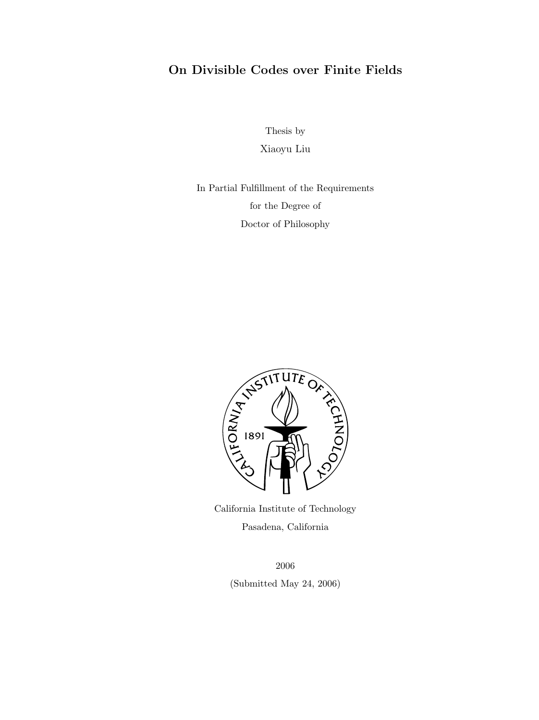### On Divisible Codes over Finite Fields

Thesis by Xiaoyu Liu

In Partial Fulfillment of the Requirements for the Degree of Doctor of Philosophy



California Institute of Technology Pasadena, California

> 2006 (Submitted May 24, 2006)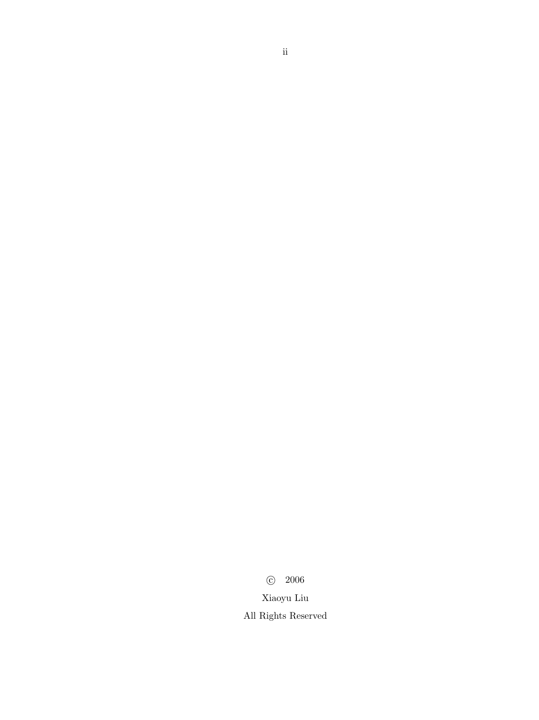c 2006 Xiaoyu Liu All Rights Reserved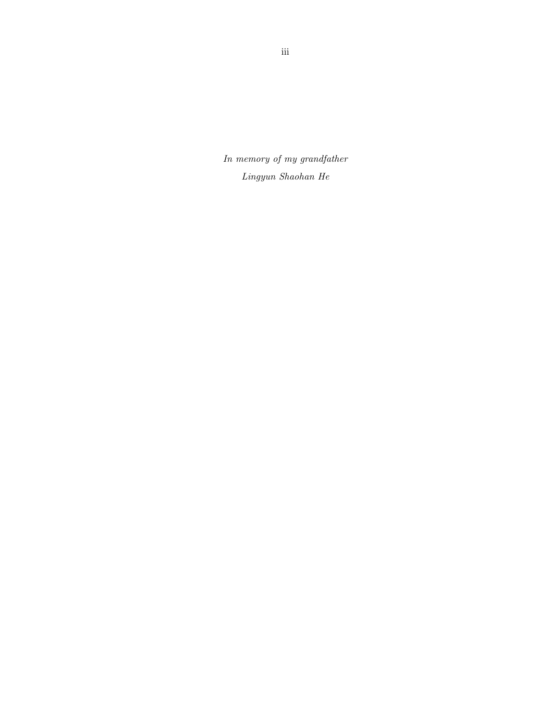In memory of my grandfather Lingyun Shaohan He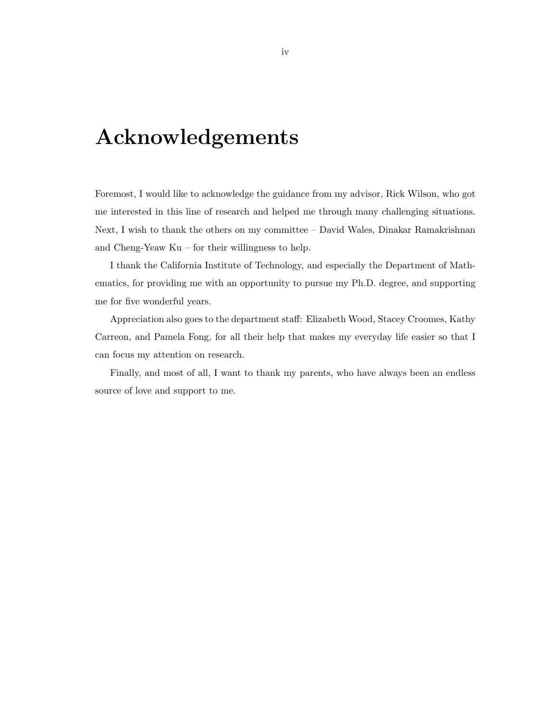## Acknowledgements

Foremost, I would like to acknowledge the guidance from my advisor, Rick Wilson, who got me interested in this line of research and helped me through many challenging situations. Next, I wish to thank the others on my committee – David Wales, Dinakar Ramakrishnan and Cheng-Yeaw Ku – for their willingness to help.

I thank the California Institute of Technology, and especially the Department of Mathematics, for providing me with an opportunity to pursue my Ph.D. degree, and supporting me for five wonderful years.

Appreciation also goes to the department staff: Elizabeth Wood, Stacey Croomes, Kathy Carreon, and Pamela Fong, for all their help that makes my everyday life easier so that I can focus my attention on research.

Finally, and most of all, I want to thank my parents, who have always been an endless source of love and support to me.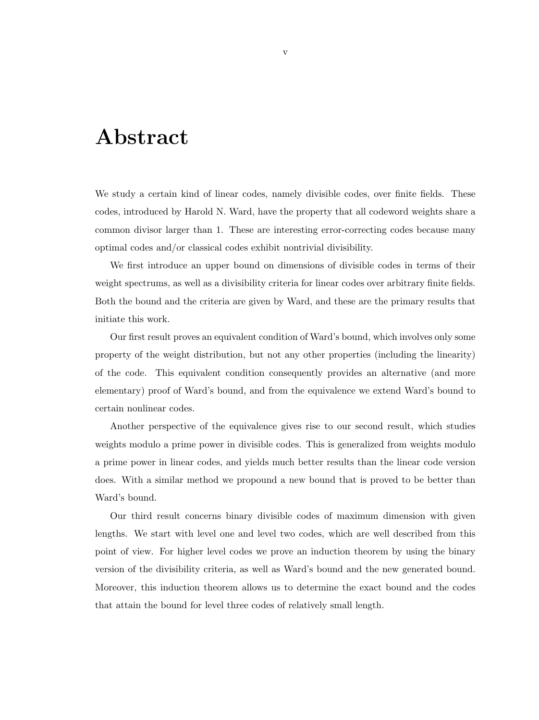## Abstract

We study a certain kind of linear codes, namely divisible codes, over finite fields. These codes, introduced by Harold N. Ward, have the property that all codeword weights share a common divisor larger than 1. These are interesting error-correcting codes because many optimal codes and/or classical codes exhibit nontrivial divisibility.

We first introduce an upper bound on dimensions of divisible codes in terms of their weight spectrums, as well as a divisibility criteria for linear codes over arbitrary finite fields. Both the bound and the criteria are given by Ward, and these are the primary results that initiate this work.

Our first result proves an equivalent condition of Ward's bound, which involves only some property of the weight distribution, but not any other properties (including the linearity) of the code. This equivalent condition consequently provides an alternative (and more elementary) proof of Ward's bound, and from the equivalence we extend Ward's bound to certain nonlinear codes.

Another perspective of the equivalence gives rise to our second result, which studies weights modulo a prime power in divisible codes. This is generalized from weights modulo a prime power in linear codes, and yields much better results than the linear code version does. With a similar method we propound a new bound that is proved to be better than Ward's bound.

Our third result concerns binary divisible codes of maximum dimension with given lengths. We start with level one and level two codes, which are well described from this point of view. For higher level codes we prove an induction theorem by using the binary version of the divisibility criteria, as well as Ward's bound and the new generated bound. Moreover, this induction theorem allows us to determine the exact bound and the codes that attain the bound for level three codes of relatively small length.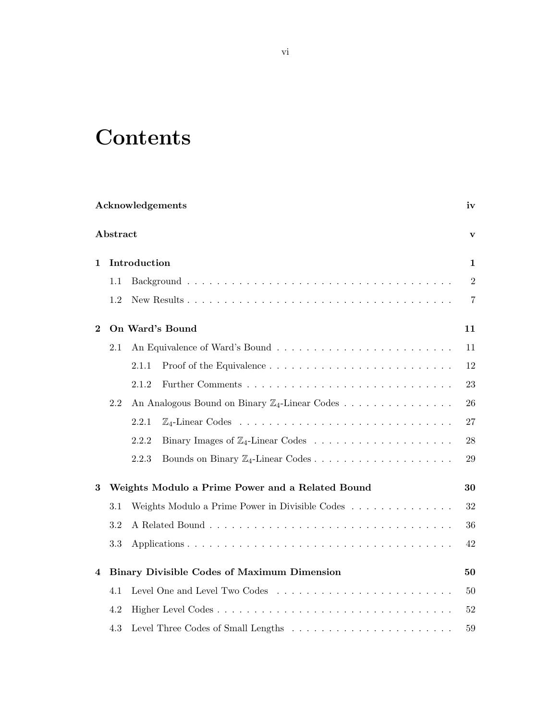# **Contents**

|          |                                                    |                                                           | Acknowledgements | iv |  |  |  |  |  |  |  |
|----------|----------------------------------------------------|-----------------------------------------------------------|------------------|----|--|--|--|--|--|--|--|
| Abstract |                                                    |                                                           |                  |    |  |  |  |  |  |  |  |
| 1        | Introduction                                       |                                                           |                  |    |  |  |  |  |  |  |  |
|          | 1.1                                                |                                                           |                  |    |  |  |  |  |  |  |  |
|          | 1.2                                                |                                                           |                  |    |  |  |  |  |  |  |  |
| $\bf{2}$ | On Ward's Bound                                    |                                                           |                  |    |  |  |  |  |  |  |  |
|          | 2.1                                                |                                                           |                  | 11 |  |  |  |  |  |  |  |
|          |                                                    | 2.1.1                                                     |                  | 12 |  |  |  |  |  |  |  |
|          |                                                    | 2.1.2                                                     |                  | 23 |  |  |  |  |  |  |  |
|          | 2.2                                                | An Analogous Bound on Binary $\mathbb{Z}_4$ -Linear Codes |                  |    |  |  |  |  |  |  |  |
|          |                                                    | 2.2.1                                                     |                  | 27 |  |  |  |  |  |  |  |
|          |                                                    | 2.2.2                                                     |                  | 28 |  |  |  |  |  |  |  |
|          |                                                    | 2.2.3                                                     |                  | 29 |  |  |  |  |  |  |  |
| 3        | Weights Modulo a Prime Power and a Related Bound   |                                                           |                  |    |  |  |  |  |  |  |  |
|          | 3.1                                                | Weights Modulo a Prime Power in Divisible Codes<br>32     |                  |    |  |  |  |  |  |  |  |
|          | 3.2                                                | 36                                                        |                  |    |  |  |  |  |  |  |  |
|          | 3.3                                                | 42                                                        |                  |    |  |  |  |  |  |  |  |
| 4        | <b>Binary Divisible Codes of Maximum Dimension</b> |                                                           |                  |    |  |  |  |  |  |  |  |
|          | 4.1                                                |                                                           |                  |    |  |  |  |  |  |  |  |
|          | 4.2                                                |                                                           |                  | 52 |  |  |  |  |  |  |  |
|          | 4.3                                                |                                                           |                  | 59 |  |  |  |  |  |  |  |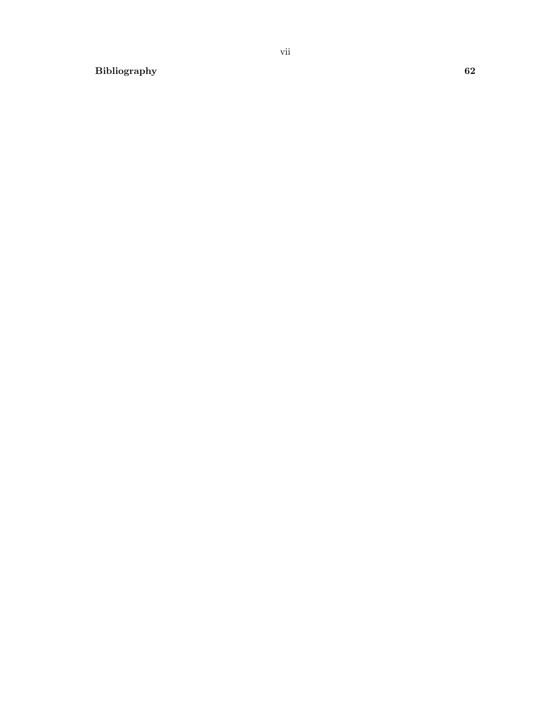Bibliography 62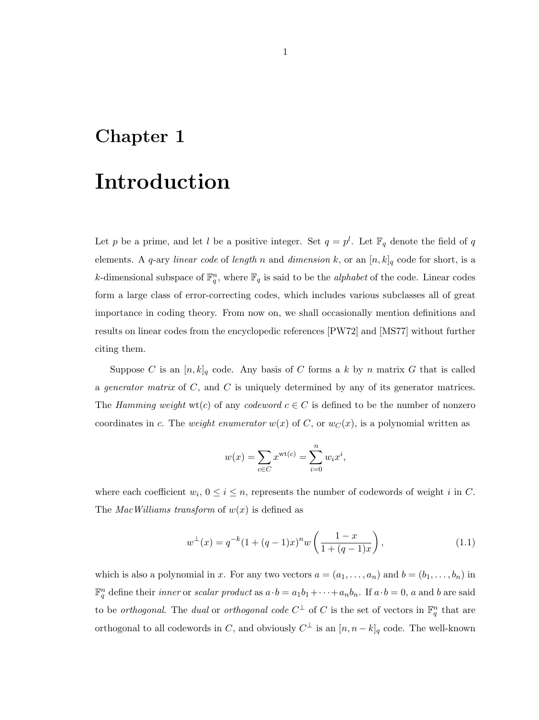### Chapter 1

## Introduction

Let p be a prime, and let l be a positive integer. Set  $q = p^l$ . Let  $\mathbb{F}_q$  denote the field of q elements. A q-ary linear code of length n and dimension k, or an  $[n, k]_q$  code for short, is a k-dimensional subspace of  $\mathbb{F}_q^n$ , where  $\mathbb{F}_q$  is said to be the *alphabet* of the code. Linear codes form a large class of error-correcting codes, which includes various subclasses all of great importance in coding theory. From now on, we shall occasionally mention definitions and results on linear codes from the encyclopedic references [PW72] and [MS77] without further citing them.

Suppose C is an  $[n, k]_q$  code. Any basis of C forms a k by n matrix G that is called a generator matrix of  $C$ , and  $C$  is uniquely determined by any of its generator matrices. The Hamming weight wt(c) of any codeword  $c \in C$  is defined to be the number of nonzero coordinates in c. The weight enumerator  $w(x)$  of C, or  $w_C(x)$ , is a polynomial written as

$$
w(x) = \sum_{c \in C} x^{\text{wt}(c)} = \sum_{i=0}^{n} w_i x^i,
$$

where each coefficient  $w_i$ ,  $0 \le i \le n$ , represents the number of codewords of weight i in C. The *MacWilliams transform* of  $w(x)$  is defined as

$$
w^{\perp}(x) = q^{-k}(1 + (q-1)x)^n w\left(\frac{1-x}{1 + (q-1)x}\right),
$$
\n(1.1)

which is also a polynomial in x. For any two vectors  $a = (a_1, \ldots, a_n)$  and  $b = (b_1, \ldots, b_n)$  in  $\mathbb{F}_q^n$  define their *inner* or *scalar product* as  $a \cdot b = a_1b_1 + \cdots + a_nb_n$ . If  $a \cdot b = 0$ , a and b are said to be *orthogonal*. The *dual* or *orthogonal code*  $C^{\perp}$  of C is the set of vectors in  $\mathbb{F}_q^n$  that are orthogonal to all codewords in C, and obviously  $C^{\perp}$  is an  $[n, n-k]_q$  code. The well-known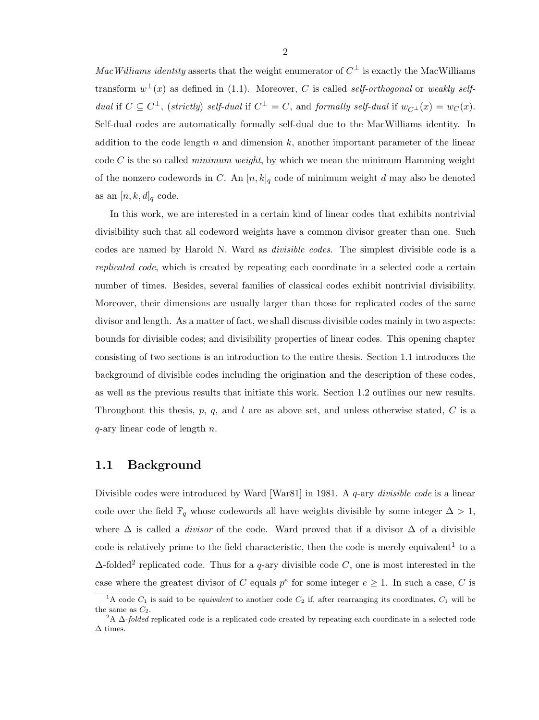MacWilliams identity asserts that the weight enumerator of  $C^{\perp}$  is exactly the MacWilliams transform  $w^{\perp}(x)$  as defined in (1.1). Moreover, C is called self-orthogonal or weakly selfdual if  $C \subseteq C^{\perp}$ , (strictly) self-dual if  $C^{\perp} = C$ , and formally self-dual if  $w_{C^{\perp}}(x) = w_{C}(x)$ . Self-dual codes are automatically formally self-dual due to the MacWilliams identity. In addition to the code length n and dimension k, another important parameter of the linear code C is the so called *minimum weight*, by which we mean the minimum Hamming weight of the nonzero codewords in C. An  $[n, k]_q$  code of minimum weight d may also be denoted as an  $[n, k, d]_q$  code.

In this work, we are interested in a certain kind of linear codes that exhibits nontrivial divisibility such that all codeword weights have a common divisor greater than one. Such codes are named by Harold N. Ward as divisible codes. The simplest divisible code is a replicated code, which is created by repeating each coordinate in a selected code a certain number of times. Besides, several families of classical codes exhibit nontrivial divisibility. Moreover, their dimensions are usually larger than those for replicated codes of the same divisor and length. As a matter of fact, we shall discuss divisible codes mainly in two aspects: bounds for divisible codes; and divisibility properties of linear codes. This opening chapter consisting of two sections is an introduction to the entire thesis. Section 1.1 introduces the background of divisible codes including the origination and the description of these codes, as well as the previous results that initiate this work. Section 1.2 outlines our new results. Throughout this thesis,  $p, q$ , and l are as above set, and unless otherwise stated, C is a  $q$ -ary linear code of length n.

### 1.1 Background

Divisible codes were introduced by Ward [War81] in 1981. A q-ary *divisible code* is a linear code over the field  $\mathbb{F}_q$  whose codewords all have weights divisible by some integer  $\Delta > 1$ , where  $\Delta$  is called a *divisor* of the code. Ward proved that if a divisor  $\Delta$  of a divisible code is relatively prime to the field characteristic, then the code is merely equivalent<sup>1</sup> to a  $\Delta$ -folded<sup>2</sup> replicated code. Thus for a q-ary divisible code C, one is most interested in the case where the greatest divisor of C equals  $p^e$  for some integer  $e \geq 1$ . In such a case, C is

<sup>&</sup>lt;sup>1</sup>A code  $C_1$  is said to be *equivalent* to another code  $C_2$  if, after rearranging its coordinates,  $C_1$  will be the same as  $C_2$ .

<sup>&</sup>lt;sup>2</sup>A  $\Delta$ -*folded* replicated code is a replicated code created by repeating each coordinate in a selected code  $\Delta$  times.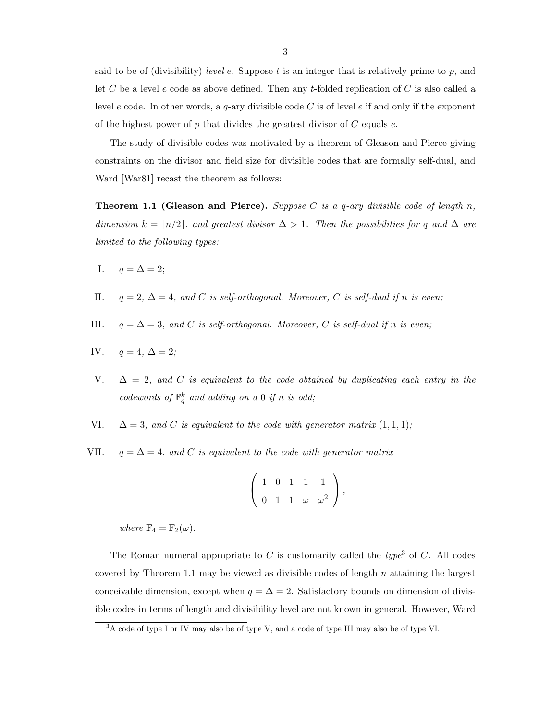said to be of (divisibility) level e. Suppose t is an integer that is relatively prime to p, and let C be a level e code as above defined. Then any t-folded replication of C is also called a level e code. In other words, a q-ary divisible code C is of level e if and only if the exponent of the highest power of p that divides the greatest divisor of  $C$  equals  $e$ .

The study of divisible codes was motivated by a theorem of Gleason and Pierce giving constraints on the divisor and field size for divisible codes that are formally self-dual, and Ward [War81] recast the theorem as follows:

**Theorem 1.1 (Gleason and Pierce).** Suppose C is a q-ary divisible code of length n, dimension  $k = \lfloor n/2 \rfloor$ , and greatest divisor  $\Delta > 1$ . Then the possibilities for q and  $\Delta$  are limited to the following types:

- I.  $q = \Delta = 2$ ;
- II.  $q = 2$ ,  $\Delta = 4$ , and C is self-orthogonal. Moreover, C is self-dual if n is even;
- III.  $q = \Delta = 3$ , and C is self-orthogonal. Moreover, C is self-dual if n is even;

IV. 
$$
q = 4, \Delta = 2;
$$

- V.  $\Delta = 2$ , and C is equivalent to the code obtained by duplicating each entry in the codewords of  $\mathbb{F}_q^k$  and adding on a 0 if n is odd;
- VI.  $\Delta = 3$ , and C is equivalent to the code with generator matrix (1, 1, 1);
- VII.  $q = \Delta = 4$ , and C is equivalent to the code with generator matrix

$$
\left(\begin{array}{cccc} 1 & 0 & 1 & 1 & 1 \\ 0 & 1 & 1 & \omega & \omega^2 \end{array}\right),
$$

where  $\mathbb{F}_4 = \mathbb{F}_2(\omega)$ .

The Roman numeral appropriate to C is customarily called the type<sup>3</sup> of C. All codes covered by Theorem 1.1 may be viewed as divisible codes of length  $n$  attaining the largest conceivable dimension, except when  $q = \Delta = 2$ . Satisfactory bounds on dimension of divisible codes in terms of length and divisibility level are not known in general. However, Ward

 $3A$  code of type I or IV may also be of type V, and a code of type III may also be of type VI.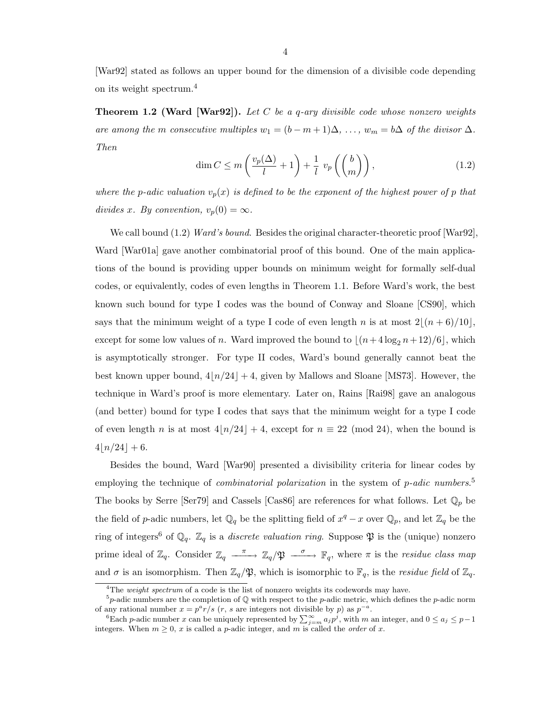[War92] stated as follows an upper bound for the dimension of a divisible code depending on its weight spectrum.<sup>4</sup>

**Theorem 1.2 (Ward [War92]).** Let C be a q-ary divisible code whose nonzero weights are among the m consecutive multiples  $w_1 = (b - m + 1)\Delta, \ldots, w_m = b\Delta$  of the divisor  $\Delta$ . Then

$$
\dim C \le m \left( \frac{v_p(\Delta)}{l} + 1 \right) + \frac{1}{l} v_p \left( \binom{b}{m} \right),\tag{1.2}
$$

where the p-adic valuation  $v_p(x)$  is defined to be the exponent of the highest power of p that divides x. By convention,  $v_p(0) = \infty$ .

We call bound (1.2) Ward's bound. Besides the original character-theoretic proof [War92], Ward [War01a] gave another combinatorial proof of this bound. One of the main applications of the bound is providing upper bounds on minimum weight for formally self-dual codes, or equivalently, codes of even lengths in Theorem 1.1. Before Ward's work, the best known such bound for type I codes was the bound of Conway and Sloane [CS90], which says that the minimum weight of a type I code of even length n is at most  $2|(n + 6)/10|$ , except for some low values of n. Ward improved the bound to  $\lfloor (n+4\log_2 n+ 12)/6 \rfloor$ , which is asymptotically stronger. For type II codes, Ward's bound generally cannot beat the best known upper bound,  $4n/24$  + 4, given by Mallows and Sloane [MS73]. However, the technique in Ward's proof is more elementary. Later on, Rains [Rai98] gave an analogous (and better) bound for type I codes that says that the minimum weight for a type I code of even length n is at most  $4\lfloor n/24 \rfloor + 4$ , except for  $n \equiv 22 \pmod{24}$ , when the bound is  $4|n/24| + 6.$ 

Besides the bound, Ward [War90] presented a divisibility criteria for linear codes by employing the technique of *combinatorial polarization* in the system of *p-adic numbers*.<sup>5</sup> The books by Serre [Ser79] and Cassels [Cas86] are references for what follows. Let  $\mathbb{Q}_p$  be the field of p-adic numbers, let  $\mathbb{Q}_q$  be the splitting field of  $x^q - x$  over  $\mathbb{Q}_p$ , and let  $\mathbb{Z}_q$  be the ring of integers<sup>6</sup> of  $\mathbb{Q}_q$ .  $\mathbb{Z}_q$  is a *discrete valuation ring*. Suppose  $\mathfrak{P}$  is the (unique) nonzero prime ideal of  $\mathbb{Z}_q$ . Consider  $\mathbb{Z}_q \longrightarrow \mathbb{Z}_q/\mathfrak{P} \longrightarrow \mathbb{F}_q$ , where  $\pi$  is the *residue class map* and  $\sigma$  is an isomorphism. Then  $\mathbb{Z}_q/\mathfrak{P}$ , which is isomorphic to  $\mathbb{F}_q$ , is the *residue field* of  $\mathbb{Z}_q$ .

<sup>&</sup>lt;sup>4</sup>The *weight spectrum* of a code is the list of nonzero weights its codewords may have.

<sup>&</sup>lt;sup>5</sup>p-adic numbers are the completion of  $\mathbb Q$  with respect to the p-adic metric, which defines the p-adic norm of any rational number  $x = p^a r/s$  (*r*, *s* are integers not divisible by *p*) as  $p^{-a}$ .

<sup>&</sup>lt;sup>6</sup>Each p-adic number x can be uniquely represented by  $\sum_{j=m}^{\infty} a_j p^j$ , with m an integer, and  $0 \le a_j \le p-1$ integers. When  $m \geq 0$ , x is called a p-adic integer, and m is called the *order* of x.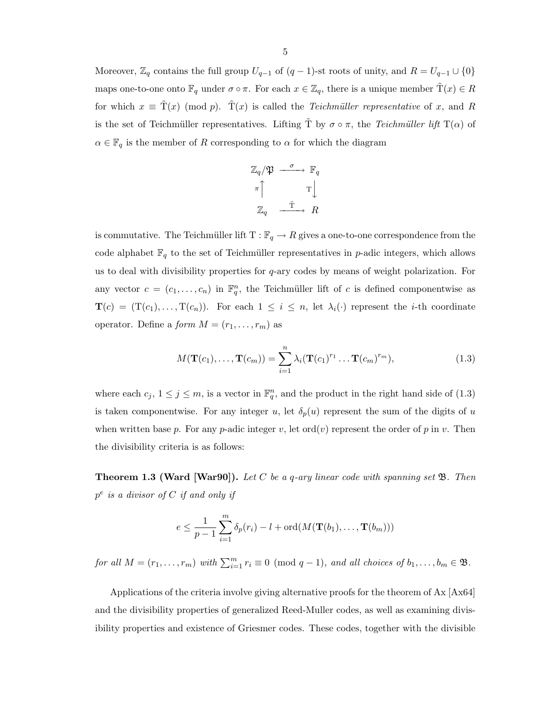Moreover,  $\mathbb{Z}_q$  contains the full group  $U_{q-1}$  of  $(q-1)$ -st roots of unity, and  $R = U_{q-1} \cup \{0\}$ maps one-to-one onto  $\mathbb{F}_q$  under  $\sigma \circ \pi$ . For each  $x \in \mathbb{Z}_q$ , there is a unique member  $\tilde{T}(x) \in R$ for which  $x \equiv \tilde{T}(x) \pmod{p}$ .  $\tilde{T}(x)$  is called the *Teichmüller representative* of x, and R is the set of Teichmüller representatives. Lifting  $\tilde{T}$  by  $\sigma \circ \pi$ , the Teichmüller lift T( $\alpha$ ) of  $\alpha \in \mathbb{F}_q$  is the member of R corresponding to  $\alpha$  for which the diagram

$$
\mathbb{Z}_q/\mathfrak{P} \xrightarrow{\sigma} \mathbb{F}_q
$$

$$
\pi \uparrow \qquad \qquad \mathcal{T} \downarrow
$$

$$
\mathbb{Z}_q \xrightarrow{\tilde{\mathcal{T}}} R
$$

is commutative. The Teichmüller lift  $T : \mathbb{F}_q \to R$  gives a one-to-one correspondence from the code alphabet  $\mathbb{F}_q$  to the set of Teichmüller representatives in p-adic integers, which allows us to deal with divisibility properties for  $q$ -ary codes by means of weight polarization. For any vector  $c = (c_1, \ldots, c_n)$  in  $\mathbb{F}_q^n$ , the Teichmüller lift of c is defined componentwise as  $\mathbf{T}(c) = (\mathbf{T}(c_1), \ldots, \mathbf{T}(c_n)).$  For each  $1 \leq i \leq n$ , let  $\lambda_i(\cdot)$  represent the *i*-th coordinate operator. Define a *form*  $M = (r_1, \ldots, r_m)$  as

$$
M(\mathbf{T}(c_1),\ldots,\mathbf{T}(c_m))=\sum_{i=1}^n\lambda_i(\mathbf{T}(c_1)^{r_1}\ldots\mathbf{T}(c_m)^{r_m}),
$$
\n(1.3)

where each  $c_j$ ,  $1 \leq j \leq m$ , is a vector in  $\mathbb{F}_q^n$ , and the product in the right hand side of (1.3) is taken componentwise. For any integer u, let  $\delta_p(u)$  represent the sum of the digits of u when written base p. For any p-adic integer v, let  $\text{ord}(v)$  represent the order of p in v. Then the divisibility criteria is as follows:

**Theorem 1.3 (Ward [War90]).** Let C be a q-ary linear code with spanning set  $\mathfrak{B}$ . Then  $p^e$  is a divisor of C if and only if

$$
e \leq \frac{1}{p-1} \sum_{i=1}^{m} \delta_p(r_i) - l + \text{ord}(M(\mathbf{T}(b_1), \dots, \mathbf{T}(b_m)))
$$

for all  $M = (r_1, \ldots, r_m)$  with  $\sum_{i=1}^m r_i \equiv 0 \pmod{q-1}$ , and all choices of  $b_1, \ldots, b_m \in \mathfrak{B}$ .

Applications of the criteria involve giving alternative proofs for the theorem of Ax [Ax64] and the divisibility properties of generalized Reed-Muller codes, as well as examining divisibility properties and existence of Griesmer codes. These codes, together with the divisible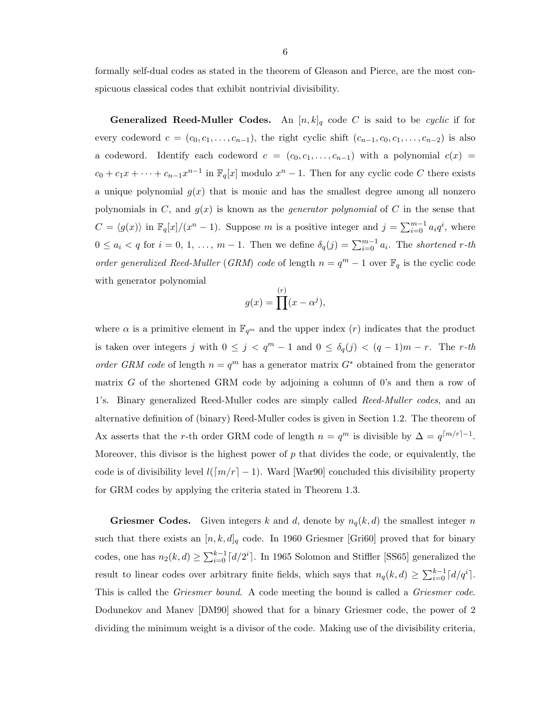formally self-dual codes as stated in the theorem of Gleason and Pierce, are the most conspicuous classical codes that exhibit nontrivial divisibility.

**Generalized Reed-Muller Codes.** An  $[n, k]_q$  code C is said to be cyclic if for every codeword  $c = (c_0, c_1, \ldots, c_{n-1})$ , the right cyclic shift  $(c_{n-1}, c_0, c_1, \ldots, c_{n-2})$  is also a codeword. Identify each codeword  $c = (c_0, c_1, \ldots, c_{n-1})$  with a polynomial  $c(x)$  $c_0 + c_1x + \cdots + c_{n-1}x^{n-1}$  in  $\mathbb{F}_q[x]$  modulo  $x^n - 1$ . Then for any cyclic code C there exists a unique polynomial  $g(x)$  that is monic and has the smallest degree among all nonzero polynomials in C, and  $g(x)$  is known as the *generator polynomial* of C in the sense that  $C = \langle g(x) \rangle$  in  $\mathbb{F}_q[x]/(x^n - 1)$ . Suppose m is a positive integer and  $j = \sum_{i=0}^{m-1} a_i q^i$ , where  $0 \le a_i < q$  for  $i = 0, 1, \ldots, m - 1$ . Then we define  $\delta_q(j) = \sum_{i=0}^{m-1} a_i$ . The shortened r-th order generalized Reed-Muller (GRM) code of length  $n = q<sup>m</sup> - 1$  over  $\mathbb{F}_q$  is the cyclic code with generator polynomial

$$
g(x) = \prod^{(r)} (x - \alpha^j),
$$

where  $\alpha$  is a primitive element in  $\mathbb{F}_{q^m}$  and the upper index (r) indicates that the product is taken over integers j with  $0 \leq j \leq q^m - 1$  and  $0 \leq \delta_q(j) \leq (q-1)m - r$ . The r-th order GRM code of length  $n = q<sup>m</sup>$  has a generator matrix  $G^*$  obtained from the generator matrix G of the shortened GRM code by adjoining a column of  $0$ 's and then a row of 1's. Binary generalized Reed-Muller codes are simply called Reed-Muller codes, and an alternative definition of (binary) Reed-Muller codes is given in Section 1.2. The theorem of Ax asserts that the r-th order GRM code of length  $n = q^m$  is divisible by  $\Delta = q^{m/r-1}$ . Moreover, this divisor is the highest power of  $p$  that divides the code, or equivalently, the code is of divisibility level  $l([m/r] - 1)$ . Ward [War90] concluded this divisibility property for GRM codes by applying the criteria stated in Theorem 1.3.

**Griesmer Codes.** Given integers k and d, denote by  $n_q(k, d)$  the smallest integer n such that there exists an  $[n, k, d]_q$  code. In 1960 Griesmer [Gri60] proved that for binary codes, one has  $n_2(k, d) \ge \sum_{i=0}^{k-1} \lceil d/2^i \rceil$ . In 1965 Solomon and Stiffler [SS65] generalized the result to linear codes over arbitrary finite fields, which says that  $n_q(k,d) \geq \sum_{i=0}^{k-1} \lceil d/q^i \rceil$ . This is called the Griesmer bound. A code meeting the bound is called a Griesmer code. Dodunekov and Manev [DM90] showed that for a binary Griesmer code, the power of 2 dividing the minimum weight is a divisor of the code. Making use of the divisibility criteria,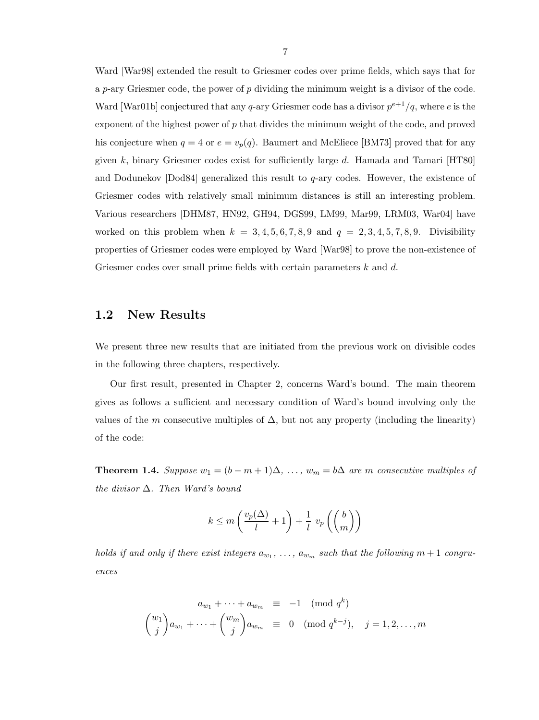Ward [War98] extended the result to Griesmer codes over prime fields, which says that for a p-ary Griesmer code, the power of p dividing the minimum weight is a divisor of the code. Ward [War01b] conjectured that any q-ary Griesmer code has a divisor  $p^{e+1}/q$ , where e is the exponent of the highest power of  $p$  that divides the minimum weight of the code, and proved his conjecture when  $q = 4$  or  $e = v_p(q)$ . Baumert and McEliece [BM73] proved that for any given k, binary Griesmer codes exist for sufficiently large d. Hamada and Tamari  $[HT80]$ and Dodunekov  $[Dod84]$  generalized this result to  $q$ -ary codes. However, the existence of Griesmer codes with relatively small minimum distances is still an interesting problem. Various researchers [DHM87, HN92, GH94, DGS99, LM99, Mar99, LRM03, War04] have worked on this problem when  $k = 3, 4, 5, 6, 7, 8, 9$  and  $q = 2, 3, 4, 5, 7, 8, 9$ . Divisibility properties of Griesmer codes were employed by Ward [War98] to prove the non-existence of Griesmer codes over small prime fields with certain parameters k and d.

### 1.2 New Results

We present three new results that are initiated from the previous work on divisible codes in the following three chapters, respectively.

Our first result, presented in Chapter 2, concerns Ward's bound. The main theorem gives as follows a sufficient and necessary condition of Ward's bound involving only the values of the m consecutive multiples of  $\Delta$ , but not any property (including the linearity) of the code:

**Theorem 1.4.** Suppose  $w_1 = (b - m + 1)\Delta, \ldots, w_m = b\Delta$  are m consecutive multiples of the divisor  $\Delta$ . Then Ward's bound

$$
k \le m\left(\frac{v_p(\Delta)}{l} + 1\right) + \frac{1}{l} v_p\left(\binom{b}{m}\right)
$$

holds if and only if there exist integers  $a_{w_1}, \ldots, a_{w_m}$  such that the following  $m+1$  congruences

$$
a_{w_1} + \dots + a_{w_m} \equiv -1 \pmod{q^k}
$$

$$
{w_1 \choose j} a_{w_1} + \dots + {w_m \choose j} a_{w_m} \equiv 0 \pmod{q^{k-j}}, \quad j = 1, 2, \dots, m
$$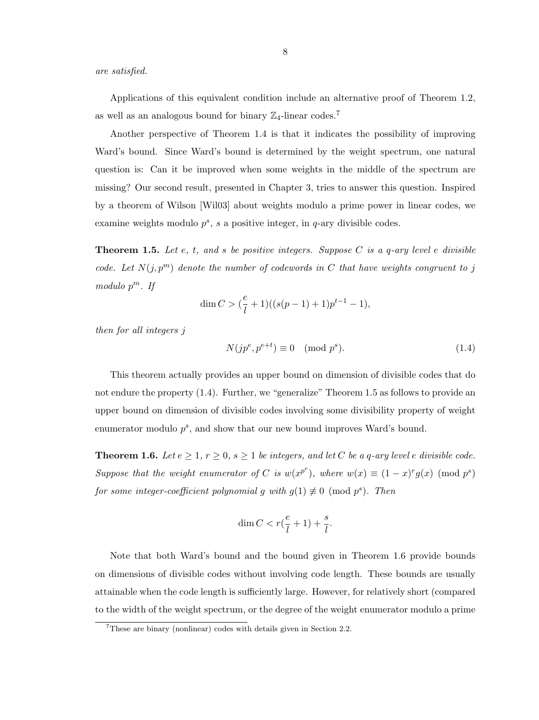are satisfied.

Applications of this equivalent condition include an alternative proof of Theorem 1.2, as well as an analogous bound for binary  $\mathbb{Z}_4$ -linear codes.<sup>7</sup>

Another perspective of Theorem 1.4 is that it indicates the possibility of improving Ward's bound. Since Ward's bound is determined by the weight spectrum, one natural question is: Can it be improved when some weights in the middle of the spectrum are missing? Our second result, presented in Chapter 3, tries to answer this question. Inspired by a theorem of Wilson [Wil03] about weights modulo a prime power in linear codes, we examine weights modulo  $p^s$ , s a positive integer, in q-ary divisible codes.

**Theorem 1.5.** Let e, t, and s be positive integers. Suppose C is a q-ary level e divisible code. Let  $N(j, p<sup>m</sup>)$  denote the number of codewords in C that have weights congruent to j modulo  $p^m$ . If

$$
\dim C > (\frac{e}{l} + 1)((s(p-1) + 1)p^{t-1} - 1),
$$

then for all integers j

$$
N(jp^e, p^{e+t}) \equiv 0 \pmod{p^s}.
$$
\n(1.4)

This theorem actually provides an upper bound on dimension of divisible codes that do not endure the property (1.4). Further, we "generalize" Theorem 1.5 as follows to provide an upper bound on dimension of divisible codes involving some divisibility property of weight enumerator modulo  $p^s$ , and show that our new bound improves Ward's bound.

**Theorem 1.6.** Let  $e \geq 1$ ,  $r \geq 0$ ,  $s \geq 1$  be integers, and let C be a q-ary level e divisible code. Suppose that the weight enumerator of C is  $w(x^{p^e})$ , where  $w(x) \equiv (1-x)^r g(x) \pmod{p^s}$ for some integer-coefficient polynomial g with  $g(1) \not\equiv 0 \pmod{p^s}$ . Then

$$
\dim C < r(\frac{e}{l} + 1) + \frac{s}{l}.
$$

Note that both Ward's bound and the bound given in Theorem 1.6 provide bounds on dimensions of divisible codes without involving code length. These bounds are usually attainable when the code length is sufficiently large. However, for relatively short (compared to the width of the weight spectrum, or the degree of the weight enumerator modulo a prime

<sup>7</sup>These are binary (nonlinear) codes with details given in Section 2.2.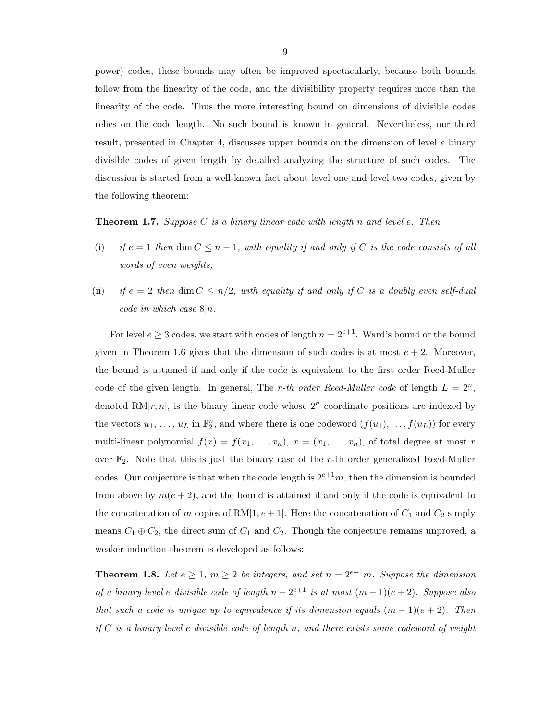power) codes, these bounds may often be improved spectacularly, because both bounds follow from the linearity of the code, and the divisibility property requires more than the linearity of the code. Thus the more interesting bound on dimensions of divisible codes relies on the code length. No such bound is known in general. Nevertheless, our third result, presented in Chapter 4, discusses upper bounds on the dimension of level e binary divisible codes of given length by detailed analyzing the structure of such codes. The discussion is started from a well-known fact about level one and level two codes, given by the following theorem:

**Theorem 1.7.** Suppose C is a binary linear code with length n and level e. Then

- (i) if  $e = 1$  then dim  $C \leq n 1$ , with equality if and only if C is the code consists of all words of even weights;
- (ii) if  $e = 2$  then dim  $C \leq n/2$ , with equality if and only if C is a doubly even self-dual code in which case  $8|n$ .

For level  $e \geq 3$  codes, we start with codes of length  $n = 2^{e+1}$ . Ward's bound or the bound given in Theorem 1.6 gives that the dimension of such codes is at most  $e + 2$ . Moreover, the bound is attained if and only if the code is equivalent to the first order Reed-Muller code of the given length. In general, The r-th order Reed-Muller code of length  $L = 2<sup>n</sup>$ , denoted RM $[r, n]$ , is the binary linear code whose  $2<sup>n</sup>$  coordinate positions are indexed by the vectors  $u_1, \ldots, u_L$  in  $\mathbb{F}_2^n$ , and where there is one codeword  $(f(u_1), \ldots, f(u_L))$  for every multi-linear polynomial  $f(x) = f(x_1, \ldots, x_n)$ ,  $x = (x_1, \ldots, x_n)$ , of total degree at most r over  $\mathbb{F}_2$ . Note that this is just the binary case of the r-th order generalized Reed-Muller codes. Our conjecture is that when the code length is  $2^{e+1}m$ , then the dimension is bounded from above by  $m(e + 2)$ , and the bound is attained if and only if the code is equivalent to the concatenation of m copies of RM[1,  $e + 1$ ]. Here the concatenation of  $C_1$  and  $C_2$  simply means  $C_1 \oplus C_2$ , the direct sum of  $C_1$  and  $C_2$ . Though the conjecture remains unproved, a weaker induction theorem is developed as follows:

**Theorem 1.8.** Let  $e \geq 1$ ,  $m \geq 2$  be integers, and set  $n = 2^{e+1}m$ . Suppose the dimension of a binary level e divisible code of length  $n-2^{e+1}$  is at most  $(m-1)(e+2)$ . Suppose also that such a code is unique up to equivalence if its dimension equals  $(m-1)(e+2)$ . Then if  $C$  is a binary level e divisible code of length n, and there exists some codeword of weight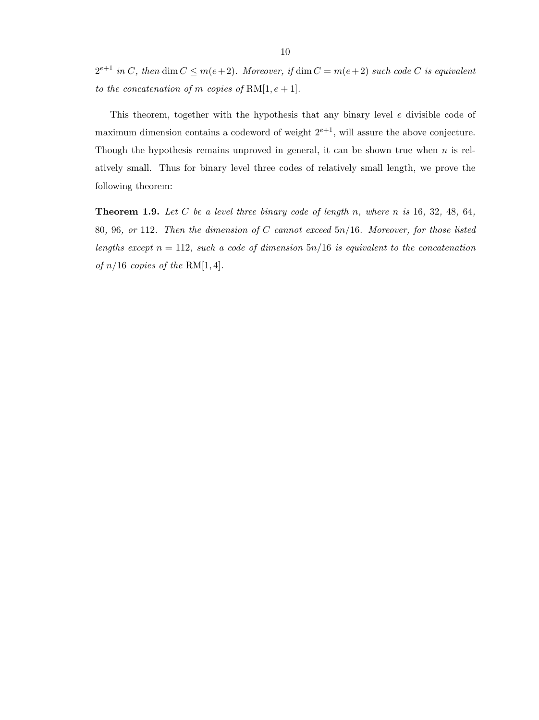$2^{e+1}$  in C, then  $\dim C \leq m(e+2)$ . Moreover, if  $\dim C = m(e+2)$  such code C is equivalent to the concatenation of m copies of  $RM[1, e+1]$ .

This theorem, together with the hypothesis that any binary level e divisible code of maximum dimension contains a codeword of weight  $2^{e+1}$ , will assure the above conjecture. Though the hypothesis remains unproved in general, it can be shown true when  $n$  is relatively small. Thus for binary level three codes of relatively small length, we prove the following theorem:

**Theorem 1.9.** Let C be a level three binary code of length n, where n is 16, 32, 48, 64, 80, 96, or 112. Then the dimension of C cannot exceed 5n/16. Moreover, for those listed lengths except  $n = 112$ , such a code of dimension  $5n/16$  is equivalent to the concatenation of  $n/16$  copies of the RM[1, 4].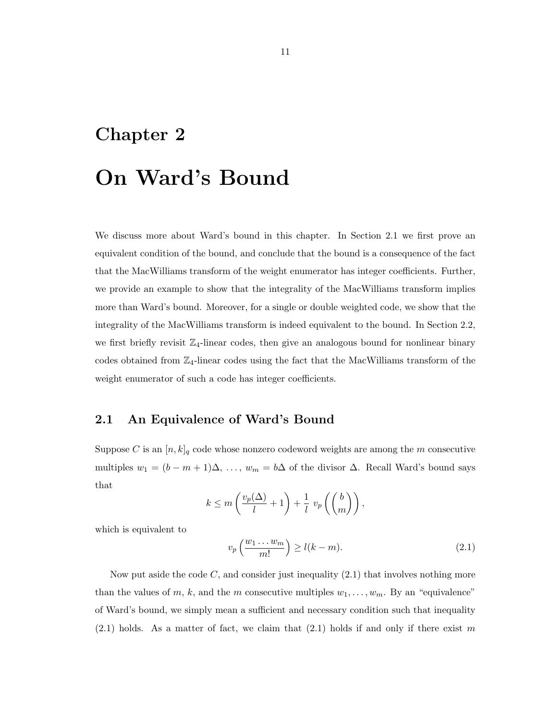### Chapter 2

## On Ward's Bound

We discuss more about Ward's bound in this chapter. In Section 2.1 we first prove an equivalent condition of the bound, and conclude that the bound is a consequence of the fact that the MacWilliams transform of the weight enumerator has integer coefficients. Further, we provide an example to show that the integrality of the MacWilliams transform implies more than Ward's bound. Moreover, for a single or double weighted code, we show that the integrality of the MacWilliams transform is indeed equivalent to the bound. In Section 2.2, we first briefly revisit  $\mathbb{Z}_4$ -linear codes, then give an analogous bound for nonlinear binary codes obtained from  $\mathbb{Z}_4$ -linear codes using the fact that the MacWilliams transform of the weight enumerator of such a code has integer coefficients.

### 2.1 An Equivalence of Ward's Bound

Suppose C is an  $[n, k]_q$  code whose nonzero codeword weights are among the m consecutive multiples  $w_1 = (b - m + 1)\Delta, \ldots, w_m = b\Delta$  of the divisor  $\Delta$ . Recall Ward's bound says that

$$
k \le m \left( \frac{v_p(\Delta)}{l} + 1 \right) + \frac{1}{l} v_p \left( \binom{b}{m} \right),
$$

which is equivalent to

$$
v_p\left(\frac{w_1\ldots w_m}{m!}\right) \ge l(k-m). \tag{2.1}
$$

Now put aside the code  $C$ , and consider just inequality  $(2.1)$  that involves nothing more than the values of m, k, and the m consecutive multiples  $w_1, \ldots, w_m$ . By an "equivalence" of Ward's bound, we simply mean a sufficient and necessary condition such that inequality  $(2.1)$  holds. As a matter of fact, we claim that  $(2.1)$  holds if and only if there exist m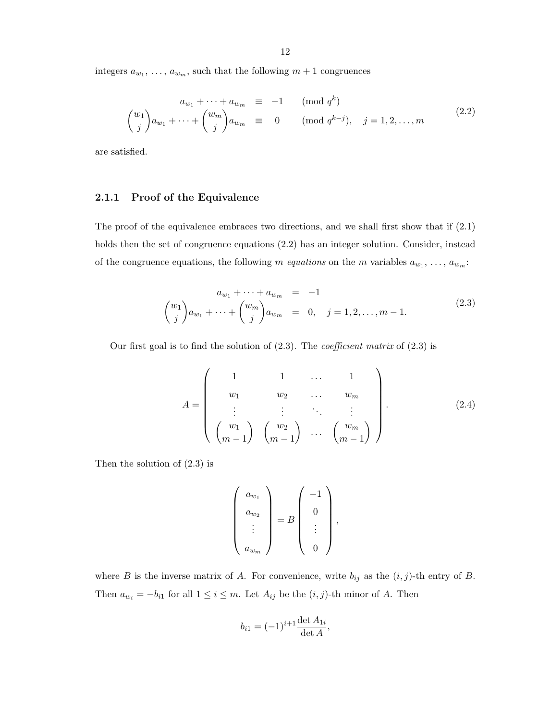integers  $a_{w_1}, \ldots, a_{w_m}$ , such that the following  $m+1$  congruences

$$
a_{w_1} + \dots + a_{w_m} \equiv -1 \qquad (\text{mod } q^k)
$$
  

$$
{w_1 \choose j} a_{w_1} + \dots + {w_m \choose j} a_{w_m} \equiv 0 \qquad (\text{mod } q^{k-j}), \quad j = 1, 2, \dots, m
$$
 (2.2)

are satisfied.

#### 2.1.1 Proof of the Equivalence

The proof of the equivalence embraces two directions, and we shall first show that if (2.1) holds then the set of congruence equations (2.2) has an integer solution. Consider, instead of the congruence equations, the following m *equations* on the m variables  $a_{w_1}, \ldots, a_{w_m}$ :

$$
a_{w_1} + \dots + a_{w_m} = -1
$$
  

$$
{w_1 \choose j} a_{w_1} + \dots + {w_m \choose j} a_{w_m} = 0, \quad j = 1, 2, \dots, m-1.
$$
 (2.3)

Our first goal is to find the solution of  $(2.3)$ . The *coefficient matrix* of  $(2.3)$  is

$$
A = \begin{pmatrix} 1 & 1 & \dots & 1 \\ w_1 & w_2 & \dots & w_m \\ \vdots & \vdots & \ddots & \vdots \\ (w_1 & 0 & \dots & w_m) \\ (m-1) & m-1 & \dots & m-1 \end{pmatrix} .
$$
 (2.4)

Then the solution of (2.3) is

$$
\left(\begin{array}{c} a_{w_1} \\ a_{w_2} \\ \vdots \\ a_{w_m} \end{array}\right) = B \left(\begin{array}{c} -1 \\ 0 \\ \vdots \\ 0 \end{array}\right),
$$

where B is the inverse matrix of A. For convenience, write  $b_{ij}$  as the  $(i, j)$ -th entry of B. Then  $a_{w_i} = -b_{i1}$  for all  $1 \leq i \leq m$ . Let  $A_{ij}$  be the  $(i, j)$ -th minor of A. Then

$$
b_{i1} = (-1)^{i+1} \frac{\det A_{1i}}{\det A},
$$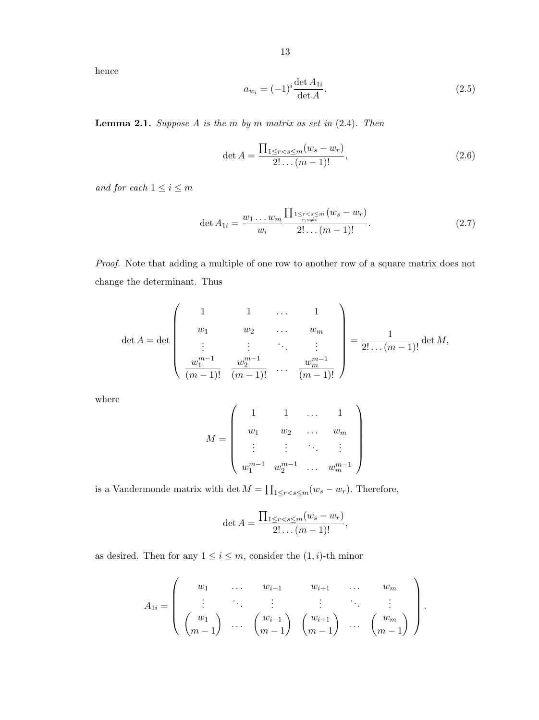hence

$$
a_{w_i} = (-1)^i \frac{\det A_{1i}}{\det A}.
$$
 (2.5)

**Lemma 2.1.** Suppose  $A$  is the  $m$  by  $m$  matrix as set in  $(2.4)$ . Then

$$
\det A = \frac{\prod_{1 \le r < s \le m} (w_s - w_r)}{2! \dots (m - 1)!},\tag{2.6}
$$

and for each  $1\leq i\leq m$ 

$$
\det A_{1i} = \frac{w_1 \dots w_m}{w_i} \frac{\prod_{\substack{1 \le r < s \le m \\ r, s \ne i}} (w_s - w_r)}{2! \dots (m - 1)!}.
$$
\n(2.7)

Proof. Note that adding a multiple of one row to another row of a square matrix does not change the determinant. Thus

$$
\det A = \det \begin{pmatrix} 1 & 1 & \cdots & 1 \\ w_1 & w_2 & \cdots & w_m \\ \vdots & \vdots & \ddots & \vdots \\ w_1^{m-1} & w_2^{m-1} & \cdots & w_m^{m-1} \\ \frac{w_1^{m-1}}{(m-1)!} & \frac{w_2^{m-1}}{(m-1)!} & \cdots & \frac{w_m^{m-1}}{(m-1)!} \end{pmatrix} = \frac{1}{2! \dots (m-1)!} \det M,
$$

where

$$
M = \left(\begin{array}{ccccc} 1 & 1 & \dots & 1 \\ w_1 & w_2 & \dots & w_m \\ \vdots & \vdots & \ddots & \vdots \\ w_1^{m-1} & w_2^{m-1} & \dots & w_m^{m-1} \end{array}\right)
$$

is a Vandermonde matrix with det  $M = \prod_{1 \leq r < s \leq m} (w_s - w_r)$ . Therefore,

$$
\det A = \frac{\prod_{1 \leq r < s \leq m} (w_s - w_r)}{2! \dots (m-1)!},
$$

as desired. Then for any  $1 \leq i \leq m$ , consider the  $(1, i)$ -th minor

$$
A_{1i} = \begin{pmatrix} w_1 & \dots & w_{i-1} & w_{i+1} & \dots & w_m \\ \vdots & \ddots & \vdots & \vdots & \ddots & \vdots \\ w_1 & \dots & w_{i-1} & w_{i+1} & \dots & w_m \\ m-1 & \dots & m-1 & m-1 & \dots & m-1 \end{pmatrix}.
$$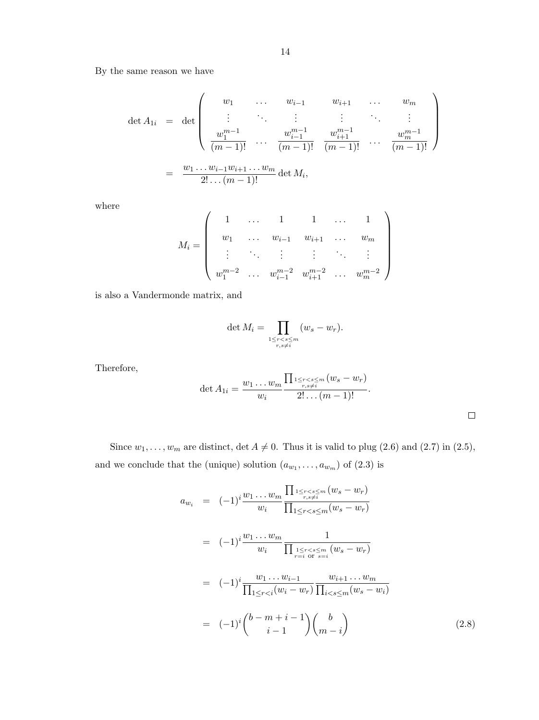By the same reason we have

$$
\det A_{1i} = \det \begin{pmatrix} w_1 & \cdots & w_{i-1} & w_{i+1} & \cdots & w_m \\ \vdots & \ddots & \vdots & \vdots & \ddots & \vdots \\ w_1^{m-1} & \cdots & w_{i-1}^{m-1} & w_{i+1}^{m-1} \\ \frac{w_1^{m-1}}{(m-1)!} & \cdots & \frac{w_{i+1}^{m-1}}{(m-1)!} & \cdots & \frac{w_m^{m-1}}{(m-1)!} \end{pmatrix}
$$
  
=  $\frac{w_1 \cdots w_{i-1} w_{i+1} \cdots w_m}{2! \cdots (m-1)!}$  det  $M_i$ ,

where

$$
M_{i} = \left(\begin{array}{cccccc} 1 & \dots & 1 & 1 & \dots & 1 \\ w_{1} & \dots & w_{i-1} & w_{i+1} & \dots & w_{m} \\ \vdots & \ddots & \vdots & \vdots & \ddots & \vdots \\ w_{1}^{m-2} & \dots & w_{i-1}^{m-2} & w_{i+1}^{m-2} & \dots & w_{m}^{m-2} \end{array}\right)
$$

is also a Vandermonde matrix, and

$$
\det M_i = \prod_{\substack{1 \le r < s \le m \\ r, s \ne i}} (w_s - w_r).
$$

Therefore,

det 
$$
A_{1i} = \frac{w_1 \dots w_m}{w_i} \frac{\prod_{\substack{1 \le r < s \le m \\ r, s \ne i}} (w_s - w_r)}{2! \dots (m - 1)!}
$$
.

Since  $w_1, \ldots, w_m$  are distinct,  $\det A \neq 0$ . Thus it is valid to plug (2.6) and (2.7) in (2.5), and we conclude that the (unique) solution  $(a_{w_1}, \ldots, a_{w_m})$  of  $(2.3)$  is

$$
a_{w_i} = (-1)^i \frac{w_1 \dots w_m}{w_i} \frac{\prod_{\substack{1 \le r < s \le m \\ r, s \ne i}} (w_s - w_r)}{\prod_{\substack{1 \le r < s \le m \\ v_i}} (w_s - w_r)}
$$
\n
$$
= (-1)^i \frac{w_1 \dots w_m}{w_i} \frac{1}{\prod_{\substack{1 \le r < s \le m \\ r = i \text{ or } s = i}} (w_s - w_r)}
$$
\n
$$
= (-1)^i \frac{w_1 \dots w_{i-1}}{\prod_{1 \le r < i} (w_i - w_r)} \frac{w_{i+1} \dots w_m}{\prod_{i < s \le m} (w_s - w_i)}
$$
\n
$$
= (-1)^i {b - m + i - 1 \choose i - 1} {b \choose m - i} \qquad (2.8)
$$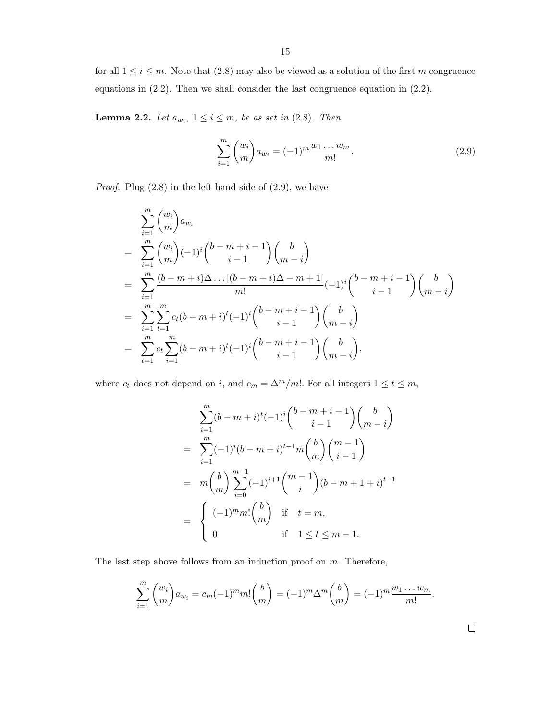for all  $1 \leq i \leq m$ . Note that  $(2.8)$  may also be viewed as a solution of the first m congruence equations in (2.2). Then we shall consider the last congruence equation in (2.2).

**Lemma 2.2.** Let  $a_{w_i}$ ,  $1 \leq i \leq m$ , be as set in (2.8). Then

$$
\sum_{i=1}^{m} \binom{w_i}{m} a_{w_i} = (-1)^m \frac{w_1 \dots w_m}{m!}.
$$
\n(2.9)

*Proof.* Plug  $(2.8)$  in the left hand side of  $(2.9)$ , we have

$$
\sum_{i=1}^{m} {w_i \choose m} a_{w_i}
$$
\n
$$
= \sum_{i=1}^{m} {w_i \choose m} (-1)^i {b-m+i-1 \choose i-1} {b \choose m-i}
$$
\n
$$
= \sum_{i=1}^{m} \frac{(b-m+i)\Delta \dots [(b-m+i)\Delta - m+1]}{m!} (-1)^i {b-m+i-1 \choose i-1} {b \choose m-i}
$$
\n
$$
= \sum_{i=1}^{m} \sum_{t=1}^{m} c_t (b-m+i)^t (-1)^i {b-m+i-1 \choose i-1} {b \choose m-i}
$$
\n
$$
= \sum_{t=1}^{m} c_t \sum_{i=1}^{m} (b-m+i)^t (-1)^i {b-m+i-1 \choose i-1} {b \choose m-i},
$$

where  $c_t$  does not depend on i, and  $c_m = \Delta^m/m!$ . For all integers  $1 \le t \le m$ ,

$$
\sum_{i=1}^{m} (b - m + i)^{t} (-1)^{i} {b - m + i - 1 \choose i - 1} {b \choose m - i}
$$
  
= 
$$
\sum_{i=1}^{m} (-1)^{i} (b - m + i)^{t-1} m {b \choose m} {m - 1 \choose i - 1}
$$
  
= 
$$
m {b \choose m} \sum_{i=0}^{m-1} (-1)^{i+1} {m - 1 \choose i} (b - m + 1 + i)^{t-1}
$$
  
= 
$$
{c \choose m} \text{ if } t = m,
$$
  

$$
0 \text{ if } 1 \le t \le m - 1.
$$

The last step above follows from an induction proof on  $m$ . Therefore,

$$
\sum_{i=1}^{m} {w_i \choose m} a_{w_i} = c_m (-1)^m m! {b \choose m} = (-1)^m \Delta^m {b \choose m} = (-1)^m \frac{w_1 \dots w_m}{m!}.
$$

 $\Box$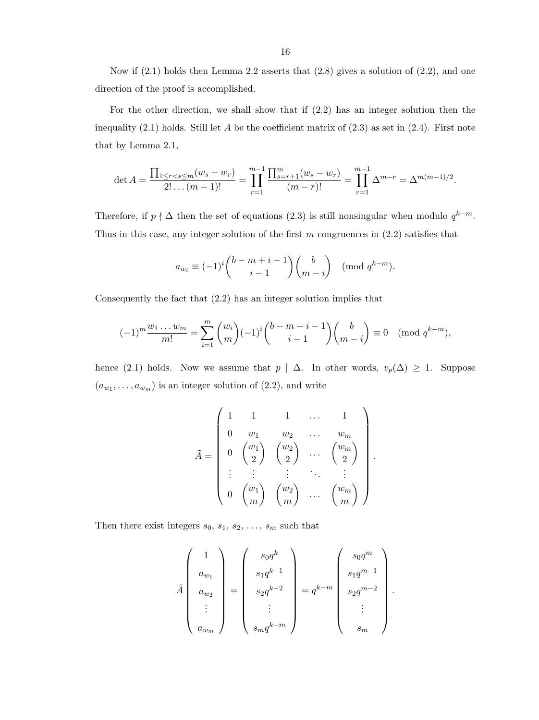Now if  $(2.1)$  holds then Lemma 2.2 asserts that  $(2.8)$  gives a solution of  $(2.2)$ , and one direction of the proof is accomplished.

For the other direction, we shall show that if (2.2) has an integer solution then the inequality  $(2.1)$  holds. Still let A be the coefficient matrix of  $(2.3)$  as set in  $(2.4)$ . First note that by Lemma 2.1,

$$
\det A = \frac{\prod_{1 \leq r < s \leq m} (w_s - w_r)}{2! \dots (m-1)!} = \prod_{r=1}^{m-1} \frac{\prod_{s=r+1}^m (w_s - w_r)}{(m-r)!} = \prod_{r=1}^{m-1} \Delta^{m-r} = \Delta^{m(m-1)/2}.
$$

Therefore, if  $p \nmid \Delta$  then the set of equations (2.3) is still nonsingular when modulo  $q^{k-m}$ . Thus in this case, any integer solution of the first  $m$  congruences in  $(2.2)$  satisfies that

$$
a_{w_i} \equiv (-1)^i \binom{b-m+i-1}{i-1} \binom{b}{m-i} \pmod{q^{k-m}}.
$$

Consequently the fact that (2.2) has an integer solution implies that

$$
(-1)^m \frac{w_1 \dots w_m}{m!} = \sum_{i=1}^m \binom{w_i}{m} (-1)^i \binom{b-m+i-1}{i-1} \binom{b}{m-i} \equiv 0 \pmod{q^{k-m}},
$$

hence (2.1) holds. Now we assume that  $p \mid \Delta$ . In other words,  $v_p(\Delta) \geq 1$ . Suppose  $(a_{w_1}, \ldots, a_{w_m})$  is an integer solution of  $(2.2)$ , and write

$$
\tilde{A} = \begin{pmatrix}\n1 & 1 & 1 & \dots & 1 \\
0 & w_1 & w_2 & \dots & w_m \\
0 & \begin{pmatrix} w_1 \\ 2 \end{pmatrix} & \begin{pmatrix} w_2 \\ 2 \end{pmatrix} & \dots & \begin{pmatrix} w_m \\ 2 \end{pmatrix} \\
\vdots & \vdots & \vdots & \ddots & \vdots \\
0 & \begin{pmatrix} w_1 \\ m \end{pmatrix} & \begin{pmatrix} w_2 \\ m \end{pmatrix} & \dots & \begin{pmatrix} w_m \\ m \end{pmatrix}\n\end{pmatrix}
$$

.

.

Then there exist integers  $s_0, s_1, s_2, \ldots, s_m$  such that

$$
\tilde{A} \begin{pmatrix} 1 \\ a_{w_1} \\ a_{w_2} \\ \vdots \\ a_{w_m} \end{pmatrix} = \begin{pmatrix} s_0 q^k \\ s_1 q^{k-1} \\ s_2 q^{k-2} \\ \vdots \\ s_m q^{k-m} \end{pmatrix} = q^{k-m} \begin{pmatrix} s_0 q^m \\ s_1 q^{m-1} \\ s_2 q^{m-2} \\ \vdots \\ s_m \end{pmatrix}
$$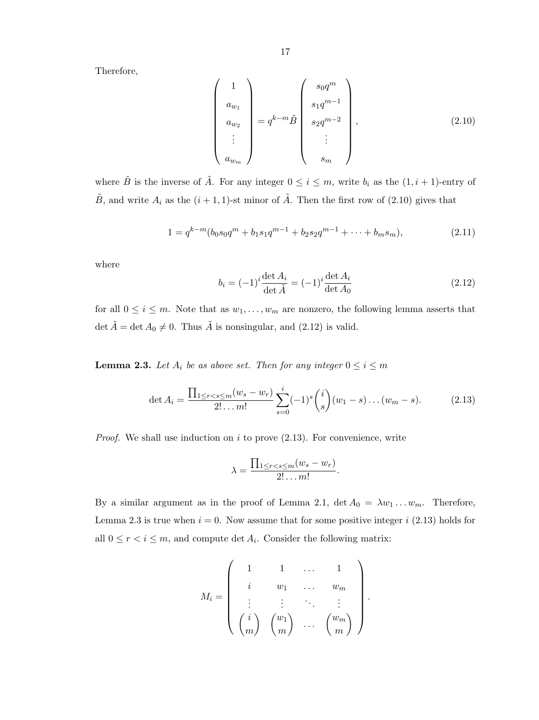Therefore,

$$
\begin{pmatrix}\n1 \\
a_{w_1} \\
a_{w_2} \\
\vdots \\
a_{w_m}\n\end{pmatrix} = q^{k-m} \tilde{B} \begin{pmatrix}\ns_0 q^m \\
s_1 q^{m-1} \\
s_2 q^{m-2} \\
\vdots \\
s_m\n\end{pmatrix},
$$
\n(2.10)

where  $\tilde{B}$  is the inverse of  $\tilde{A}$ . For any integer  $0 \leq i \leq m$ , write  $b_i$  as the  $(1, i + 1)$ -entry of  $\tilde{B}$ , and write  $A_i$  as the  $(i + 1, 1)$ -st minor of  $\tilde{A}$ . Then the first row of (2.10) gives that

$$
1 = q^{k-m} (b_0 s_0 q^m + b_1 s_1 q^{m-1} + b_2 s_2 q^{m-1} + \dots + b_m s_m),
$$
\n(2.11)

where

$$
b_i = (-1)^i \frac{\det A_i}{\det \tilde{A}} = (-1)^i \frac{\det A_i}{\det A_0}
$$
 (2.12)

.

for all  $0 \leq i \leq m$ . Note that as  $w_1, \ldots, w_m$  are nonzero, the following lemma asserts that det  $\tilde{A} = \det A_0 \neq 0$ . Thus  $\tilde{A}$  is nonsingular, and (2.12) is valid.

**Lemma 2.3.** Let  $A_i$  be as above set. Then for any integer  $0 \le i \le m$ 

$$
\det A_i = \frac{\prod_{1 \le r < s \le m} (w_s - w_r)}{2! \dots m!} \sum_{s=0}^i (-1)^s \binom{i}{s} (w_1 - s) \dots (w_m - s). \tag{2.13}
$$

*Proof.* We shall use induction on i to prove  $(2.13)$ . For convenience, write

$$
\lambda = \frac{\prod_{1 \leq r < s \leq m} (w_s - w_r)}{2! \dots m!}.
$$

By a similar argument as in the proof of Lemma 2.1,  $\det A_0 = \lambda w_1 \dots w_m$ . Therefore, Lemma 2.3 is true when  $i = 0$ . Now assume that for some positive integer i (2.13) holds for all  $0 \le r < i \le m$ , and compute det  $A_i$ . Consider the following matrix:

$$
M_i = \left(\begin{array}{ccccc} 1 & 1 & \dots & 1 \\ i & w_1 & \dots & w_m \\ \vdots & \vdots & \ddots & \vdots \\ \binom{i}{m} & \binom{w_1}{m} & \dots & \binom{w_m}{m} \end{array}\right)
$$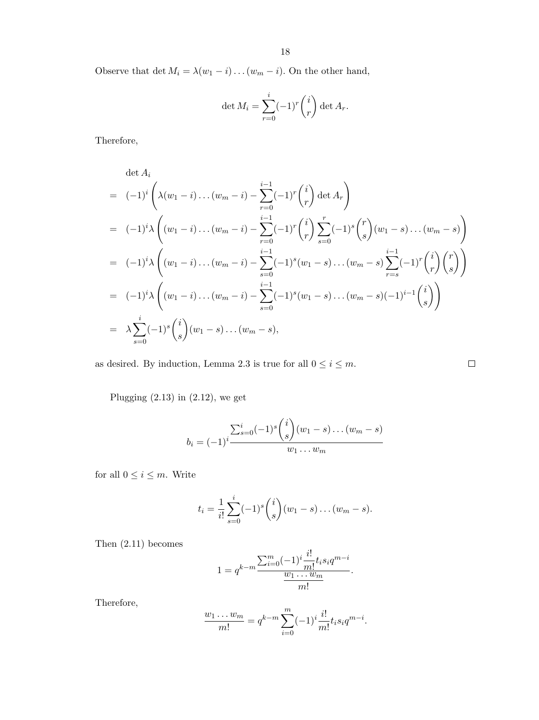Observe that det  $M_i = \lambda (w_1 - i) \dots (w_m - i)$ . On the other hand,

$$
\det M_i = \sum_{r=0}^i (-1)^r \binom{i}{r} \det A_r.
$$

Therefore,

$$
\det A_i
$$
\n
$$
= (-1)^i \left( \lambda (w_1 - i) \dots (w_m - i) - \sum_{r=0}^{i-1} (-1)^r {i \choose r} \det A_r \right)
$$
\n
$$
= (-1)^i \lambda \left( (w_1 - i) \dots (w_m - i) - \sum_{r=0}^{i-1} (-1)^r {i \choose r} \sum_{s=0}^r (-1)^s {r \choose s} (w_1 - s) \dots (w_m - s) \right)
$$
\n
$$
= (-1)^i \lambda \left( (w_1 - i) \dots (w_m - i) - \sum_{s=0}^{i-1} (-1)^s (w_1 - s) \dots (w_m - s) \sum_{r=s}^{i-1} (-1)^r {i \choose r} {r \choose s} \right)
$$
\n
$$
= (-1)^i \lambda \left( (w_1 - i) \dots (w_m - i) - \sum_{s=0}^{i-1} (-1)^s (w_1 - s) \dots (w_m - s) (-1)^{i-1} {i \choose s} \right)
$$
\n
$$
= \lambda \sum_{s=0}^i (-1)^s {i \choose s} (w_1 - s) \dots (w_m - s),
$$

as desired. By induction, Lemma 2.3 is true for all  $0\leq i\leq m.$ 

Plugging  $(2.13)$  in  $(2.12)$ , we get

$$
b_i = (-1)^i \frac{\sum_{s=0}^i (-1)^s {i \choose s} (w_1 - s) \dots (w_m - s)}{w_1 \dots w_m}
$$

 $\Box$ 

for all  $0\leq i\leq m.$  Write

$$
t_i = \frac{1}{i!} \sum_{s=0}^{i} (-1)^s {i \choose s} (w_1 - s) \dots (w_m - s).
$$

Then (2.11) becomes

$$
1 = q^{k-m} \frac{\sum_{i=0}^{m} (-1)^i \frac{i!}{m!} t_i s_i q^{m-i}}{\frac{w_1 \dots w_m}{m!}}.
$$

Therefore,

$$
\frac{w_1 \dots w_m}{m!} = q^{k-m} \sum_{i=0}^m (-1)^i \frac{i!}{m!} t_i s_i q^{m-i}.
$$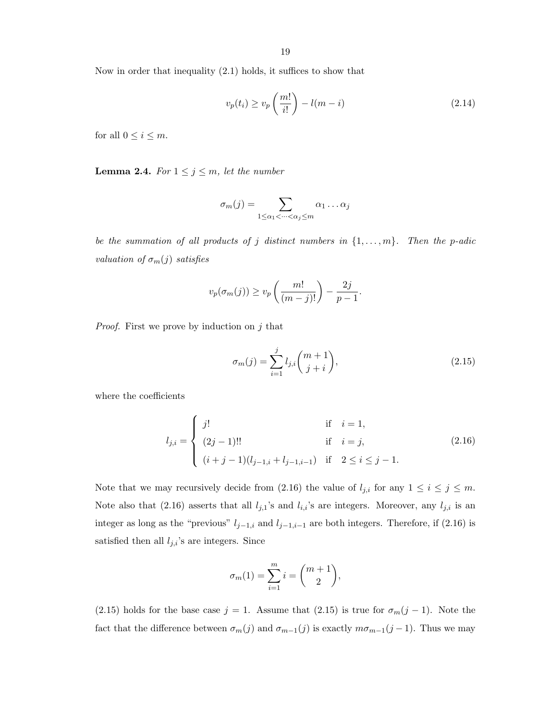Now in order that inequality (2.1) holds, it suffices to show that

$$
v_p(t_i) \ge v_p\left(\frac{m!}{i!}\right) - l(m-i)
$$
\n(2.14)

for all  $0 \leq i \leq m$ .

**Lemma 2.4.** For  $1 \leq j \leq m$ , let the number

$$
\sigma_m(j) = \sum_{1 \leq \alpha_1 < \dots < \alpha_j \leq m} \alpha_1 \dots \alpha_j
$$

be the summation of all products of j distinct numbers in  $\{1, \ldots, m\}$ . Then the p-adic valuation of  $\sigma_m(j)$  satisfies

$$
v_p(\sigma_m(j)) \ge v_p\left(\frac{m!}{(m-j)!}\right) - \frac{2j}{p-1}.
$$

*Proof.* First we prove by induction on  $j$  that

$$
\sigma_m(j) = \sum_{i=1}^j l_{j,i} \binom{m+1}{j+i},\tag{2.15}
$$

where the coefficients

$$
l_{j,i} = \begin{cases} j! & \text{if } i = 1, \\ (2j-1)!! & \text{if } i = j, \\ (i+j-1)(l_{j-1,i} + l_{j-1,i-1}) & \text{if } 2 \le i \le j-1. \end{cases}
$$
 (2.16)

Note that we may recursively decide from (2.16) the value of  $l_{j,i}$  for any  $1 \le i \le j \le m$ . Note also that (2.16) asserts that all  $l_{j,1}$ 's and  $l_{i,i}$ 's are integers. Moreover, any  $l_{j,i}$  is an integer as long as the "previous"  $l_{j-1,i}$  and  $l_{j-1,i-1}$  are both integers. Therefore, if (2.16) is satisfied then all  $l_{j,i}$ 's are integers. Since

$$
\sigma_m(1) = \sum_{i=1}^m i = \binom{m+1}{2},
$$

(2.15) holds for the base case  $j = 1$ . Assume that (2.15) is true for  $\sigma_m(j-1)$ . Note the fact that the difference between  $\sigma_m(j)$  and  $\sigma_{m-1}(j)$  is exactly  $m\sigma_{m-1}(j-1)$ . Thus we may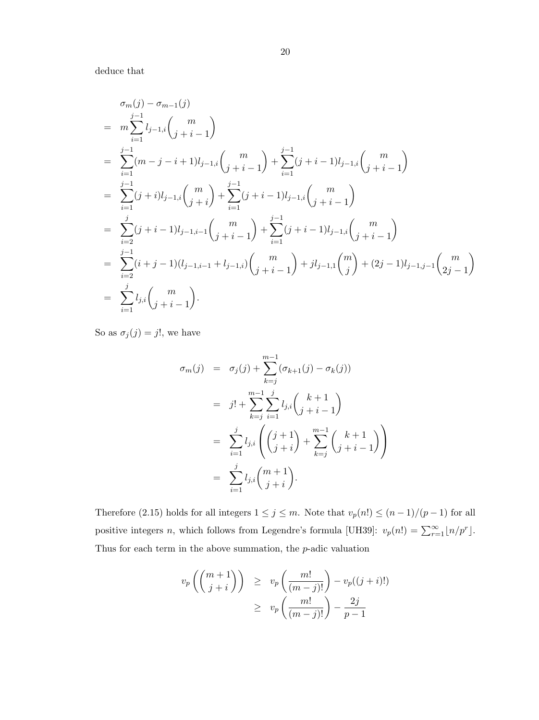deduce that

$$
\sigma_{m}(j) - \sigma_{m-1}(j)
$$
\n
$$
= m \sum_{i=1}^{j-1} l_{j-1,i} {m \choose j+i-1}
$$
\n
$$
= \sum_{i=1}^{j-1} (m-j-i+1)l_{j-1,i} {m \choose j+i-1} + \sum_{i=1}^{j-1} (j+i-1)l_{j-1,i} {m \choose j+i-1}
$$
\n
$$
= \sum_{i=1}^{j-1} (j+i)l_{j-1,i} {m \choose j+i} + \sum_{i=1}^{j-1} (j+i-1)l_{j-1,i} {m \choose j+i-1}
$$
\n
$$
= \sum_{i=2}^{j} (j+i-1)l_{j-1,i-1} {m \choose j+i-1} + \sum_{i=1}^{j-1} (j+i-1)l_{j-1,i} {m \choose j+i-1}
$$
\n
$$
= \sum_{i=2}^{j-1} (i+j-1)(l_{j-1,i-1}+l_{j-1,i}) {m \choose j+i-1} + jl_{j-1,1} {m \choose j} + (2j-1)l_{j-1,j-1} {m \choose 2j-1}
$$
\n
$$
= \sum_{i=1}^{j} l_{j,i} {m \choose j+i-1}.
$$

So as  $\sigma_j(j) = j!$ , we have

$$
\sigma_m(j) = \sigma_j(j) + \sum_{k=j}^{m-1} (\sigma_{k+1}(j) - \sigma_k(j))
$$
  
\n
$$
= j! + \sum_{k=j}^{m-1} \sum_{i=1}^j l_{j,i} {k+1 \choose j+i-1}
$$
  
\n
$$
= \sum_{i=1}^j l_{j,i} {j+1 \choose j+i} + \sum_{k=j}^{m-1} {k+1 \choose j+i-1}
$$
  
\n
$$
= \sum_{i=1}^j l_{j,i} {m+1 \choose j+i}.
$$

Therefore (2.15) holds for all integers  $1 \le j \le m$ . Note that  $v_p(n!) \le (n-1)/(p-1)$  for all positive integers *n*, which follows from Legendre's formula [UH39]:  $v_p(n!) = \sum_{r=1}^{\infty} \lfloor n/p^r \rfloor$ . Thus for each term in the above summation, the p-adic valuation

$$
v_p\left(\binom{m+1}{j+i}\right) \ge v_p\left(\frac{m!}{(m-j)!}\right) - v_p((j+i)!)
$$
  
 
$$
\ge v_p\left(\frac{m!}{(m-j)!}\right) - \frac{2j}{p-1}
$$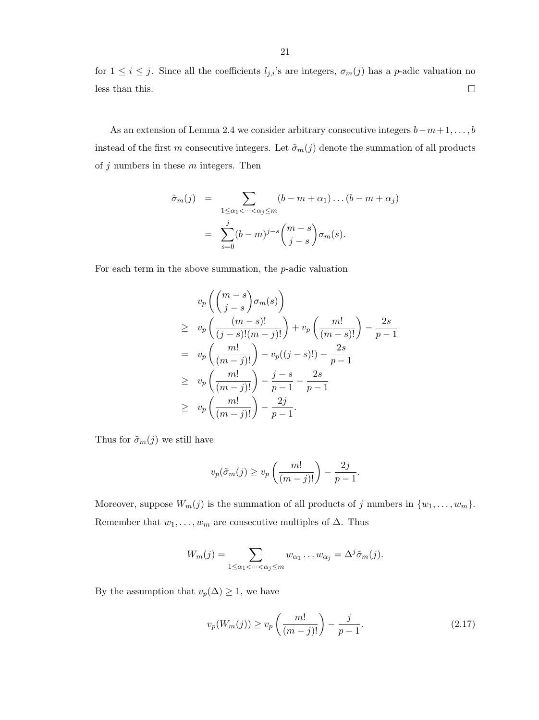for  $1 \leq i \leq j$ . Since all the coefficients  $l_{j,i}$ 's are integers,  $\sigma_m(j)$  has a p-adic valuation no less than this.  $\Box$ 

As an extension of Lemma 2.4 we consider arbitrary consecutive integers  $b-m+1, \ldots, b$ instead of the first m consecutive integers. Let  $\tilde{\sigma}_m(j)$  denote the summation of all products of  $j$  numbers in these  $m$  integers. Then

$$
\tilde{\sigma}_m(j) = \sum_{1 \le \alpha_1 < \dots < \alpha_j \le m} (b - m + \alpha_1) \dots (b - m + \alpha_j)
$$
\n
$$
= \sum_{s=0}^j (b - m)^{j-s} \binom{m-s}{j-s} \sigma_m(s).
$$

For each term in the above summation, the  $p$ -adic valuation

$$
v_p\left(\binom{m-s}{j-s}\sigma_m(s)\right)
$$
  
\n
$$
\geq v_p\left(\frac{(m-s)!}{(j-s)!(m-j)!}\right) + v_p\left(\frac{m!}{(m-s)!}\right) - \frac{2s}{p-1}
$$
  
\n
$$
= v_p\left(\frac{m!}{(m-j)!}\right) - v_p((j-s)!) - \frac{2s}{p-1}
$$
  
\n
$$
\geq v_p\left(\frac{m!}{(m-j)!}\right) - \frac{j-s}{p-1} - \frac{2s}{p-1}
$$
  
\n
$$
\geq v_p\left(\frac{m!}{(m-j)!}\right) - \frac{2j}{p-1}.
$$

Thus for  $\tilde{\sigma}_m(j)$  we still have

$$
v_p(\tilde{\sigma}_m(j) \ge v_p\left(\frac{m!}{(m-j)!}\right) - \frac{2j}{p-1}.
$$

Moreover, suppose  $W_m(j)$  is the summation of all products of j numbers in  $\{w_1, \ldots, w_m\}$ . Remember that  $w_1, \ldots, w_m$  are consecutive multiples of  $\Delta$ . Thus

$$
W_m(j) = \sum_{1 \leq \alpha_1 < \dots < \alpha_j \leq m} w_{\alpha_1} \dots w_{\alpha_j} = \Delta^j \tilde{\sigma}_m(j).
$$

By the assumption that  $v_p(\Delta) \geq 1$ , we have

$$
v_p(W_m(j)) \ge v_p\left(\frac{m!}{(m-j)!}\right) - \frac{j}{p-1}.\tag{2.17}
$$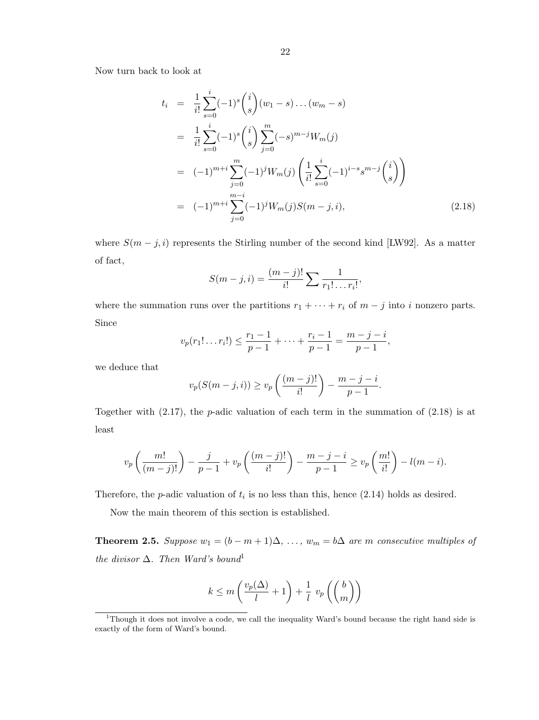Now turn back to look at

$$
t_i = \frac{1}{i!} \sum_{s=0}^{i} (-1)^s {i \choose s} (w_1 - s) \dots (w_m - s)
$$
  
\n
$$
= \frac{1}{i!} \sum_{s=0}^{i} (-1)^s {i \choose s} \sum_{j=0}^{m} (-s)^{m-j} W_m(j)
$$
  
\n
$$
= (-1)^{m+i} \sum_{j=0}^{m} (-1)^j W_m(j) \left( \frac{1}{i!} \sum_{s=0}^{i} (-1)^{i-s} s^{m-j} {i \choose s} \right)
$$
  
\n
$$
= (-1)^{m+i} \sum_{j=0}^{m-i} (-1)^j W_m(j) S(m - j, i), \qquad (2.18)
$$

where  $S(m-j,i)$  represents the Stirling number of the second kind [LW92]. As a matter of fact,

$$
S(m-j,i) = \frac{(m-j)!}{i!} \sum \frac{1}{r_1! \dots r_i!},
$$

where the summation runs over the partitions  $r_1 + \cdots + r_i$  of  $m - j$  into i nonzero parts. Since

$$
v_p(r_1! \dots r_i!) \leq \frac{r_1 - 1}{p - 1} + \dots + \frac{r_i - 1}{p - 1} = \frac{m - j - i}{p - 1},
$$

we deduce that

$$
v_p(S(m-j,i)) \ge v_p\left(\frac{(m-j)!}{i!}\right) - \frac{m-j-i}{p-1}.
$$

Together with  $(2.17)$ , the *p*-adic valuation of each term in the summation of  $(2.18)$  is at least

$$
v_p\left(\frac{m!}{(m-j)!}\right) - \frac{j}{p-1} + v_p\left(\frac{(m-j)!}{i!}\right) - \frac{m-j-i}{p-1} \ge v_p\left(\frac{m!}{i!}\right) - l(m-i).
$$

Therefore, the *p*-adic valuation of  $t_i$  is no less than this, hence  $(2.14)$  holds as desired.

Now the main theorem of this section is established.

**Theorem 2.5.** Suppose  $w_1 = (b - m + 1)\Delta, \ldots, w_m = b\Delta$  are m consecutive multiples of the divisor  $\Delta$ . Then Ward's bound<sup>1</sup>

$$
k \le m\left(\frac{v_p(\Delta)}{l} + 1\right) + \frac{1}{l} v_p\left(\binom{b}{m}\right)
$$

<sup>&</sup>lt;sup>1</sup>Though it does not involve a code, we call the inequality Ward's bound because the right hand side is exactly of the form of Ward's bound.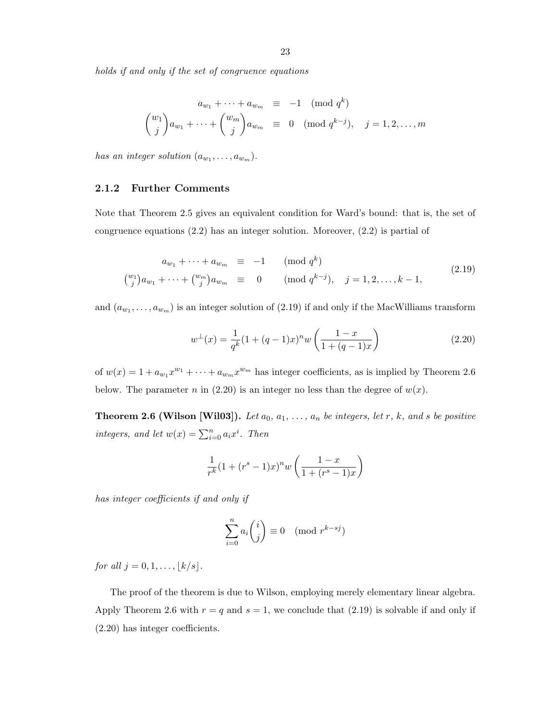holds if and only if the set of congruence equations

$$
a_{w_1} + \dots + a_{w_m} \equiv -1 \pmod{q^k}
$$

$$
{w_1 \choose j} a_{w_1} + \dots + {w_m \choose j} a_{w_m} \equiv 0 \pmod{q^{k-j}}, \quad j = 1, 2, \dots, m
$$

has an integer solution  $(a_{w_1}, \ldots, a_{w_m})$ .

### 2.1.2 Further Comments

Note that Theorem 2.5 gives an equivalent condition for Ward's bound: that is, the set of congruence equations (2.2) has an integer solution. Moreover, (2.2) is partial of

$$
a_{w_1} + \dots + a_{w_m} \equiv -1 \qquad (\text{mod } q^k)
$$
  

$$
{w_1 \choose j} a_{w_1} + \dots + {w_m \choose j} a_{w_m} \equiv 0 \qquad (\text{mod } q^{k-j}), \quad j = 1, 2, \dots, k-1,
$$
 (2.19)

and  $(a_{w_1}, \ldots, a_{w_m})$  is an integer solution of (2.19) if and only if the MacWilliams transform

$$
w^{\perp}(x) = \frac{1}{q^k} (1 + (q-1)x)^n w \left( \frac{1-x}{1 + (q-1)x} \right)
$$
 (2.20)

of  $w(x) = 1 + a_{w_1}x^{w_1} + \cdots + a_{w_m}x^{w_m}$  has integer coefficients, as is implied by Theorem 2.6 below. The parameter n in (2.20) is an integer no less than the degree of  $w(x)$ .

**Theorem 2.6 (Wilson [Wil03]).** Let  $a_0, a_1, \ldots, a_n$  be integers, let r, k, and s be positive integers, and let  $w(x) = \sum_{i=0}^{n} a_i x^i$ . Then

$$
\frac{1}{r^k} (1 + (r^s - 1)x)^n w \left( \frac{1 - x}{1 + (r^s - 1)x} \right)
$$

has integer coefficients if and only if

$$
\sum_{i=0}^{n} a_i \binom{i}{j} \equiv 0 \pmod{r^{k-sj}}
$$

for all  $j = 0, 1, ..., |k/s|$ .

The proof of the theorem is due to Wilson, employing merely elementary linear algebra. Apply Theorem 2.6 with  $r = q$  and  $s = 1$ , we conclude that (2.19) is solvable if and only if (2.20) has integer coefficients.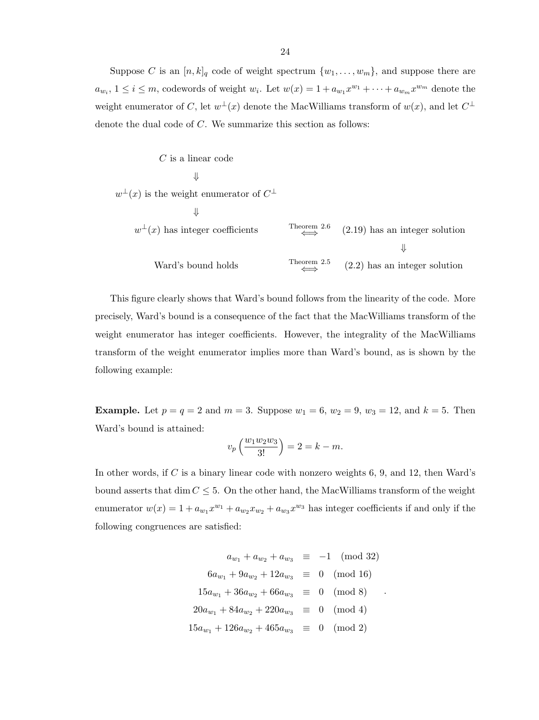Suppose C is an  $[n, k]_q$  code of weight spectrum  $\{w_1, \ldots, w_m\}$ , and suppose there are  $a_{w_i}$ ,  $1 \leq i \leq m$ , codewords of weight  $w_i$ . Let  $w(x) = 1 + a_{w_1}x^{w_1} + \cdots + a_{w_m}x^{w_m}$  denote the weight enumerator of C, let  $w^{\perp}(x)$  denote the MacWilliams transform of  $w(x)$ , and let  $C^{\perp}$ denote the dual code of C. We summarize this section as follows:

C is a linear code  
\n
$$
\Downarrow
$$
\n
$$
\perp(x)
$$
 is the weight enumerator of  $C^{\perp}$ \n
$$
\Downarrow
$$
\n
$$
w^{\perp}(x)
$$
 has integer coefficients\n
$$
\longleftarrow
$$
\n
$$
\downarrow
$$
\n
$$
\downarrow
$$
\n
$$
\downarrow
$$
\n
$$
\downarrow
$$
\n
$$
\downarrow
$$
\n
$$
\downarrow
$$
\n
$$
\downarrow
$$
\n
$$
\downarrow
$$
\n
$$
\downarrow
$$
\n
$$
\downarrow
$$
\n
$$
\downarrow
$$
\n
$$
\downarrow
$$
\n
$$
\downarrow
$$
\n
$$
\downarrow
$$
\n
$$
\downarrow
$$
\n
$$
\downarrow
$$
\n
$$
\downarrow
$$
\n
$$
\downarrow
$$
\n
$$
\downarrow
$$
\n
$$
\downarrow
$$
\n
$$
\downarrow
$$
\n
$$
\downarrow
$$
\n
$$
\downarrow
$$
\n
$$
\downarrow
$$
\n
$$
\downarrow
$$
\n
$$
\downarrow
$$
\n
$$
\downarrow
$$
\n
$$
\downarrow
$$
\n
$$
\downarrow
$$
\n
$$
\downarrow
$$
\n
$$
\downarrow
$$
\n
$$
\downarrow
$$
\n
$$
\downarrow
$$
\n
$$
\downarrow
$$
\n
$$
\downarrow
$$
\n
$$
\downarrow
$$
\n
$$
\downarrow
$$
\n
$$
\downarrow
$$
\n
$$
\downarrow
$$
\n
$$
\downarrow
$$
\n
$$
\downarrow
$$
\n
$$
\downarrow
$$
\n
$$
\downarrow
$$
\n
$$
\downarrow
$$
\n
$$
\downarrow
$$
\n
$$
\downarrow
$$
\n
$$
\downarrow
$$
\n
$$
\downarrow
$$
\n
$$
\downarrow
$$
\n
$$
\downarrow
$$
\n
$$
\downarrow
$$
\n
$$
\downarrow
$$
\n
$$
\downarrow
$$
\n
$$
\downarrow
$$
\n
$$
\downarrow
$$
\n
$$
\downarrow
$$
\n

 $w$ <sup>-</sup>

This figure clearly shows that Ward's bound follows from the linearity of the code. More precisely, Ward's bound is a consequence of the fact that the MacWilliams transform of the weight enumerator has integer coefficients. However, the integrality of the MacWilliams transform of the weight enumerator implies more than Ward's bound, as is shown by the following example:

**Example.** Let  $p = q = 2$  and  $m = 3$ . Suppose  $w_1 = 6$ ,  $w_2 = 9$ ,  $w_3 = 12$ , and  $k = 5$ . Then Ward's bound is attained:

$$
v_p\left(\frac{w_1w_2w_3}{3!}\right) = 2 = k - m.
$$

In other words, if C is a binary linear code with nonzero weights 6, 9, and 12, then Ward's bound asserts that dim  $C \leq 5$ . On the other hand, the MacWilliams transform of the weight enumerator  $w(x) = 1 + a_{w_1}x^{w_1} + a_{w_2}x_{w_2} + a_{w_3}x^{w_3}$  has integer coefficients if and only if the following congruences are satisfied:

$$
a_{w_1} + a_{w_2} + a_{w_3} \equiv -1 \pmod{32}
$$
  
\n
$$
6a_{w_1} + 9a_{w_2} + 12a_{w_3} \equiv 0 \pmod{16}
$$
  
\n
$$
15a_{w_1} + 36a_{w_2} + 66a_{w_3} \equiv 0 \pmod{8}
$$
  
\n
$$
20a_{w_1} + 84a_{w_2} + 220a_{w_3} \equiv 0 \pmod{4}
$$
  
\n
$$
15a_{w_1} + 126a_{w_2} + 465a_{w_3} \equiv 0 \pmod{2}
$$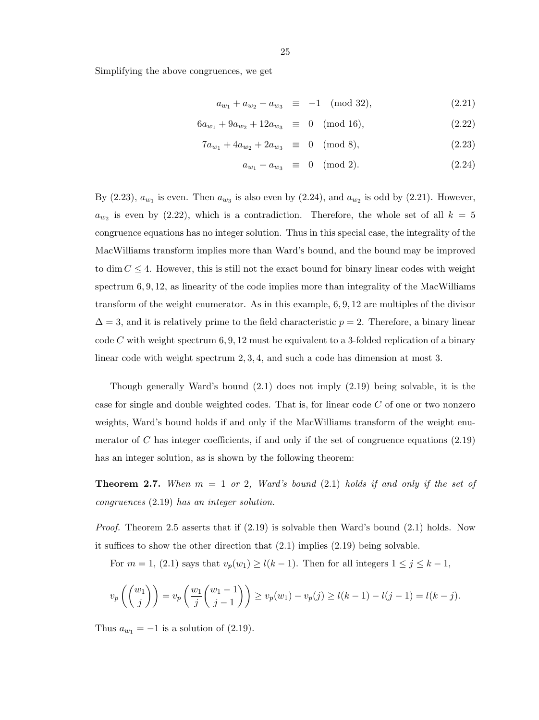Simplifying the above congruences, we get

$$
a_{w_1} + a_{w_2} + a_{w_3} \equiv -1 \pmod{32},\tag{2.21}
$$

$$
6a_{w_1} + 9a_{w_2} + 12a_{w_3} \equiv 0 \pmod{16}, \qquad (2.22)
$$

$$
7a_{w_1} + 4a_{w_2} + 2a_{w_3} \equiv 0 \pmod{8},\tag{2.23}
$$

$$
a_{w_1} + a_{w_3} \equiv 0 \pmod{2}.
$$
 (2.24)

By  $(2.23)$ ,  $a_{w_1}$  is even. Then  $a_{w_3}$  is also even by  $(2.24)$ , and  $a_{w_2}$  is odd by  $(2.21)$ . However,  $a_{w_2}$  is even by (2.22), which is a contradiction. Therefore, the whole set of all  $k = 5$ congruence equations has no integer solution. Thus in this special case, the integrality of the MacWilliams transform implies more than Ward's bound, and the bound may be improved to dim  $C \leq 4$ . However, this is still not the exact bound for binary linear codes with weight spectrum  $6, 9, 12$ , as linearity of the code implies more than integrality of the MacWilliams transform of the weight enumerator. As in this example, 6, 9, 12 are multiples of the divisor  $\Delta = 3$ , and it is relatively prime to the field characteristic  $p = 2$ . Therefore, a binary linear code C with weight spectrum  $6, 9, 12$  must be equivalent to a 3-folded replication of a binary linear code with weight spectrum 2, 3, 4, and such a code has dimension at most 3.

Though generally Ward's bound (2.1) does not imply (2.19) being solvable, it is the case for single and double weighted codes. That is, for linear code  $C$  of one or two nonzero weights, Ward's bound holds if and only if the MacWilliams transform of the weight enumerator of  $C$  has integer coefficients, if and only if the set of congruence equations  $(2.19)$ has an integer solution, as is shown by the following theorem:

**Theorem 2.7.** When  $m = 1$  or 2, Ward's bound (2.1) holds if and only if the set of congruences (2.19) has an integer solution.

*Proof.* Theorem 2.5 asserts that if  $(2.19)$  is solvable then Ward's bound  $(2.1)$  holds. Now it suffices to show the other direction that (2.1) implies (2.19) being solvable.

For  $m = 1$ , (2.1) says that  $v_p(w_1) \ge l(k-1)$ . Then for all integers  $1 \le j \le k-1$ ,

$$
v_p\left(\binom{w_1}{j}\right) = v_p\left(\frac{w_1}{j}\binom{w_1-1}{j-1}\right) \ge v_p(w_1) - v_p(j) \ge l(k-1) - l(j-1) = l(k-j).
$$

Thus  $a_{w_1} = -1$  is a solution of  $(2.19)$ .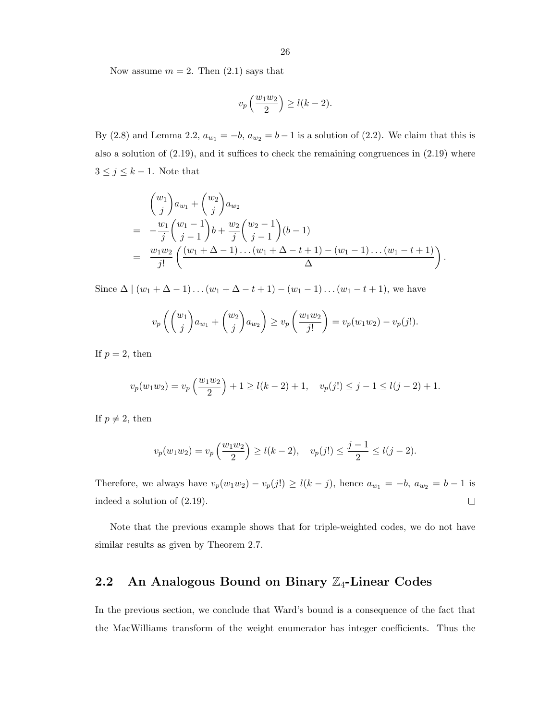Now assume  $m = 2$ . Then  $(2.1)$  says that

$$
v_p\left(\frac{w_1w_2}{2}\right) \ge l(k-2).
$$

By (2.8) and Lemma 2.2,  $a_{w_1} = -b$ ,  $a_{w_2} = b - 1$  is a solution of (2.2). We claim that this is also a solution of (2.19), and it suffices to check the remaining congruences in (2.19) where  $3 \leq j \leq k-1$ . Note that

$$
\begin{aligned}\n\binom{w_1}{j} a_{w_1} + \binom{w_2}{j} a_{w_2} \\
&= -\frac{w_1}{j} \binom{w_1 - 1}{j - 1} b + \frac{w_2}{j} \binom{w_2 - 1}{j - 1} (b - 1) \\
&= \frac{w_1 w_2}{j!} \left( \frac{(w_1 + \Delta - 1) \dots (w_1 + \Delta - t + 1) - (w_1 - 1) \dots (w_1 - t + 1)}{\Delta} \right).\n\end{aligned}
$$

Since  $\Delta \mid (w_1 + \Delta - 1) \dots (w_1 + \Delta - t + 1) - (w_1 - 1) \dots (w_1 - t + 1)$ , we have

$$
v_p\left(\binom{w_1}{j}a_{w_1} + \binom{w_2}{j}a_{w_2}\right) \ge v_p\left(\frac{w_1w_2}{j!}\right) = v_p(w_1w_2) - v_p(j!).
$$

If  $p = 2$ , then

$$
v_p(w_1w_2) = v_p\left(\frac{w_1w_2}{2}\right) + 1 \ge l(k-2) + 1, \quad v_p(j!) \le j-1 \le l(j-2) + 1.
$$

If  $p \neq 2$ , then

$$
v_p(w_1w_2) = v_p\left(\frac{w_1w_2}{2}\right) \ge l(k-2), \quad v_p(j!) \le \frac{j-1}{2} \le l(j-2).
$$

Therefore, we always have  $v_p(w_1w_2) - v_p(j!) \ge l(k-j)$ , hence  $a_{w_1} = -b$ ,  $a_{w_2} = b - 1$  is indeed a solution of (2.19).  $\Box$ 

Note that the previous example shows that for triple-weighted codes, we do not have similar results as given by Theorem 2.7.

### 2.2 An Analogous Bound on Binary  $\mathbb{Z}_4$ -Linear Codes

In the previous section, we conclude that Ward's bound is a consequence of the fact that the MacWilliams transform of the weight enumerator has integer coefficients. Thus the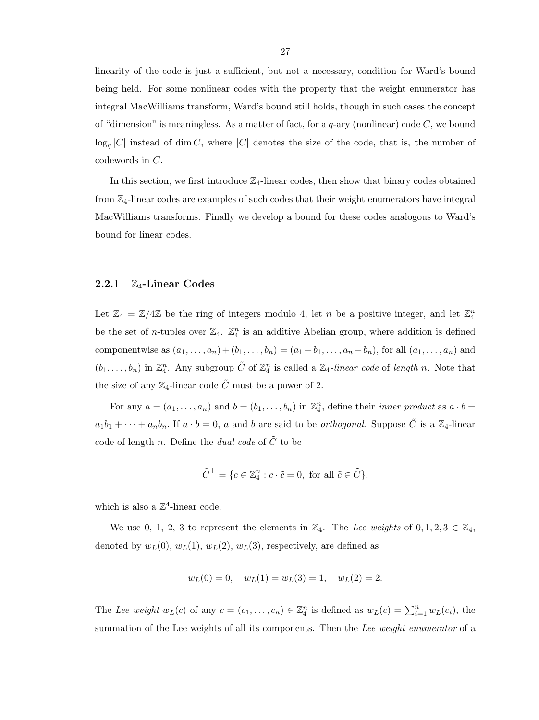linearity of the code is just a sufficient, but not a necessary, condition for Ward's bound being held. For some nonlinear codes with the property that the weight enumerator has integral MacWilliams transform, Ward's bound still holds, though in such cases the concept of "dimension" is meaningless. As a matter of fact, for a  $q$ -ary (nonlinear) code C, we bound  $\log_q|C|$  instead of dim C, where  $|C|$  denotes the size of the code, that is, the number of codewords in C.

In this section, we first introduce  $\mathbb{Z}_4$ -linear codes, then show that binary codes obtained from Z4-linear codes are examples of such codes that their weight enumerators have integral MacWilliams transforms. Finally we develop a bound for these codes analogous to Ward's bound for linear codes.

#### 2.2.1  $\mathbb{Z}_4$ -Linear Codes

Let  $\mathbb{Z}_4 = \mathbb{Z}/4\mathbb{Z}$  be the ring of integers modulo 4, let n be a positive integer, and let  $\mathbb{Z}_4^n$ be the set of *n*-tuples over  $\mathbb{Z}_4$ .  $\mathbb{Z}_4^n$  is an additive Abelian group, where addition is defined componentwise as  $(a_1, ..., a_n) + (b_1, ..., b_n) = (a_1 + b_1, ..., a_n + b_n)$ , for all  $(a_1, ..., a_n)$  and  $(b_1,\ldots,b_n)$  in  $\mathbb{Z}_4^n$ . Any subgroup  $\tilde{C}$  of  $\mathbb{Z}_4^n$  is called a  $\mathbb{Z}_4$ -linear code of length n. Note that the size of any  $\mathbb{Z}_4$ -linear code  $\tilde{C}$  must be a power of 2.

For any  $a = (a_1, \ldots, a_n)$  and  $b = (b_1, \ldots, b_n)$  in  $\mathbb{Z}_4^n$ , define their *inner product* as  $a \cdot b =$  $a_1b_1 + \cdots + a_nb_n$ . If  $a \cdot b = 0$ , a and b are said to be *orthogonal*. Suppose  $\tilde{C}$  is a  $\mathbb{Z}_4$ -linear code of length n. Define the dual code of  $\ddot{C}$  to be

$$
\tilde{C}^{\perp} = \{c \in \mathbb{Z}_4^n : c \cdot \tilde{c} = 0, \text{ for all } \tilde{c} \in \tilde{C} \},
$$

which is also a  $\mathbb{Z}^4$ -linear code.

We use 0, 1, 2, 3 to represent the elements in  $\mathbb{Z}_4$ . The Lee weights of  $0, 1, 2, 3 \in \mathbb{Z}_4$ , denoted by  $w_L(0)$ ,  $w_L(1)$ ,  $w_L(2)$ ,  $w_L(3)$ , respectively, are defined as

$$
w_L(0) = 0
$$
,  $w_L(1) = w_L(3) = 1$ ,  $w_L(2) = 2$ .

The Lee weight  $w_L(c)$  of any  $c = (c_1, \ldots, c_n) \in \mathbb{Z}_4^n$  is defined as  $w_L(c) = \sum_{i=1}^n w_L(c_i)$ , the summation of the Lee weights of all its components. Then the Lee weight enumerator of a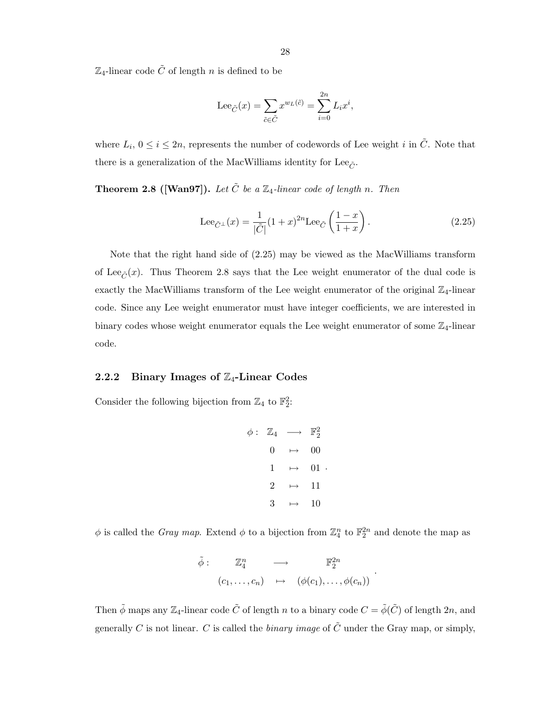$\mathbb{Z}_4$ -linear code  $\tilde{C}$  of length n is defined to be

$$
\operatorname{Lee}_{\tilde C}(x)=\sum_{\tilde c\in \tilde C}x^{w_L(\tilde c)}=\sum_{i=0}^{2n}L_ix^i,
$$

where  $L_i$ ,  $0 \le i \le 2n$ , represents the number of codewords of Lee weight i in  $\tilde{C}$ . Note that there is a generalization of the MacWilliams identity for Lee<sub> $\tilde{c}$ </sub>.

**Theorem 2.8 ([Wan97]).** Let  $\tilde{C}$  be a  $\mathbb{Z}_4$ -linear code of length n. Then

$$
\text{Lee}_{\tilde{C}^{\perp}}(x) = \frac{1}{|\tilde{C}|}(1+x)^{2n}\text{Lee}_{\tilde{C}}\left(\frac{1-x}{1+x}\right). \tag{2.25}
$$

Note that the right hand side of (2.25) may be viewed as the MacWilliams transform of Lee<sub> $\tilde{C}(x)$ </sub>. Thus Theorem 2.8 says that the Lee weight enumerator of the dual code is exactly the MacWilliams transform of the Lee weight enumerator of the original  $\mathbb{Z}_4$ -linear code. Since any Lee weight enumerator must have integer coefficients, we are interested in binary codes whose weight enumerator equals the Lee weight enumerator of some  $\mathbb{Z}_4$ -linear code.

#### 2.2.2 Binary Images of  $\mathbb{Z}_4$ -Linear Codes

Consider the following bijection from  $\mathbb{Z}_4$  to  $\mathbb{F}_2^2$ :

$$
\begin{array}{rcl}\n\phi: & \mathbb{Z}_4 & \longrightarrow & \mathbb{F}_2^2 \\
 & & 0 & \mapsto & 00 \\
 & 1 & \mapsto & 01 \\
 & & 2 & \mapsto & 11 \\
 & & 3 & \mapsto & 10\n\end{array}
$$

 $\phi$  is called the *Gray map*. Extend  $\phi$  to a bijection from  $\mathbb{Z}_4^n$  to  $\mathbb{F}_2^{2n}$  and denote the map as

$$
\tilde{\phi}: \quad \mathbb{Z}_4^n \quad \longrightarrow \quad \mathbb{F}_2^{2n}
$$
\n
$$
(c_1, \ldots, c_n) \quad \mapsto \quad (\phi(c_1), \ldots, \phi(c_n))
$$

.

Then  $\tilde{\phi}$  maps any  $\mathbb{Z}_4$ -linear code  $\tilde{C}$  of length n to a binary code  $C = \tilde{\phi}(\tilde{C})$  of length  $2n$ , and generally C is not linear. C is called the *binary image* of  $\tilde{C}$  under the Gray map, or simply,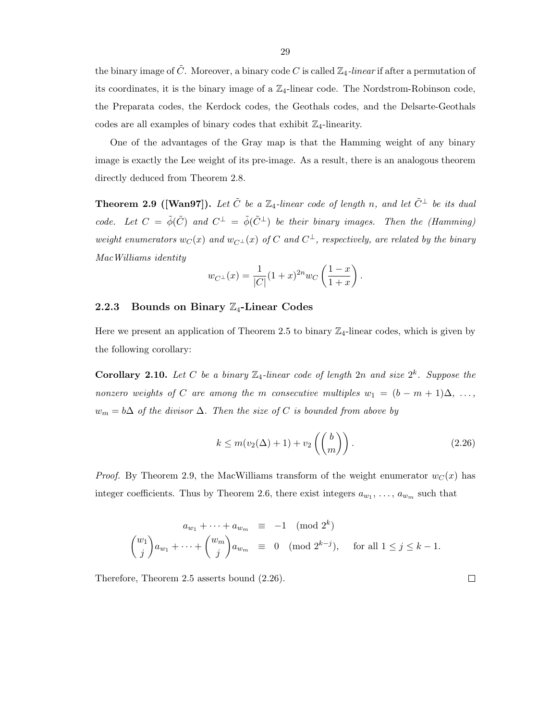the binary image of  $\tilde{C}$ . Moreover, a binary code C is called  $\mathbb{Z}_4$ -linear if after a permutation of its coordinates, it is the binary image of a  $\mathbb{Z}_4$ -linear code. The Nordstrom-Robinson code, the Preparata codes, the Kerdock codes, the Geothals codes, and the Delsarte-Geothals codes are all examples of binary codes that exhibit  $\mathbb{Z}_4$ -linearity.

One of the advantages of the Gray map is that the Hamming weight of any binary image is exactly the Lee weight of its pre-image. As a result, there is an analogous theorem directly deduced from Theorem 2.8.

**Theorem 2.9 ([Wan97]).** Let  $\tilde{C}$  be a  $\mathbb{Z}_4$ -linear code of length n, and let  $\tilde{C}^{\perp}$  be its dual code. Let  $C = \tilde{\phi}(\tilde{C})$  and  $C^{\perp} = \tilde{\phi}(\tilde{C}^{\perp})$  be their binary images. Then the (Hamming) weight enumerators  $w_C(x)$  and  $w_{C^{\perp}}(x)$  of C and  $C^{\perp}$ , respectively, are related by the binary MacWilliams identity

$$
w_{C^{\perp}}(x) = \frac{1}{|C|}(1+x)^{2n}w_C\left(\frac{1-x}{1+x}\right).
$$

#### 2.2.3 Bounds on Binary  $\mathbb{Z}_4$ -Linear Codes

Here we present an application of Theorem 2.5 to binary  $\mathbb{Z}_4$ -linear codes, which is given by the following corollary:

**Corollary 2.10.** Let C be a binary  $\mathbb{Z}_4$ -linear code of length  $2n$  and size  $2^k$ . Suppose the nonzero weights of C are among the m consecutive multiples  $w_1 = (b - m + 1)\Delta, \ldots$  $w_m = b\Delta$  of the divisor  $\Delta$ . Then the size of C is bounded from above by

$$
k \le m(v_2(\Delta) + 1) + v_2\left(\binom{b}{m}\right). \tag{2.26}
$$

*Proof.* By Theorem 2.9, the MacWilliams transform of the weight enumerator  $w_C(x)$  has integer coefficients. Thus by Theorem 2.6, there exist integers  $a_{w_1}, \ldots, a_{w_m}$  such that

$$
a_{w_1} + \dots + a_{w_m} \equiv -1 \pmod{2^k}
$$
  

$$
{w_1 \choose j} a_{w_1} + \dots + {w_m \choose j} a_{w_m} \equiv 0 \pmod{2^{k-j}}, \text{ for all } 1 \le j \le k-1.
$$

Therefore, Theorem 2.5 asserts bound (2.26).

29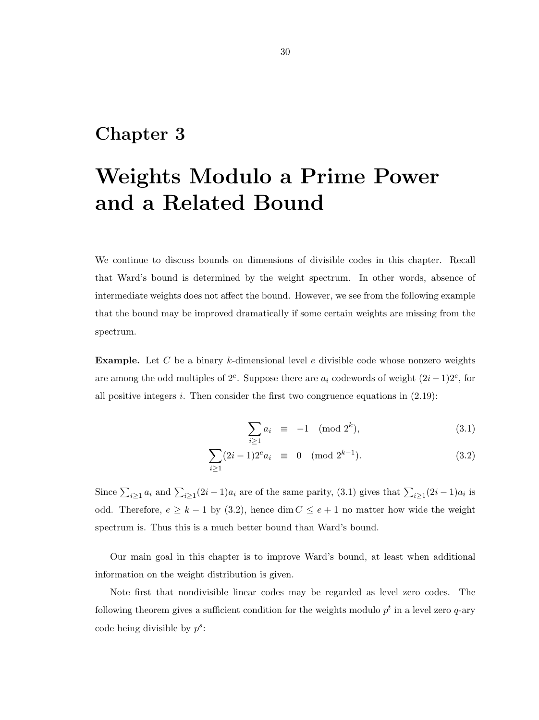### Chapter 3

# Weights Modulo a Prime Power and a Related Bound

We continue to discuss bounds on dimensions of divisible codes in this chapter. Recall that Ward's bound is determined by the weight spectrum. In other words, absence of intermediate weights does not affect the bound. However, we see from the following example that the bound may be improved dramatically if some certain weights are missing from the spectrum.

**Example.** Let C be a binary k-dimensional level e divisible code whose nonzero weights are among the odd multiples of  $2^e$ . Suppose there are  $a_i$  codewords of weight  $(2i-1)2^e$ , for all positive integers i. Then consider the first two congruence equations in  $(2.19)$ :

$$
\sum_{i\geq 1} a_i \equiv -1 \pmod{2^k},\tag{3.1}
$$

$$
\sum_{i\geq 1} (2i-1)2^e a_i \equiv 0 \pmod{2^{k-1}}.
$$
 (3.2)

Since  $\sum_{i\geq 1} a_i$  and  $\sum_{i\geq 1} (2i-1)a_i$  are of the same parity, (3.1) gives that  $\sum_{i\geq 1} (2i-1)a_i$  is odd. Therefore,  $e \geq k-1$  by (3.2), hence dim  $C \leq e+1$  no matter how wide the weight spectrum is. Thus this is a much better bound than Ward's bound.

Our main goal in this chapter is to improve Ward's bound, at least when additional information on the weight distribution is given.

Note first that nondivisible linear codes may be regarded as level zero codes. The following theorem gives a sufficient condition for the weights modulo  $p<sup>t</sup>$  in a level zero q-ary code being divisible by  $p^s$ :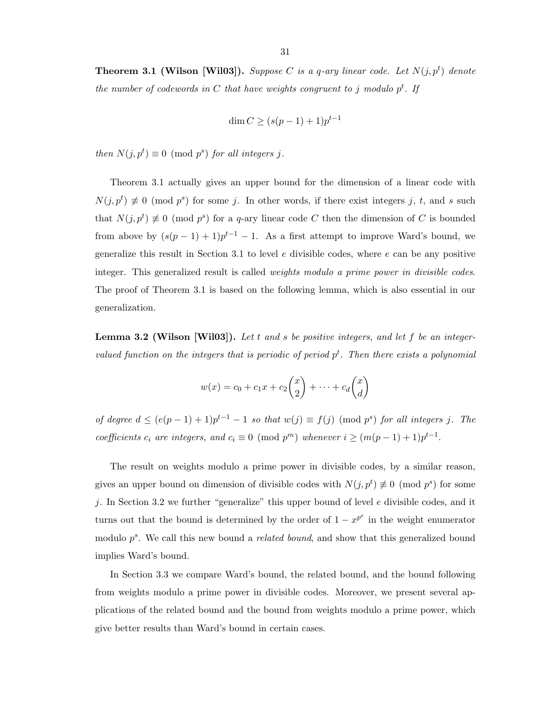**Theorem 3.1 (Wilson [Wil03]).** Suppose C is a q-ary linear code. Let  $N(j, p<sup>t</sup>)$  denote the number of codewords in C that have weights congruent to j modulo  $p<sup>t</sup>$ . If

$$
\dim C \ge (s(p-1)+1)p^{t-1}
$$

then  $N(j, p^t) \equiv 0 \pmod{p^s}$  for all integers j.

Theorem 3.1 actually gives an upper bound for the dimension of a linear code with  $N(j, p^t) \neq 0 \pmod{p^s}$  for some j. In other words, if there exist integers j, t, and s such that  $N(j, p^t) \not\equiv 0 \pmod{p^s}$  for a q-ary linear code C then the dimension of C is bounded from above by  $(s(p-1)+1)p^{t-1}-1$ . As a first attempt to improve Ward's bound, we generalize this result in Section 3.1 to level  $e$  divisible codes, where  $e$  can be any positive integer. This generalized result is called weights modulo a prime power in divisible codes. The proof of Theorem 3.1 is based on the following lemma, which is also essential in our generalization.

**Lemma 3.2 (Wilson [Wil03]).** Let  $t$  and  $s$  be positive integers, and let  $f$  be an integervalued function on the integers that is periodic of period  $p<sup>t</sup>$ . Then there exists a polynomial

$$
w(x) = c_0 + c_1 x + c_2 {x \choose 2} + \dots + c_d {x \choose d}
$$

of degree  $d \leq (e(p-1)+1)p^{t-1}-1$  so that  $w(j) \equiv f(j) \pmod{p^s}$  for all integers j. The coefficients  $c_i$  are integers, and  $c_i \equiv 0 \pmod{p^m}$  whenever  $i \geq (m(p-1)+1)p^{t-1}$ .

The result on weights modulo a prime power in divisible codes, by a similar reason, gives an upper bound on dimension of divisible codes with  $N(j, p<sup>t</sup>) \neq 0 \pmod{p<sup>s</sup>}$  for some j. In Section 3.2 we further "generalize" this upper bound of level  $e$  divisible codes, and it turns out that the bound is determined by the order of  $1 - x^{p^e}$  in the weight enumerator modulo  $p^s$ . We call this new bound a *related bound*, and show that this generalized bound implies Ward's bound.

In Section 3.3 we compare Ward's bound, the related bound, and the bound following from weights modulo a prime power in divisible codes. Moreover, we present several applications of the related bound and the bound from weights modulo a prime power, which give better results than Ward's bound in certain cases.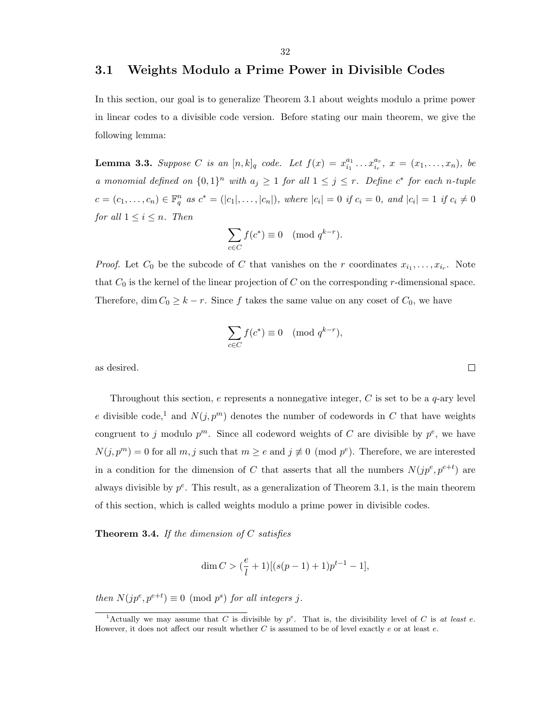### 3.1 Weights Modulo a Prime Power in Divisible Codes

In this section, our goal is to generalize Theorem 3.1 about weights modulo a prime power in linear codes to a divisible code version. Before stating our main theorem, we give the following lemma:

**Lemma 3.3.** Suppose C is an  $[n,k]_q$  code. Let  $f(x) = x_{i_1}^{a_1}$  $x_{i_1}^{a_1} \ldots x_{i_r}^{a_r}, \ x = (x_1, \ldots, x_n), \ be$ a monomial defined on  $\{0,1\}^n$  with  $a_j \geq 1$  for all  $1 \leq j \leq r$ . Define  $c^*$  for each n-tuple  $c = (c_1, \ldots, c_n) \in \mathbb{F}_q^n$  as  $c^* = (|c_1|, \ldots, |c_n|)$ , where  $|c_i| = 0$  if  $c_i = 0$ , and  $|c_i| = 1$  if  $c_i \neq 0$ for all  $1 \leq i \leq n$ . Then

$$
\sum_{c \in C} f(c^*) \equiv 0 \pmod{q^{k-r}}.
$$

*Proof.* Let  $C_0$  be the subcode of C that vanishes on the r coordinates  $x_{i_1}, \ldots, x_{i_r}$ . Note that  $C_0$  is the kernel of the linear projection of C on the corresponding r-dimensional space. Therefore, dim  $C_0 \geq k - r$ . Since f takes the same value on any coset of  $C_0$ , we have

$$
\sum_{c \in C} f(c^*) \equiv 0 \pmod{q^{k-r}},
$$

as desired.

Throughout this section,  $e$  represents a nonnegative integer,  $C$  is set to be a  $q$ -ary level e divisible code,<sup>1</sup> and  $N(j, p<sup>m</sup>)$  denotes the number of codewords in C that have weights congruent to j modulo  $p^m$ . Since all codeword weights of C are divisible by  $p^e$ , we have  $N(j, p^m) = 0$  for all  $m, j$  such that  $m \ge e$  and  $j \not\equiv 0 \pmod{p^e}$ . Therefore, we are interested in a condition for the dimension of C that asserts that all the numbers  $N(jp^e, p^{e+t})$  are always divisible by  $p^e$ . This result, as a generalization of Theorem 3.1, is the main theorem of this section, which is called weights modulo a prime power in divisible codes.

**Theorem 3.4.** If the dimension of  $C$  satisfies

$$
\dim C > (\frac{e}{l}+1)[(s(p-1)+1)p^{t-1}-1],
$$

then  $N(jp^e, p^{e+t}) \equiv 0 \pmod{p^s}$  for all integers j.

 $\Box$ 

<sup>&</sup>lt;sup>1</sup>Actually we may assume that C is divisible by  $p^e$ . That is, the divisibility level of C is at least e. However, it does not affect our result whether  $C$  is assumed to be of level exactly  $e$  or at least  $e$ .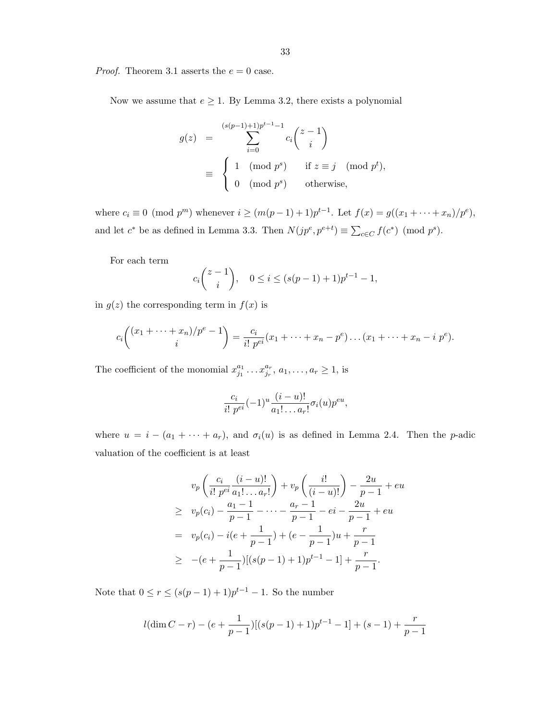*Proof.* Theorem 3.1 asserts the  $e = 0$  case.

Now we assume that  $e \geq 1$ . By Lemma 3.2, there exists a polynomial

$$
g(z) = \sum_{i=0}^{(s(p-1)+1)p^{t-1}-1} c_i \binom{z-1}{i}
$$
  

$$
\equiv \begin{cases} 1 \pmod{p^s} & \text{if } z \equiv j \pmod{p^t}, \\ 0 \pmod{p^s} & \text{otherwise}, \end{cases}
$$

where  $c_i \equiv 0 \pmod{p^m}$  whenever  $i \geq (m(p-1)+1)p^{t-1}$ . Let  $f(x) = g((x_1 + \cdots + x_n)/p^e)$ , and let  $c^*$  be as defined in Lemma 3.3. Then  $N(jp^e, p^{e+t}) \equiv \sum_{c \in C} f(c^*) \pmod{p^s}$ .

For each term

$$
c_i\binom{z-1}{i}, \quad 0 \le i \le (s(p-1)+1)p^{t-1}-1,
$$

in  $g(z)$  the corresponding term in  $f(x)$  is

$$
c_i\binom{(x_1 + \dots + x_n)/p^e - 1}{i} = \frac{c_i}{i! \ p^{ei}}(x_1 + \dots + x_n - p^e) \dots (x_1 + \dots + x_n - i \ p^e).
$$

The coefficient of the monomial  $x_{j_1}^{a_1}$  $x_{j_1}^{a_1} \ldots x_{j_r}^{a_r}, a_1, \ldots, a_r \ge 1$ , is

$$
\frac{c_i}{i! \ p^{ei}} (-1)^u \frac{(i-u)!}{a_1! \dots a_r!} \sigma_i(u) p^{eu},
$$

where  $u = i - (a_1 + \cdots + a_r)$ , and  $\sigma_i(u)$  is as defined in Lemma 2.4. Then the *p*-adic valuation of the coefficient is at least

$$
v_p\left(\frac{c_i}{i! \ p^{ei}}\frac{(i-u)!}{a_1! \dots a_r!}\right) + v_p\left(\frac{i!}{(i-u)!}\right) - \frac{2u}{p-1} + eu
$$
  
\n
$$
\geq v_p(c_i) - \frac{a_1-1}{p-1} - \dots - \frac{a_r-1}{p-1} - ei - \frac{2u}{p-1} + eu
$$
  
\n
$$
= v_p(c_i) - i(e + \frac{1}{p-1}) + (e - \frac{1}{p-1})u + \frac{r}{p-1}
$$
  
\n
$$
\geq -(e + \frac{1}{p-1})[(s(p-1)+1)p^{t-1} - 1] + \frac{r}{p-1}.
$$

Note that  $0 \le r \le (s(p-1)+1)p^{t-1} - 1$ . So the number

$$
l(\dim C - r) - (e + \frac{1}{p-1})[(s(p-1) + 1)p^{t-1} - 1] + (s-1) + \frac{r}{p-1}
$$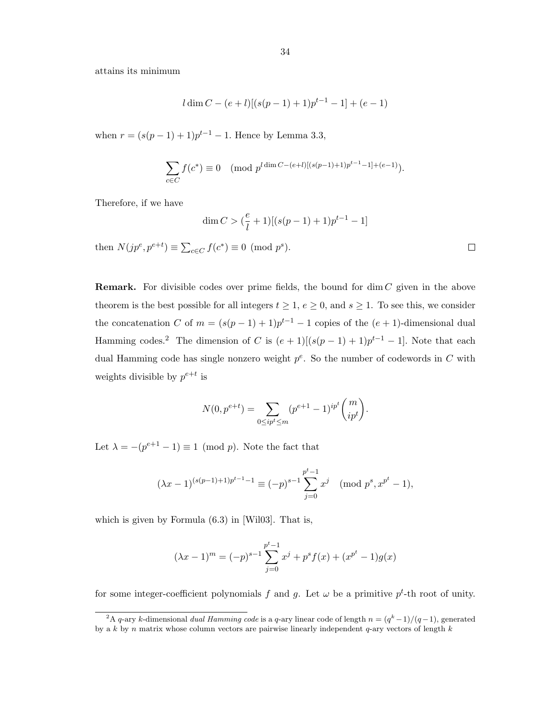attains its minimum

$$
l \dim C - (e+l)[(s(p-1)+1)p^{t-1} - 1] + (e-1)
$$

when  $r = (s(p-1)+1)p^{t-1} - 1$ . Hence by Lemma 3.3,

$$
\sum_{c \in C} f(c^*) \equiv 0 \pmod{p^{l \dim C - (e+l)[(s(p-1)+1)p^{t-1}-1] + (e-1)}}.
$$

Therefore, if we have

$$
\dim C > (\frac{e}{l} + 1)[(s(p-1) + 1)p^{t-1} - 1]
$$

then  $N(jp^e, p^{e+t}) \equiv \sum_{c \in C} f(c^*) \equiv 0 \pmod{p^s}$ .

**Remark.** For divisible codes over prime fields, the bound for  $\dim C$  given in the above theorem is the best possible for all integers  $t \geq 1$ ,  $e \geq 0$ , and  $s \geq 1$ . To see this, we consider the concatenation C of  $m = (s(p-1)+1)p^{t-1}-1$  copies of the  $(e+1)$ -dimensional dual Hamming codes.<sup>2</sup> The dimension of C is  $(e + 1)[(s(p-1) + 1)p^{t-1} - 1]$ . Note that each dual Hamming code has single nonzero weight  $p^e$ . So the number of codewords in C with weights divisible by  $p^{e+t}$  is

$$
N(0, p^{e+t}) = \sum_{0 \le ip^t \le m} (p^{e+1} - 1)^{ip^t} \binom{m}{ip^t}.
$$

Let  $\lambda = -(p^{e+1} - 1) \equiv 1 \pmod{p}$ . Note the fact that

$$
(\lambda x - 1)^{(s(p-1)+1)p^{t-1}-1} \equiv (-p)^{s-1} \sum_{j=0}^{p^t-1} x^j \pmod{p^s, x^{p^t}-1},
$$

which is given by Formula (6.3) in [Wil03]. That is,

$$
(\lambda x - 1)^m = (-p)^{s-1} \sum_{j=0}^{p^t - 1} x^j + p^s f(x) + (x^{p^t} - 1)g(x)
$$

for some integer-coefficient polynomials f and g. Let  $\omega$  be a primitive  $p^t$ -th root of unity.

 $\Box$ 

<sup>&</sup>lt;sup>2</sup>A q-ary k-dimensional dual Hamming code is a q-ary linear code of length  $n = (q<sup>k</sup> - 1)/(q - 1)$ , generated by a k by n matrix whose column vectors are pairwise linearly independent  $q$ -ary vectors of length k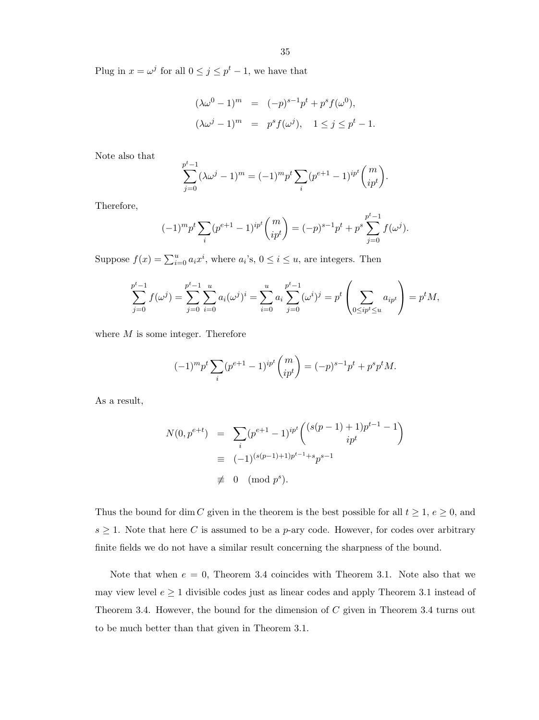Plug in  $x = \omega^j$  for all  $0 \le j \le p^t - 1$ , we have that

$$
(\lambda \omega^{0} - 1)^{m} = (-p)^{s-1} p^{t} + p^{s} f(\omega^{0}),
$$
  

$$
(\lambda \omega^{j} - 1)^{m} = p^{s} f(\omega^{j}), \quad 1 \le j \le p^{t} - 1.
$$

Note also that

$$
\sum_{j=0}^{p^t-1} (\lambda \omega^j - 1)^m = (-1)^m p^t \sum_i (p^{e+1} - 1)^{ip^t} \binom{m}{ip^t}.
$$

Therefore,

$$
(-1)^{m} p^{t} \sum_{i} (p^{e+1} - 1)^{ip^{t}} \binom{m}{ip^{t}} = (-p)^{s-1} p^{t} + p^{s} \sum_{j=0}^{p^{t}-1} f(\omega^{j}).
$$

Suppose  $f(x) = \sum_{i=0}^{u} a_i x^i$ , where  $a_i$ 's,  $0 \le i \le u$ , are integers. Then

$$
\sum_{j=0}^{p^t-1} f(\omega^j) = \sum_{j=0}^{p^t-1} \sum_{i=0}^u a_i (\omega^j)^i = \sum_{i=0}^u a_i \sum_{j=0}^{p^t-1} (\omega^i)^j = p^t \left( \sum_{0 \leq ip^t \leq u} a_{ip^t} \right) = p^t M,
$$

where  $M$  is some integer. Therefore

$$
(-1)^{m} p^{t} \sum_{i} (p^{e+1} - 1)^{ip^{t}} \binom{m}{ip^{t}} = (-p)^{s-1} p^{t} + p^{s} p^{t} M.
$$

As a result,

$$
N(0, p^{e+t}) = \sum_{i} (p^{e+1} - 1)^{ip^t} \binom{(s(p-1) + 1)p^{t-1} - 1}{ip^t}
$$
  
\n
$$
\equiv (-1)^{(s(p-1)+1)p^{t-1} + s} p^{s-1}
$$
  
\n
$$
\not\equiv 0 \pmod{p^s}.
$$

Thus the bound for dim C given in the theorem is the best possible for all  $t \geq 1, e \geq 0$ , and  $s \geq 1$ . Note that here C is assumed to be a p-ary code. However, for codes over arbitrary finite fields we do not have a similar result concerning the sharpness of the bound.

Note that when  $e = 0$ , Theorem 3.4 coincides with Theorem 3.1. Note also that we may view level  $e \geq 1$  divisible codes just as linear codes and apply Theorem 3.1 instead of Theorem 3.4. However, the bound for the dimension of C given in Theorem 3.4 turns out to be much better than that given in Theorem 3.1.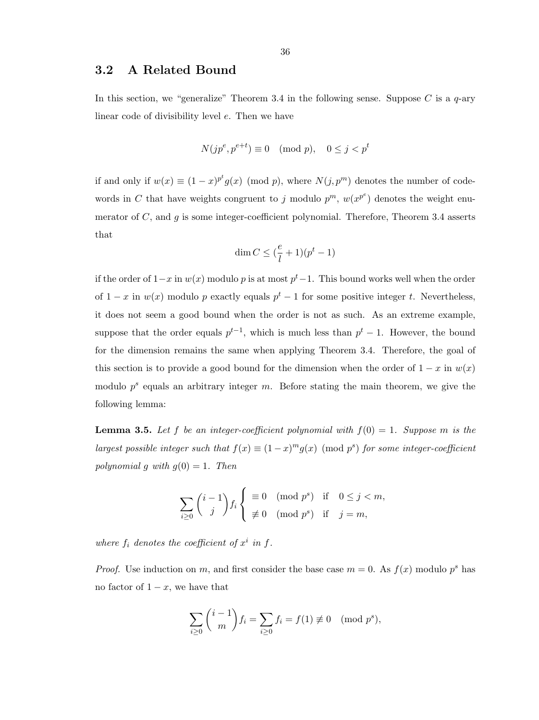### 3.2 A Related Bound

In this section, we "generalize" Theorem 3.4 in the following sense. Suppose C is a  $q$ -ary linear code of divisibility level e. Then we have

$$
N(jp^e, p^{e+t}) \equiv 0 \pmod{p}, \quad 0 \le j < p^t
$$

if and only if  $w(x) \equiv (1-x)^{p^t} g(x) \pmod{p}$ , where  $N(j, p^m)$  denotes the number of codewords in C that have weights congruent to j modulo  $p^m$ ,  $w(x^{p^e})$  denotes the weight enumerator of C, and q is some integer-coefficient polynomial. Therefore, Theorem 3.4 asserts that

$$
\dim C \leq (\frac{e}{l} + 1)(p^t - 1)
$$

if the order of  $1-x$  in  $w(x)$  modulo p is at most  $p<sup>t</sup>-1$ . This bound works well when the order of  $1-x$  in  $w(x)$  modulo p exactly equals  $p<sup>t</sup> - 1$  for some positive integer t. Nevertheless, it does not seem a good bound when the order is not as such. As an extreme example, suppose that the order equals  $p^{t-1}$ , which is much less than  $p^t - 1$ . However, the bound for the dimension remains the same when applying Theorem 3.4. Therefore, the goal of this section is to provide a good bound for the dimension when the order of  $1 - x$  in  $w(x)$ modulo  $p^s$  equals an arbitrary integer m. Before stating the main theorem, we give the following lemma:

**Lemma 3.5.** Let f be an integer-coefficient polynomial with  $f(0) = 1$ . Suppose m is the largest possible integer such that  $f(x) \equiv (1-x)^m g(x) \pmod{p^s}$  for some integer-coefficient polynomial g with  $g(0) = 1$ . Then

$$
\sum_{i\geq 0} {i-1 \choose j} f_i \begin{cases} \equiv 0 \pmod{p^s} & \text{if } 0 \leq j < m, \\ \not\equiv 0 \pmod{p^s} & \text{if } j = m, \end{cases}
$$

where  $f_i$  denotes the coefficient of  $x^i$  in  $f$ .

*Proof.* Use induction on m, and first consider the base case  $m = 0$ . As  $f(x)$  modulo  $p<sup>s</sup>$  has no factor of  $1 - x$ , we have that

$$
\sum_{i\geq 0} \binom{i-1}{m} f_i = \sum_{i\geq 0} f_i = f(1) \not\equiv 0 \pmod{p^s},
$$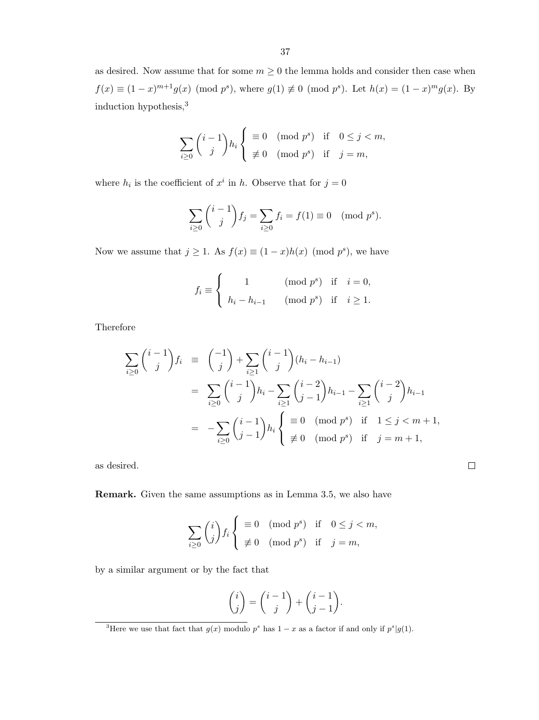as desired. Now assume that for some  $m \geq 0$  the lemma holds and consider then case when  $f(x) \equiv (1-x)^{m+1}g(x) \pmod{p^s}$ , where  $g(1) \not\equiv 0 \pmod{p^s}$ . Let  $h(x) = (1-x)^{m}g(x)$ . By induction hypothesis,<sup>3</sup>

$$
\sum_{i\geq 0} {i-1 \choose j} h_i \begin{cases} \equiv 0 \pmod{p^s} & \text{if } 0 \leq j < m, \\ \not\equiv 0 \pmod{p^s} & \text{if } j = m, \end{cases}
$$

where  $h_i$  is the coefficient of  $x^i$  in h. Observe that for  $j=0$ 

$$
\sum_{i\geq 0} {i-1 \choose j} f_j = \sum_{i\geq 0} f_i = f(1) \equiv 0 \pmod{p^s}.
$$

Now we assume that  $j \geq 1$ . As  $f(x) \equiv (1-x)h(x) \pmod{p^s}$ , we have

$$
f_i \equiv \begin{cases} 1 & (\text{mod } p^s) \text{ if } i = 0, \\ h_i - h_{i-1} & (\text{mod } p^s) \text{ if } i \ge 1. \end{cases}
$$

Therefore

$$
\sum_{i\geq 0} {i-1 \choose j} f_i \equiv {\binom{-1}{j}} + \sum_{i\geq 1} {i-1 \choose j} (h_i - h_{i-1})
$$
  
= 
$$
\sum_{i\geq 0} {i-1 \choose j} h_i - \sum_{i\geq 1} {i-2 \choose j-1} h_{i-1} - \sum_{i\geq 1} {i-2 \choose j} h_{i-1}
$$
  
= 
$$
-\sum_{i\geq 0} {i-1 \choose j-1} h_i \begin{cases} \equiv 0 \pmod{p^s} & \text{if } 1 \leq j < m+1, \\ \not\equiv 0 \pmod{p^s} & \text{if } j = m+1, \end{cases}
$$

 $\Box$ 

as desired.

Remark. Given the same assumptions as in Lemma 3.5, we also have

$$
\sum_{i\geq 0} \binom{i}{j} f_i \begin{cases} \equiv 0 \pmod{p^s} & \text{if } 0 \leq j < m, \\ \not\equiv 0 \pmod{p^s} & \text{if } j = m, \end{cases}
$$

by a similar argument or by the fact that

$$
\binom{i}{j} = \binom{i-1}{j} + \binom{i-1}{j-1}.
$$

<sup>&</sup>lt;sup>3</sup>Here we use that fact that  $g(x)$  modulo  $p^s$  has  $1-x$  as a factor if and only if  $p^s|g(1)$ .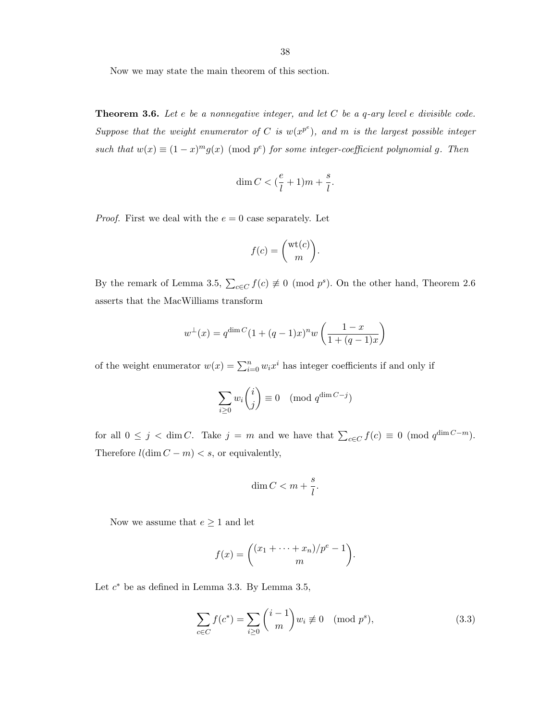Now we may state the main theorem of this section.

**Theorem 3.6.** Let  $e$  be a nonnegative integer, and let  $C$  be a  $q$ -ary level  $e$  divisible code. Suppose that the weight enumerator of C is  $w(x^{p^e})$ , and m is the largest possible integer such that  $w(x) \equiv (1-x)^m g(x) \pmod{p^e}$  for some integer-coefficient polynomial g. Then

$$
\dim C < (\frac{e}{l} + 1)m + \frac{s}{l}.
$$

*Proof.* First we deal with the  $e = 0$  case separately. Let

$$
f(c) = \binom{\text{wt}(c)}{m}.
$$

By the remark of Lemma 3.5,  $\sum_{c \in C} f(c) \neq 0 \pmod{p^s}$ . On the other hand, Theorem 2.6 asserts that the MacWilliams transform

$$
w^{\perp}(x) = q^{\dim C} (1 + (q-1)x)^n w \left( \frac{1-x}{1 + (q-1)x} \right)
$$

of the weight enumerator  $w(x) = \sum_{i=0}^{n} w_i x^i$  has integer coefficients if and only if

$$
\sum_{i\geq 0} w_i \binom{i}{j} \equiv 0 \pmod{q^{\dim C - j}}
$$

for all  $0 \leq j < \dim C$ . Take  $j = m$  and we have that  $\sum_{c \in C} f(c) \equiv 0 \pmod{q^{\dim C - m}}$ . Therefore  $l(\dim C - m) < s$ , or equivalently,

$$
\dim C < m + \frac{s}{l}.
$$

Now we assume that  $e \geq 1$  and let

$$
f(x) = \binom{(x_1 + \dots + x_n)/p^e - 1}{m}.
$$

Let  $c^*$  be as defined in Lemma 3.3. By Lemma 3.5,

$$
\sum_{c \in C} f(c^*) = \sum_{i \ge 0} {i-1 \choose m} w_i \not\equiv 0 \pmod{p^s},\tag{3.3}
$$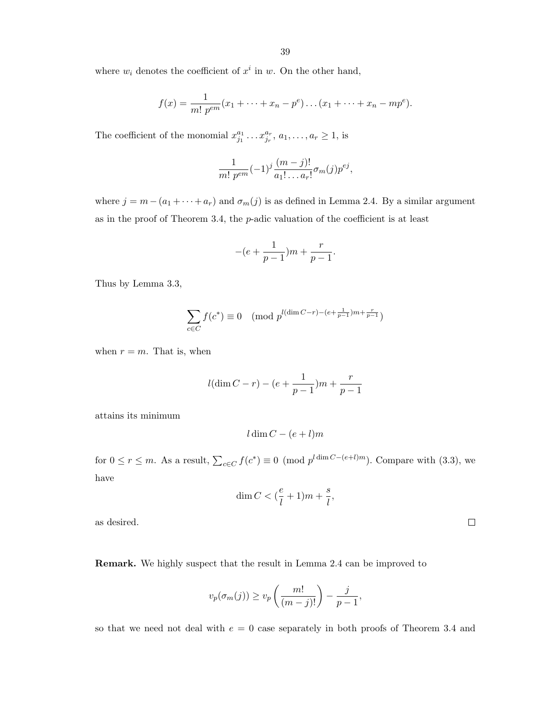where  $w_i$  denotes the coefficient of  $x^i$  in  $w$ . On the other hand,

$$
f(x) = \frac{1}{m! \, p^{em}} (x_1 + \dots + x_n - p^e) \dots (x_1 + \dots + x_n - mp^e).
$$

The coefficient of the monomial  $x_{j_1}^{a_1}$  $x_{j_1}^{a_1} \ldots x_{j_r}^{a_r}, a_1, \ldots, a_r \ge 1$ , is

$$
\frac{1}{m! \ p^{em}} (-1)^j \frac{(m-j)!}{a_1! \dots a_r!} \sigma_m(j) p^{ej},
$$

where  $j = m - (a_1 + \cdots + a_r)$  and  $\sigma_m(j)$  is as defined in Lemma 2.4. By a similar argument as in the proof of Theorem 3.4, the p-adic valuation of the coefficient is at least

$$
-(e+\frac{1}{p-1})m+\frac{r}{p-1}.
$$

Thus by Lemma 3.3,

$$
\sum_{c \in C} f(c^*) \equiv 0 \pmod{p^{l(\dim C - r) - (e + \frac{1}{p-1})m + \frac{r}{p-1}}}
$$

when  $r = m$ . That is, when

$$
l(\dim C - r) - (e + \frac{1}{p-1})m + \frac{r}{p-1}
$$

attains its minimum

$$
l\dim C - (e+l)m
$$

for  $0 \le r \le m$ . As a result,  $\sum_{c \in C} f(c^*) \equiv 0 \pmod{p^{l \dim C - (e+l)m}}$ . Compare with (3.3), we have

$$
\dim C < \left(\frac{e}{l} + 1\right)m + \frac{s}{l},
$$

as desired.

Remark. We highly suspect that the result in Lemma 2.4 can be improved to

$$
v_p(\sigma_m(j)) \ge v_p\left(\frac{m!}{(m-j)!}\right) - \frac{j}{p-1},
$$

so that we need not deal with  $e = 0$  case separately in both proofs of Theorem 3.4 and

 $\Box$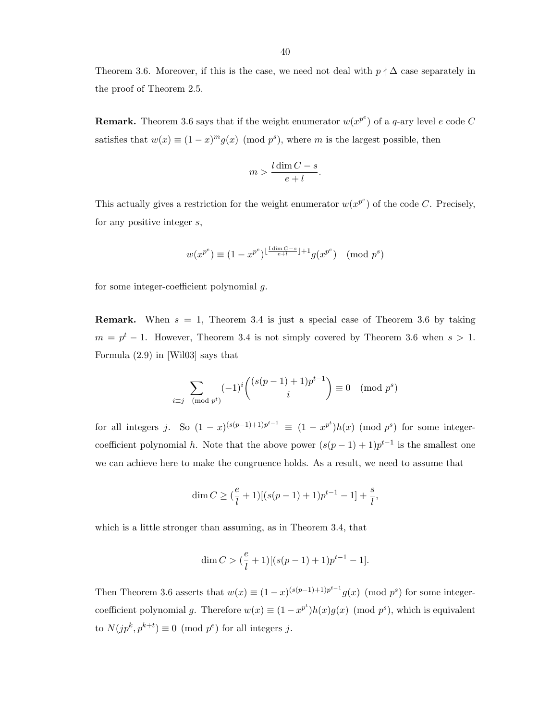Theorem 3.6. Moreover, if this is the case, we need not deal with  $p \nmid \Delta$  case separately in the proof of Theorem 2.5.

**Remark.** Theorem 3.6 says that if the weight enumerator  $w(x^{p^e})$  of a q-ary level e code C satisfies that  $w(x) \equiv (1-x)^m g(x) \pmod{p^s}$ , where m is the largest possible, then

$$
m > \frac{l \dim C - s}{e + l}.
$$

This actually gives a restriction for the weight enumerator  $w(x^{p^e})$  of the code C. Precisely, for any positive integer s,

$$
w(x^{p^e}) \equiv (1 - x^{p^e})^{\lfloor \frac{l \dim C - s}{e + l} \rfloor + 1} g(x^{p^e}) \pmod{p^s}
$$

for some integer-coefficient polynomial g.

**Remark.** When  $s = 1$ , Theorem 3.4 is just a special case of Theorem 3.6 by taking  $m = p<sup>t</sup> - 1$ . However, Theorem 3.4 is not simply covered by Theorem 3.6 when  $s > 1$ . Formula (2.9) in [Wil03] says that

$$
\sum_{i \equiv j \pmod{p^t}} (-1)^i \binom{(s(p-1)+1)p^{t-1}}{i} \equiv 0 \pmod{p^s}
$$

for all integers j. So  $(1-x)^{(s(p-1)+1)p^{t-1}} \equiv (1-x^{p^t})h(x)$  (mod  $p^s$ ) for some integercoefficient polynomial h. Note that the above power  $(s(p-1)+1)p^{t-1}$  is the smallest one we can achieve here to make the congruence holds. As a result, we need to assume that

$$
\dim C \ge \big(\frac{e}{l} + 1\big) [(s(p-1) + 1)p^{t-1} - 1] + \frac{s}{l},
$$

which is a little stronger than assuming, as in Theorem 3.4, that

$$
\dim C > (\frac{e}{l} + 1)[(s(p-1) + 1)p^{t-1} - 1].
$$

Then Theorem 3.6 asserts that  $w(x) \equiv (1-x)^{(s(p-1)+1)p^{t-1}} g(x) \pmod{p^s}$  for some integercoefficient polynomial g. Therefore  $w(x) \equiv (1 - x^{p^t})h(x)g(x)$  (mod  $p^s$ ), which is equivalent to  $N(jp^k, p^{k+t}) \equiv 0 \pmod{p^e}$  for all integers j.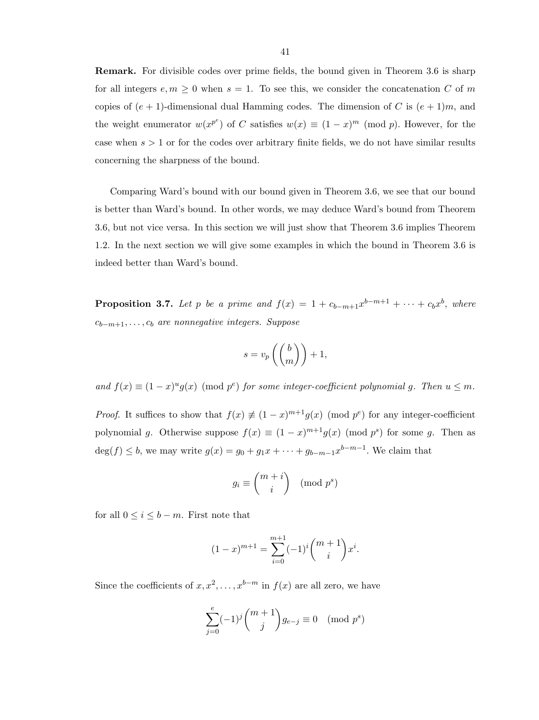Remark. For divisible codes over prime fields, the bound given in Theorem 3.6 is sharp for all integers  $e, m \geq 0$  when  $s = 1$ . To see this, we consider the concatenation C of m copies of  $(e + 1)$ -dimensional dual Hamming codes. The dimension of C is  $(e + 1)m$ , and the weight enumerator  $w(x^{p^e})$  of C satisfies  $w(x) \equiv (1-x)^m \pmod{p}$ . However, for the case when  $s > 1$  or for the codes over arbitrary finite fields, we do not have similar results concerning the sharpness of the bound.

Comparing Ward's bound with our bound given in Theorem 3.6, we see that our bound is better than Ward's bound. In other words, we may deduce Ward's bound from Theorem 3.6, but not vice versa. In this section we will just show that Theorem 3.6 implies Theorem 1.2. In the next section we will give some examples in which the bound in Theorem 3.6 is indeed better than Ward's bound.

**Proposition 3.7.** Let p be a prime and  $f(x) = 1 + c_{b-m+1}x^{b-m+1} + \cdots + c_{b}x^{b}$ , where  $c_{b-m+1}, \ldots, c_b$  are nonnegative integers. Suppose

$$
s = v_p\left(\binom{b}{m}\right) + 1,
$$

and  $f(x) \equiv (1-x)^u g(x) \pmod{p^e}$  for some integer-coefficient polynomial g. Then  $u \leq m$ .

*Proof.* It suffices to show that  $f(x) \neq (1-x)^{m+1}g(x)$  (mod  $p^e$ ) for any integer-coefficient polynomial g. Otherwise suppose  $f(x) \equiv (1-x)^{m+1}g(x) \pmod{p^s}$  for some g. Then as  $deg(f) \leq b$ , we may write  $g(x) = g_0 + g_1 x + \cdots + g_{b-m-1} x^{b-m-1}$ . We claim that

$$
g_i \equiv \binom{m+i}{i} \pmod{p^s}
$$

for all  $0 \leq i \leq b - m$ . First note that

$$
(1-x)^{m+1} = \sum_{i=0}^{m+1} (-1)^i \binom{m+1}{i} x^i.
$$

Since the coefficients of  $x, x^2, \ldots, x^{b-m}$  in  $f(x)$  are all zero, we have

$$
\sum_{j=0}^{e} (-1)^j \binom{m+1}{j} g_{e-j} \equiv 0 \pmod{p^s}
$$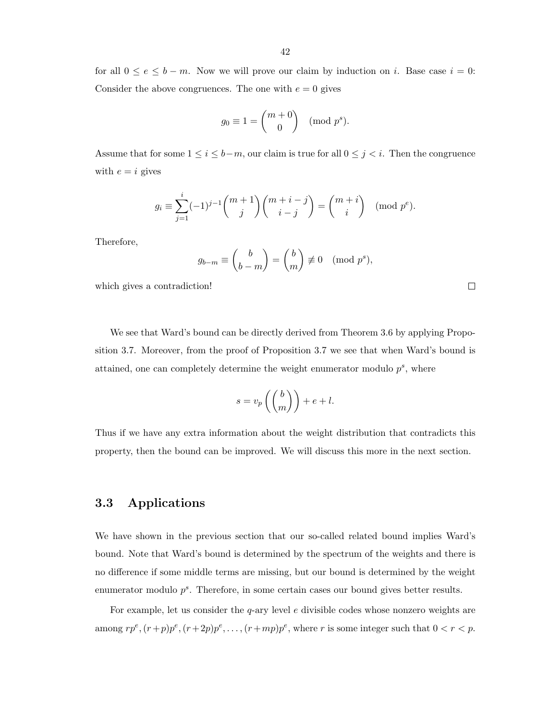for all  $0 \le e \le b - m$ . Now we will prove our claim by induction on *i*. Base case  $i = 0$ : Consider the above congruences. The one with  $e = 0$  gives

$$
g_0 \equiv 1 = \binom{m+0}{0} \pmod{p^s}.
$$

Assume that for some  $1 \leq i \leq b-m$ , our claim is true for all  $0 \leq j < i$ . Then the congruence with  $e = i$  gives

$$
g_i \equiv \sum_{j=1}^i (-1)^{j-1} \binom{m+1}{j} \binom{m+i-j}{i-j} = \binom{m+i}{i} \pmod{p^e}.
$$

Therefore,

$$
g_{b-m} \equiv \binom{b}{b-m} = \binom{b}{m} \not\equiv 0 \pmod{p^s},
$$

which gives a contradiction!

We see that Ward's bound can be directly derived from Theorem 3.6 by applying Proposition 3.7. Moreover, from the proof of Proposition 3.7 we see that when Ward's bound is attained, one can completely determine the weight enumerator modulo  $p^s$ , where

$$
s = v_p \left( \binom{b}{m} \right) + e + l.
$$

Thus if we have any extra information about the weight distribution that contradicts this property, then the bound can be improved. We will discuss this more in the next section.

### 3.3 Applications

We have shown in the previous section that our so-called related bound implies Ward's bound. Note that Ward's bound is determined by the spectrum of the weights and there is no difference if some middle terms are missing, but our bound is determined by the weight enumerator modulo  $p<sup>s</sup>$ . Therefore, in some certain cases our bound gives better results.

For example, let us consider the  $q$ -ary level e divisible codes whose nonzero weights are among  $rp^e, (r+p)p^e, (r+2p)p^e, \ldots, (r+mp)p^e$ , where r is some integer such that  $0 < r < p$ .

 $\Box$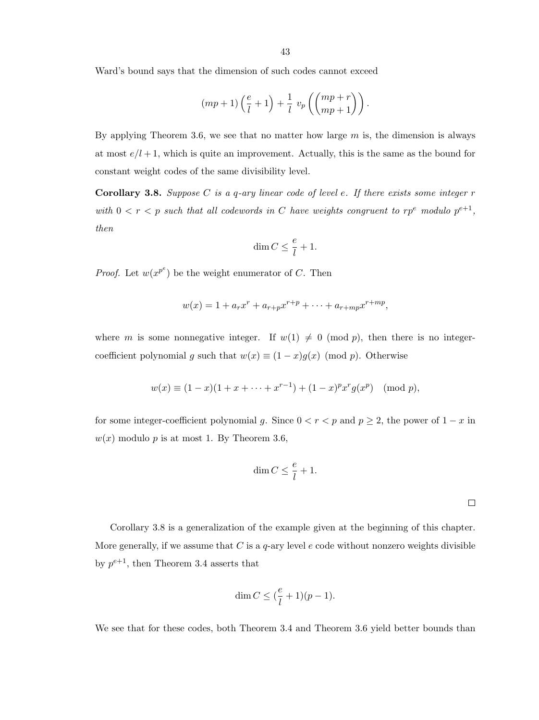Ward's bound says that the dimension of such codes cannot exceed

$$
(mp+1)\left(\frac{e}{l}+1\right) + \frac{1}{l} v_p \left(\binom{mp+r}{mp+1}\right).
$$

By applying Theorem 3.6, we see that no matter how large  $m$  is, the dimension is always at most  $e/l + 1$ , which is quite an improvement. Actually, this is the same as the bound for constant weight codes of the same divisibility level.

**Corollary 3.8.** Suppose C is a q-ary linear code of level e. If there exists some integer  $r$ with  $0 < r < p$  such that all codewords in C have weights congruent to  $rp^e$  modulo  $p^{e+1}$ , then

$$
\dim C \le \frac{e}{l} + 1.
$$

*Proof.* Let  $w(x^{p^e})$  be the weight enumerator of C. Then

$$
w(x) = 1 + a_r x^r + a_{r+p} x^{r+p} + \dots + a_{r+mp} x^{r+mp},
$$

where m is some nonnegative integer. If  $w(1) \neq 0 \pmod{p}$ , then there is no integercoefficient polynomial g such that  $w(x) \equiv (1-x)g(x) \pmod{p}$ . Otherwise

$$
w(x) \equiv (1-x)(1+x+\cdots+x^{r-1}) + (1-x)^p x^r g(x^p) \pmod{p},
$$

for some integer-coefficient polynomial g. Since  $0 < r < p$  and  $p \ge 2$ , the power of  $1 - x$  in  $w(x)$  modulo p is at most 1. By Theorem 3.6,

$$
\dim C \leq \frac{e}{l} + 1.
$$

 $\Box$ 

Corollary 3.8 is a generalization of the example given at the beginning of this chapter. More generally, if we assume that C is a  $q$ -ary level e code without nonzero weights divisible by  $p^{e+1}$ , then Theorem 3.4 asserts that

$$
\dim C \leq (\frac{e}{l} + 1)(p-1).
$$

We see that for these codes, both Theorem 3.4 and Theorem 3.6 yield better bounds than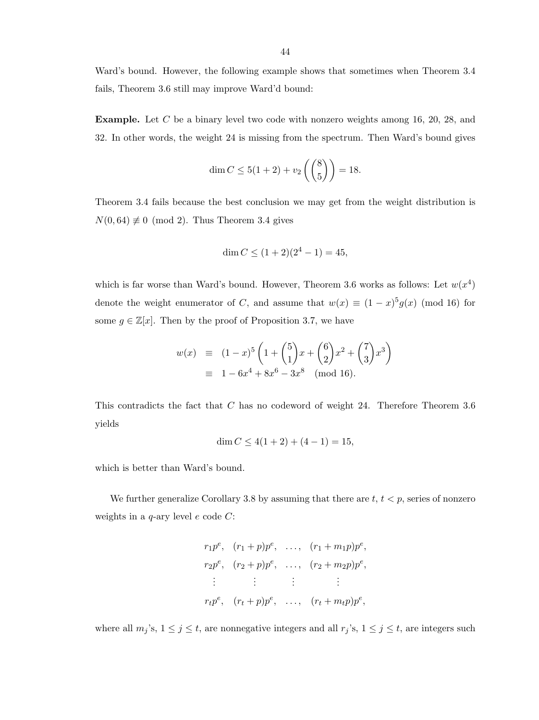Ward's bound. However, the following example shows that sometimes when Theorem 3.4 fails, Theorem 3.6 still may improve Ward'd bound:

Example. Let C be a binary level two code with nonzero weights among 16, 20, 28, and 32. In other words, the weight 24 is missing from the spectrum. Then Ward's bound gives

$$
\dim C \le 5(1+2) + v_2 \left( \binom{8}{5} \right) = 18.
$$

Theorem 3.4 fails because the best conclusion we may get from the weight distribution is  $N(0, 64) \not\equiv 0 \pmod{2}$ . Thus Theorem 3.4 gives

$$
\dim C \le (1+2)(2^4 - 1) = 45,
$$

which is far worse than Ward's bound. However, Theorem 3.6 works as follows: Let  $w(x^4)$ denote the weight enumerator of C, and assume that  $w(x) \equiv (1-x)^5 g(x) \pmod{16}$  for some  $g \in \mathbb{Z}[x]$ . Then by the proof of Proposition 3.7, we have

$$
w(x) \equiv (1-x)^5 \left( 1 + {5 \choose 1} x + {6 \choose 2} x^2 + {7 \choose 3} x^3 \right)
$$
  

$$
\equiv 1 - 6x^4 + 8x^6 - 3x^8 \pmod{16}.
$$

This contradicts the fact that C has no codeword of weight 24. Therefore Theorem 3.6 yields

$$
\dim C \le 4(1+2) + (4-1) = 15,
$$

which is better than Ward's bound.

We further generalize Corollary 3.8 by assuming that there are  $t, t < p$ , series of nonzero weights in a  $q$ -ary level  $e$  code  $C$ :

$$
r_1p^e, (r_1 + p)p^e, \dots, (r_1 + m_1p)p^e,
$$
  
\n
$$
r_2p^e, (r_2 + p)p^e, \dots, (r_2 + m_2p)p^e,
$$
  
\n
$$
\vdots \qquad \vdots \qquad \vdots
$$
  
\n
$$
r_tp^e, (r_t + p)p^e, \dots, (r_t + m_t p)p^e,
$$

where all  $m_j$ 's,  $1 \le j \le t$ , are nonnegative integers and all  $r_j$ 's,  $1 \le j \le t$ , are integers such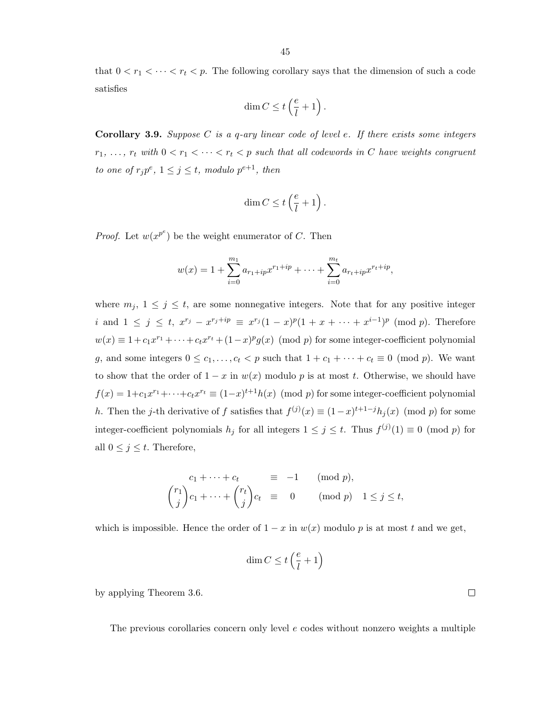that  $0 < r_1 < \cdots < r_t < p$ . The following corollary says that the dimension of such a code satisfies

$$
\dim C \leq t\left(\frac{e}{l} + 1\right).
$$

**Corollary 3.9.** Suppose C is a q-ary linear code of level e. If there exists some integers  $r_1, \ldots, r_t$  with  $0 < r_1 < \cdots < r_t < p$  such that all codewords in C have weights congruent to one of  $r_j p^e$ ,  $1 \leq j \leq t$ , modulo  $p^{e+1}$ , then

$$
\dim C \leq t \left( \frac{e}{l} + 1 \right).
$$

*Proof.* Let  $w(x^{p^e})$  be the weight enumerator of C. Then

$$
w(x) = 1 + \sum_{i=0}^{m_1} a_{r_1 + ip} x^{r_1 + ip} + \dots + \sum_{i=0}^{m_t} a_{r_t + ip} x^{r_t + ip},
$$

where  $m_j$ ,  $1 \leq j \leq t$ , are some nonnegative integers. Note that for any positive integer i and  $1 \leq j \leq t$ ,  $x^{r_j} - x^{r_j + ip} \equiv x^{r_j}(1-x)^p(1+x+\cdots+x^{i-1})^p \pmod{p}$ . Therefore  $w(x) \equiv 1 + c_1 x^{r_1} + \cdots + c_t x^{r_t} + (1-x)^p g(x) \pmod{p}$  for some integer-coefficient polynomial g, and some integers  $0 \leq c_1, \ldots, c_t < p$  such that  $1 + c_1 + \cdots + c_t \equiv 0 \pmod{p}$ . We want to show that the order of  $1 - x$  in  $w(x)$  modulo p is at most t. Otherwise, we should have  $f(x) = 1 + c_1 x^{r_1} + \cdots + c_t x^{r_t} \equiv (1-x)^{t+1} h(x) \pmod{p}$  for some integer-coefficient polynomial h. Then the j-th derivative of f satisfies that  $f^{(j)}(x) \equiv (1-x)^{t+1-j} h_j(x) \pmod{p}$  for some integer-coefficient polynomials  $h_j$  for all integers  $1 \leq j \leq t$ . Thus  $f^{(j)}(1) \equiv 0 \pmod{p}$  for all  $0 \leq j \leq t$ . Therefore,

$$
c_1 + \dots + c_t \equiv -1 \pmod{p},
$$
  

$$
{r_1 \choose j} c_1 + \dots + {r_t \choose j} c_t \equiv 0 \pmod{p} \quad 1 \le j \le t,
$$

which is impossible. Hence the order of  $1 - x$  in  $w(x)$  modulo p is at most t and we get,

$$
\dim C \leq t\left(\frac{e}{l}+1\right)
$$

by applying Theorem 3.6.

The previous corollaries concern only level  $e$  codes without nonzero weights a multiple

 $\Box$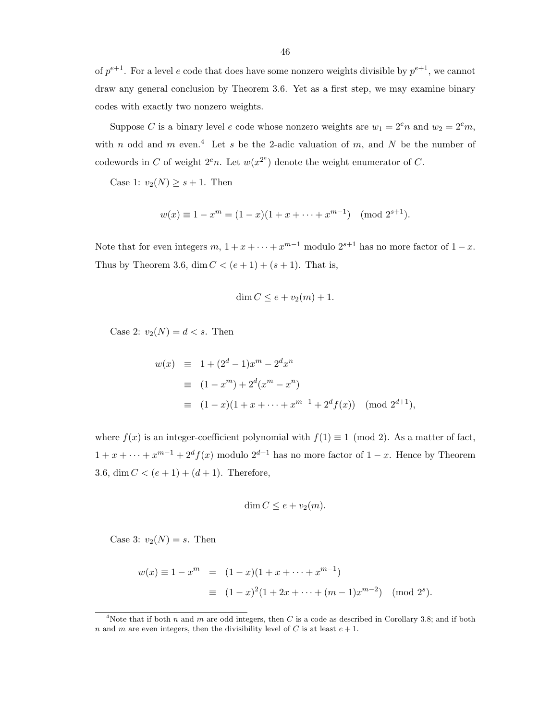of  $p^{e+1}$ . For a level e code that does have some nonzero weights divisible by  $p^{e+1}$ , we cannot draw any general conclusion by Theorem 3.6. Yet as a first step, we may examine binary codes with exactly two nonzero weights.

Suppose C is a binary level e code whose nonzero weights are  $w_1 = 2^e n$  and  $w_2 = 2^e m$ , with n odd and m even.<sup>4</sup> Let s be the 2-adic valuation of m, and N be the number of codewords in C of weight  $2^e n$ . Let  $w(x^{2^e})$  denote the weight enumerator of C.

Case 1:  $v_2(N) \geq s+1$ . Then

$$
w(x) \equiv 1 - x^m = (1 - x)(1 + x + \dots + x^{m-1}) \pmod{2^{s+1}}.
$$

Note that for even integers  $m, 1 + x + \cdots + x^{m-1}$  modulo  $2^{s+1}$  has no more factor of  $1-x$ . Thus by Theorem 3.6, dim  $C < (e + 1) + (s + 1)$ . That is,

$$
\dim C \le e + v_2(m) + 1.
$$

Case 2:  $v_2(N) = d < s$ . Then

$$
w(x) \equiv 1 + (2^d - 1)x^m - 2^d x^n
$$
  
\n
$$
\equiv (1 - x^m) + 2^d (x^m - x^n)
$$
  
\n
$$
\equiv (1 - x)(1 + x + \dots + x^{m-1} + 2^d f(x)) \pmod{2^{d+1}},
$$

where  $f(x)$  is an integer-coefficient polynomial with  $f(1) \equiv 1 \pmod{2}$ . As a matter of fact,  $1 + x + \cdots + x^{m-1} + 2^{d} f(x)$  modulo  $2^{d+1}$  has no more factor of  $1 - x$ . Hence by Theorem 3.6, dim  $C < (e + 1) + (d + 1)$ . Therefore,

$$
\dim C \le e + v_2(m).
$$

Case 3:  $v_2(N) = s$ . Then

$$
w(x) \equiv 1 - x^m = (1 - x)(1 + x + \dots + x^{m-1})
$$
  
 
$$
\equiv (1 - x)^2 (1 + 2x + \dots + (m - 1)x^{m-2}) \pmod{2^s}.
$$

<sup>&</sup>lt;sup>4</sup>Note that if both n and m are odd integers, then C is a code as described in Corollary 3.8; and if both n and m are even integers, then the divisibility level of C is at least  $e + 1$ .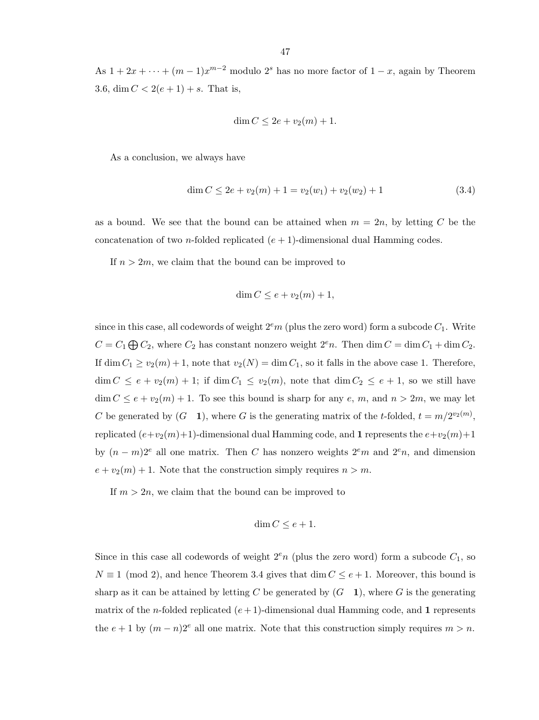As  $1 + 2x + \cdots + (m-1)x^{m-2}$  modulo  $2<sup>s</sup>$  has no more factor of  $1-x$ , again by Theorem 3.6, dim  $C < 2(e+1) + s$ . That is,

$$
\dim C \le 2e + v_2(m) + 1.
$$

As a conclusion, we always have

$$
\dim C \le 2e + v_2(m) + 1 = v_2(w_1) + v_2(w_2) + 1 \tag{3.4}
$$

as a bound. We see that the bound can be attained when  $m = 2n$ , by letting C be the concatenation of two *n*-folded replicated  $(e + 1)$ -dimensional dual Hamming codes.

If  $n > 2m$ , we claim that the bound can be improved to

$$
\dim C \le e + v_2(m) + 1,
$$

since in this case, all codewords of weight  $2<sup>e</sup>m$  (plus the zero word) form a subcode  $C_1$ . Write  $C = C_1 \bigoplus C_2$ , where  $C_2$  has constant nonzero weight  $2^e n$ . Then dim  $C = \dim C_1 + \dim C_2$ . If dim  $C_1 \ge v_2(m) + 1$ , note that  $v_2(N) = \dim C_1$ , so it falls in the above case 1. Therefore,  $\dim C \leq e + v_2(m) + 1$ ; if  $\dim C_1 \leq v_2(m)$ , note that  $\dim C_2 \leq e + 1$ , so we still have  $\dim C \leq e + v_2(m) + 1$ . To see this bound is sharp for any e, m, and  $n > 2m$ , we may let C be generated by  $(G \t1)$ , where G is the generating matrix of the t-folded,  $t = m/2^{v_2(m)}$ , replicated  $(e+v_2(m)+1)$ -dimensional dual Hamming code, and 1 represents the  $e+v_2(m)+1$ by  $(n - m)2^e$  all one matrix. Then C has nonzero weights  $2^e m$  and  $2^e n$ , and dimension  $e + v_2(m) + 1$ . Note that the construction simply requires  $n > m$ .

If  $m > 2n$ , we claim that the bound can be improved to

$$
\dim C \le e + 1.
$$

Since in this case all codewords of weight  $2^en$  (plus the zero word) form a subcode  $C_1$ , so  $N \equiv 1 \pmod{2}$ , and hence Theorem 3.4 gives that  $\dim C \leq e+1$ . Moreover, this bound is sharp as it can be attained by letting C be generated by  $(G \ 1)$ , where G is the generating matrix of the *n*-folded replicated  $(e+1)$ -dimensional dual Hamming code, and 1 represents the  $e + 1$  by  $(m - n)2^e$  all one matrix. Note that this construction simply requires  $m > n$ .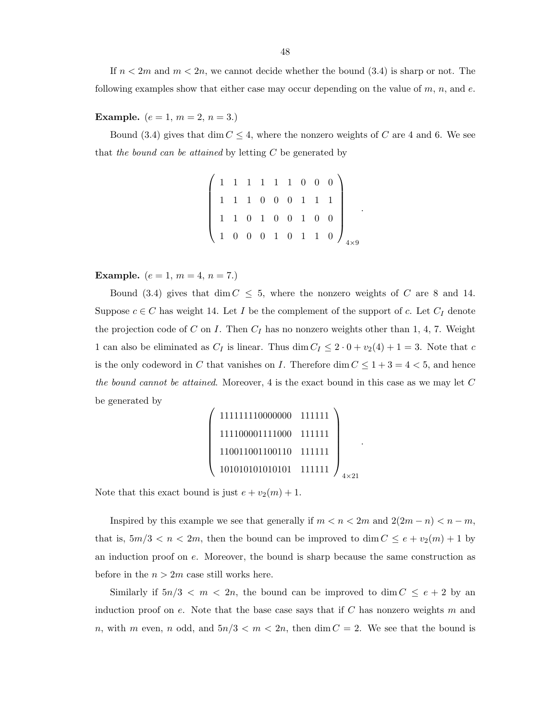If  $n < 2m$  and  $m < 2n$ , we cannot decide whether the bound  $(3.4)$  is sharp or not. The following examples show that either case may occur depending on the value of  $m$ ,  $n$ , and  $e$ .

### **Example.**  $(e = 1, m = 2, n = 3.)$

Bound (3.4) gives that dim  $C \leq 4$ , where the nonzero weights of C are 4 and 6. We see that the bound can be attained by letting  $C$  be generated by

|  |  |  |  | $\begin{pmatrix} 1 & 1 & 1 & 1 & 1 & 1 & 0 & 0 & 0 \ 1 & 1 & 1 & 0 & 0 & 0 & 1 & 1 & 1 \ 1 & 1 & 0 & 1 & 0 & 0 & 1 & 0 & 0 \ \end{pmatrix}$<br>$\begin{pmatrix} 1 & 0 & 0 & 0 & 1 & 0 & 1 & 1 & 0 \ 1 & 0 & 0 & 0 & 1 & 0 & 1 & 1 & 0 \end{pmatrix}_{4\times 9}$ |  |
|--|--|--|--|------------------------------------------------------------------------------------------------------------------------------------------------------------------------------------------------------------------------------------------------------------------|--|

.

.

**Example.**  $(e = 1, m = 4, n = 7.)$ 

Bound (3.4) gives that dim  $C \leq 5$ , where the nonzero weights of C are 8 and 14. Suppose  $c \in C$  has weight 14. Let I be the complement of the support of c. Let  $C_I$  denote the projection code of C on I. Then  $C_I$  has no nonzero weights other than 1, 4, 7. Weight 1 can also be eliminated as  $C_I$  is linear. Thus dim  $C_I \leq 2 \cdot 0 + v_2(4) + 1 = 3$ . Note that c is the only codeword in C that vanishes on I. Therefore dim  $C \leq 1+3=4<5$ , and hence the bound cannot be attained. Moreover, 4 is the exact bound in this case as we may let  $C$ be generated by

$$
\left(\begin{array}{c} 111111110000000 & 111111 \\ 111100001111000 & 111111 \\ 110011001100110 & 111111 \\ 101010101010101 & 111111 \end{array}\right)_{4\times 21}
$$

Note that this exact bound is just  $e + v_2(m) + 1$ .

Inspired by this example we see that generally if  $m < n < 2m$  and  $2(2m - n) < n - m$ , that is,  $5m/3 < n < 2m$ , then the bound can be improved to dim  $C \le e + v_2(m) + 1$  by an induction proof on e. Moreover, the bound is sharp because the same construction as before in the  $n > 2m$  case still works here.

Similarly if  $5n/3 < m < 2n$ , the bound can be improved to  $\dim C \leq e+2$  by an induction proof on e. Note that the base case says that if  $C$  has nonzero weights m and n, with m even, n odd, and  $5n/3 < m < 2n$ , then dim  $C = 2$ . We see that the bound is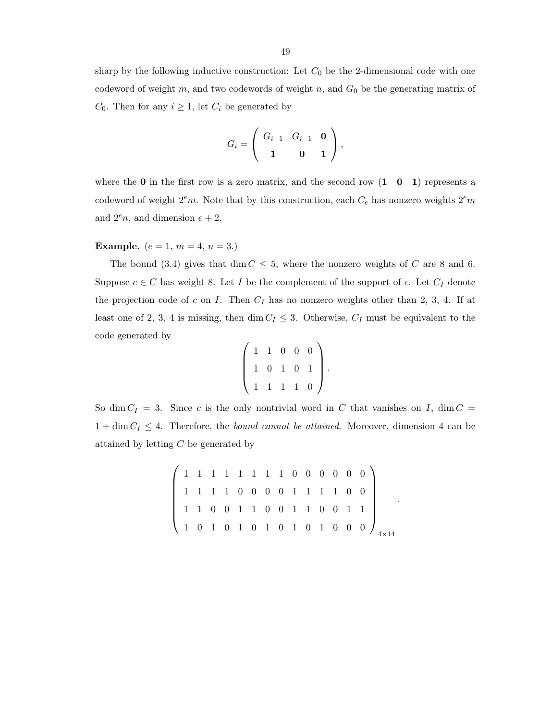sharp by the following inductive construction: Let  $C_0$  be the 2-dimensional code with one codeword of weight m, and two codewords of weight  $n$ , and  $G_0$  be the generating matrix of  $C_0$ . Then for any  $i \geq 1$ , let  $C_i$  be generated by

$$
G_i = \left( \begin{array}{ccc} G_{i-1} & G_{i-1} & \mathbf{0} \\ \mathbf{1} & \mathbf{0} & \mathbf{1} \end{array} \right),
$$

where the  $\bf{0}$  in the first row is a zero matrix, and the second row  $\bf{(1 \ 0 \ 1)}$  represents a codeword of weight  $2<sup>e</sup>m$ . Note that by this construction, each  $C<sub>e</sub>$  has nonzero weights  $2<sup>e</sup>m$ and  $2^e n$ , and dimension  $e + 2$ .

### **Example.**  $(e = 1, m = 4, n = 3.)$

The bound (3.4) gives that dim  $C \leq 5$ , where the nonzero weights of C are 8 and 6. Suppose  $c \in C$  has weight 8. Let I be the complement of the support of c. Let  $C_I$  denote the projection code of c on I. Then  $C_I$  has no nonzero weights other than 2, 3, 4. If at least one of 2, 3, 4 is missing, then dim  $C_I \leq 3$ . Otherwise,  $C_I$  must be equivalent to the code generated by

$$
\left(\begin{array}{rrrrr} 1 & 1 & 0 & 0 & 0 \\ 1 & 0 & 1 & 0 & 1 \\ 1 & 1 & 1 & 1 & 0 \end{array}\right).
$$

So dim  $C_I = 3$ . Since c is the only nontrivial word in C that vanishes on I, dim C =  $1 + \dim C_I \leq 4$ . Therefore, the *bound cannot be attained*. Moreover, dimension 4 can be attained by letting C be generated by

 1 1 1 1 1 1 1 1 0 0 0 0 0 0 1 1 1 1 0 0 0 0 1 1 1 1 0 0 1 1 0 0 1 1 0 0 1 1 0 0 1 1 1 0 1 0 1 0 1 0 1 0 1 0 0 0 4×14

.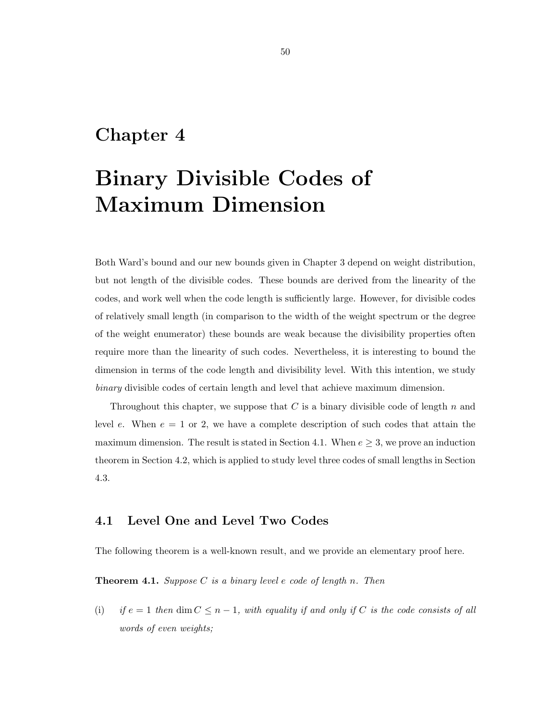### Chapter 4

# Binary Divisible Codes of Maximum Dimension

Both Ward's bound and our new bounds given in Chapter 3 depend on weight distribution, but not length of the divisible codes. These bounds are derived from the linearity of the codes, and work well when the code length is sufficiently large. However, for divisible codes of relatively small length (in comparison to the width of the weight spectrum or the degree of the weight enumerator) these bounds are weak because the divisibility properties often require more than the linearity of such codes. Nevertheless, it is interesting to bound the dimension in terms of the code length and divisibility level. With this intention, we study binary divisible codes of certain length and level that achieve maximum dimension.

Throughout this chapter, we suppose that  $C$  is a binary divisible code of length  $n$  and level e. When  $e = 1$  or 2, we have a complete description of such codes that attain the maximum dimension. The result is stated in Section 4.1. When  $e \geq 3$ , we prove an induction theorem in Section 4.2, which is applied to study level three codes of small lengths in Section 4.3.

### 4.1 Level One and Level Two Codes

The following theorem is a well-known result, and we provide an elementary proof here.

**Theorem 4.1.** Suppose C is a binary level e code of length n. Then

(i) if  $e = 1$  then dim  $C \leq n - 1$ , with equality if and only if C is the code consists of all words of even weights;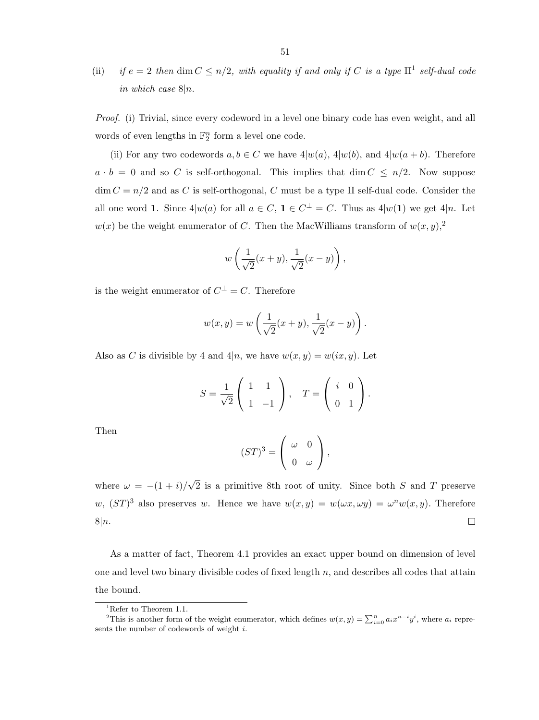(ii) if  $e = 2$  then dim  $C \leq n/2$ , with equality if and only if C is a type  $\mathbb{H}^1$  self-dual code in which case  $8|n$ .

Proof. (i) Trivial, since every codeword in a level one binary code has even weight, and all words of even lengths in  $\mathbb{F}_2^n$  form a level one code.

(ii) For any two codewords  $a, b \in C$  we have  $4|w(a), 4|w(b),$  and  $4|w(a + b)$ . Therefore  $a \cdot b = 0$  and so C is self-orthogonal. This implies that dim  $C \leq n/2$ . Now suppose  $\dim C = n/2$  and as C is self-orthogonal, C must be a type II self-dual code. Consider the all one word 1. Since  $4|w(a)$  for all  $a \in C$ ,  $1 \in C^{\perp} = C$ . Thus as  $4|w(1)$  we get  $4|n$ . Let  $w(x)$  be the weight enumerator of C. Then the MacWilliams transform of  $w(x, y)$ ,<sup>2</sup>

$$
w\left(\frac{1}{\sqrt{2}}(x+y),\frac{1}{\sqrt{2}}(x-y)\right),\,
$$

is the weight enumerator of  $C^{\perp} = C$ . Therefore

$$
w(x, y) = w\left(\frac{1}{\sqrt{2}}(x+y), \frac{1}{\sqrt{2}}(x-y)\right).
$$

Also as C is divisible by 4 and 4|n, we have  $w(x, y) = w(ix, y)$ . Let

$$
S = \frac{1}{\sqrt{2}} \left( \begin{array}{cc} 1 & 1 \\ 1 & -1 \end{array} \right), \quad T = \left( \begin{array}{cc} i & 0 \\ 0 & 1 \end{array} \right).
$$

Then

$$
(ST)^3 = \left(\begin{array}{cc} \omega & 0 \\ 0 & \omega \end{array}\right),
$$

√ where  $\omega = -(1+i)/$ 2 is a primitive 8th root of unity. Since both S and T preserve w,  $(ST)^3$  also preserves w. Hence we have  $w(x,y) = w(\omega x, \omega y) = \omega^n w(x,y)$ . Therefore  $\Box$  $8|n.$ 

As a matter of fact, Theorem 4.1 provides an exact upper bound on dimension of level one and level two binary divisible codes of fixed length  $n$ , and describes all codes that attain the bound.

<sup>&</sup>lt;sup>1</sup>Refer to Theorem 1.1.

<sup>&</sup>lt;sup>2</sup>This is another form of the weight enumerator, which defines  $w(x, y) = \sum_{i=0}^{n} a_i x^{n-i} y^i$ , where  $a_i$  represents the number of codewords of weight i.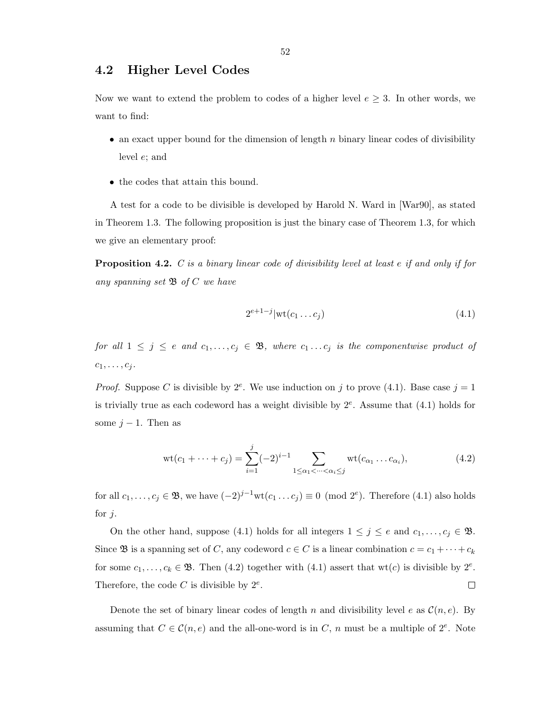### 4.2 Higher Level Codes

Now we want to extend the problem to codes of a higher level  $e \geq 3$ . In other words, we want to find:

- an exact upper bound for the dimension of length  $n$  binary linear codes of divisibility level e; and
- the codes that attain this bound.

A test for a code to be divisible is developed by Harold N. Ward in [War90], as stated in Theorem 1.3. The following proposition is just the binary case of Theorem 1.3, for which we give an elementary proof:

**Proposition 4.2.**  $C$  is a binary linear code of divisibility level at least  $e$  if and only if for any spanning set  $\mathfrak{B}$  of  $C$  we have

$$
2^{e+1-j}|\mathrm{wt}(c_1\dots c_j)\tag{4.1}
$$

for all  $1 \leq j \leq e$  and  $c_1, \ldots, c_j \in \mathfrak{B}$ , where  $c_1 \ldots c_j$  is the componentwise product of  $c_1, \ldots, c_j$ .

*Proof.* Suppose C is divisible by  $2^e$ . We use induction on j to prove (4.1). Base case  $j = 1$ is trivially true as each codeword has a weight divisible by  $2^e$ . Assume that  $(4.1)$  holds for some  $j-1$ . Then as

$$
\text{wt}(c_1 + \dots + c_j) = \sum_{i=1}^j (-2)^{i-1} \sum_{1 \le \alpha_1 < \dots < \alpha_i \le j} \text{wt}(c_{\alpha_1} \dots c_{\alpha_i}),\tag{4.2}
$$

for all  $c_1, \ldots, c_j \in \mathfrak{B}$ , we have  $(-2)^{j-1} \text{wt}(c_1 \ldots c_j) \equiv 0 \pmod{2^e}$ . Therefore  $(4.1)$  also holds for  $j$ .

On the other hand, suppose (4.1) holds for all integers  $1 \leq j \leq e$  and  $c_1, \ldots, c_j \in \mathfrak{B}$ . Since **B** is a spanning set of C, any codeword  $c \in C$  is a linear combination  $c = c_1 + \cdots + c_k$ for some  $c_1, \ldots, c_k \in \mathfrak{B}$ . Then (4.2) together with (4.1) assert that wt(c) is divisible by  $2^e$ . Therefore, the code  $C$  is divisible by  $2^e$ .  $\Box$ 

Denote the set of binary linear codes of length n and divisibility level e as  $\mathcal{C}(n, e)$ . By assuming that  $C \in \mathcal{C}(n, e)$  and the all-one-word is in C, n must be a multiple of  $2^e$ . Note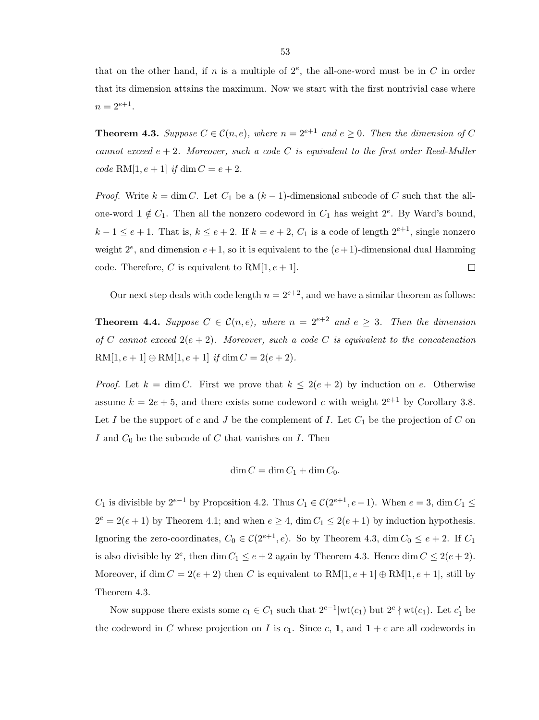that on the other hand, if n is a multiple of  $2^e$ , the all-one-word must be in C in order that its dimension attains the maximum. Now we start with the first nontrivial case where  $n = 2^{e+1}$ .

**Theorem 4.3.** Suppose  $C \in \mathcal{C}(n, e)$ , where  $n = 2^{e+1}$  and  $e \ge 0$ . Then the dimension of C cannot exceed  $e + 2$ . Moreover, such a code C is equivalent to the first order Reed-Muller code RM $[1, e+1]$  if dim  $C = e+2$ .

*Proof.* Write  $k = \dim C$ . Let  $C_1$  be a  $(k-1)$ -dimensional subcode of C such that the allone-word  $\mathbf{1} \notin C_1$ . Then all the nonzero codeword in  $C_1$  has weight  $2^e$ . By Ward's bound,  $k-1 \le e+1$ . That is,  $k \le e+2$ . If  $k = e+2$ ,  $C_1$  is a code of length  $2^{e+1}$ , single nonzero weight  $2^e$ , and dimension  $e+1$ , so it is equivalent to the  $(e+1)$ -dimensional dual Hamming code. Therefore, C is equivalent to  $RM[1, e+1]$ .  $\Box$ 

Our next step deals with code length  $n = 2^{e+2}$ , and we have a similar theorem as follows:

**Theorem 4.4.** Suppose  $C \in \mathcal{C}(n, e)$ , where  $n = 2^{e+2}$  and  $e \geq 3$ . Then the dimension of C cannot exceed  $2(e + 2)$ . Moreover, such a code C is equivalent to the concatenation  $RM[1, e+1] \oplus RM[1, e+1]$  if  $\dim C = 2(e+2)$ .

*Proof.* Let  $k = \dim C$ . First we prove that  $k \leq 2(e+2)$  by induction on e. Otherwise assume  $k = 2e + 5$ , and there exists some codeword c with weight  $2^{e+1}$  by Corollary 3.8. Let I be the support of c and J be the complement of I. Let  $C_1$  be the projection of C on I and  $C_0$  be the subcode of C that vanishes on I. Then

$$
\dim C = \dim C_1 + \dim C_0.
$$

 $C_1$  is divisible by  $2^{e-1}$  by Proposition 4.2. Thus  $C_1 \in \mathcal{C}(2^{e+1}, e-1)$ . When  $e = 3$ , dim  $C_1 \leq$  $2^e = 2(e+1)$  by Theorem 4.1; and when  $e \geq 4$ , dim  $C_1 \leq 2(e+1)$  by induction hypothesis. Ignoring the zero-coordinates,  $C_0 \in \mathcal{C}(2^{e+1}, e)$ . So by Theorem 4.3, dim  $C_0 \le e+2$ . If  $C_1$ is also divisible by  $2^e$ , then dim  $C_1 \le e+2$  again by Theorem 4.3. Hence dim  $C \le 2(e+2)$ . Moreover, if dim  $C = 2(e + 2)$  then C is equivalent to  $RM[1, e + 1] \oplus RM[1, e + 1]$ , still by Theorem 4.3.

Now suppose there exists some  $c_1 \in C_1$  such that  $2^{e-1}|\text{wt}(c_1)$  but  $2^e \nmid \text{wt}(c_1)$ . Let  $c'_1$  be the codeword in C whose projection on I is  $c_1$ . Since c, 1, and  $1+c$  are all codewords in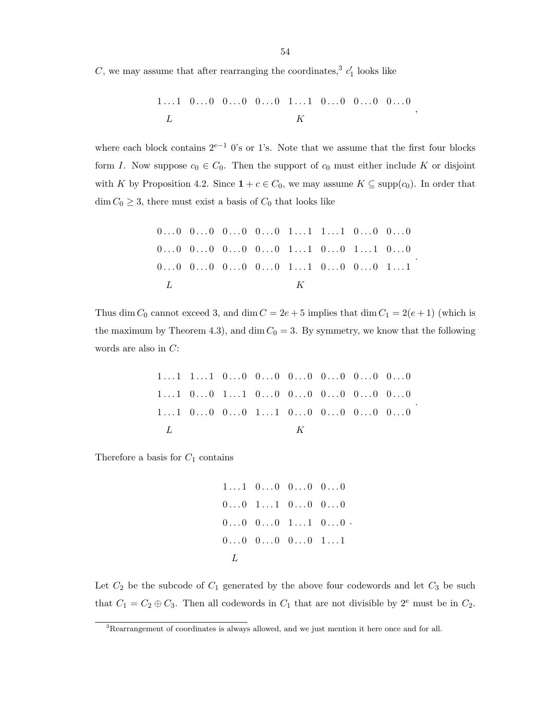C, we may assume that after rearranging the coordinates,<sup>3</sup>  $c'_1$  looks like

1 . . . 1 0 . . . 0 0 . . . 0 0 . . . 0 1 . . . 1 0 . . . 0 0 . . . 0 0 . . . 0 L K ,

where each block contains  $2^{e-1}$  0's or 1's. Note that we assume that the first four blocks form I. Now suppose  $c_0 \in C_0$ . Then the support of  $c_0$  must either include K or disjoint with K by Proposition 4.2. Since  $1 + c \in C_0$ , we may assume  $K \subseteq \text{supp}(c_0)$ . In order that  $\dim C_0 \geq 3$ , there must exist a basis of  $C_0$  that looks like

0 . . . 0 0 . . . 0 0 . . . 0 0 . . . 0 1 . . . 1 1 . . . 1 0 . . . 0 0 . . . 0 0 . . . 0 0 . . . 0 0 . . . 0 0 . . . 0 1 . . . 1 0 . . . 0 1 . . . 1 0 . . . 0 0 . . . 0 0 . . . 0 0 . . . 0 0 . . . 0 1 . . . 1 0 . . . 0 0 . . . 0 1 . . . 1 L K .

Thus dim  $C_0$  cannot exceed 3, and dim  $C = 2e + 5$  implies that dim  $C_1 = 2(e + 1)$  (which is the maximum by Theorem 4.3), and dim  $C_0 = 3$ . By symmetry, we know that the following words are also in C:

$$
\begin{array}{cccccccccc} 1 \dots 1 & 1 \dots 1 & 0 \dots 0 & 0 \dots 0 & 0 \dots 0 & 0 \dots 0 & 0 \dots 0 & 0 \dots 0 & 0 \dots 0 \\ 1 \dots 1 & 0 \dots 0 & 1 \dots 1 & 0 \dots 0 & 0 \dots 0 & 0 \dots 0 & 0 \dots 0 & 0 \dots 0 \\ 1 \dots 1 & 0 \dots 0 & 0 \dots 0 & 1 \dots 1 & 0 \dots 0 & 0 \dots 0 & 0 \dots 0 & 0 \dots 0 \\ L & & & & K \end{array}
$$

.

Therefore a basis for  $C_1$  contains

$$
\begin{array}{cccccc}\n1 \dots 1 & 0 \dots 0 & 0 \dots 0 & 0 \dots 0 \\
0 \dots 0 & 1 \dots 1 & 0 \dots 0 & 0 \dots 0 \\
0 \dots 0 & 0 \dots 0 & 1 \dots 1 & 0 \dots 0 \\
0 \dots 0 & 0 \dots 0 & 0 \dots 0 & 1 \dots 1 \\
L\n\end{array}
$$

.

Let  $C_2$  be the subcode of  $C_1$  generated by the above four codewords and let  $C_3$  be such that  $C_1 = C_2 \oplus C_3$ . Then all codewords in  $C_1$  that are not divisible by  $2^e$  must be in  $C_2$ .

<sup>3</sup>Rearrangement of coordinates is always allowed, and we just mention it here once and for all.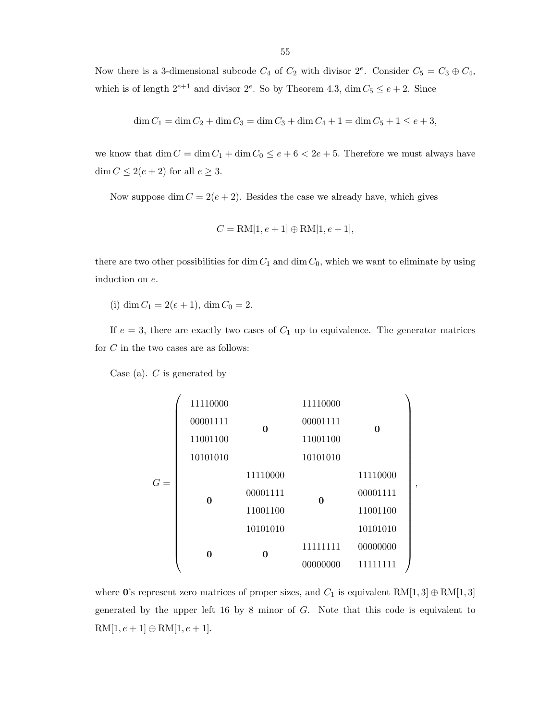Now there is a 3-dimensional subcode  $C_4$  of  $C_2$  with divisor  $2^e$ . Consider  $C_5 = C_3 \oplus C_4$ , which is of length  $2^{e+1}$  and divisor  $2^e$ . So by Theorem 4.3, dim  $C_5 \le e+2$ . Since

$$
\dim C_1 = \dim C_2 + \dim C_3 = \dim C_3 + \dim C_4 + 1 = \dim C_5 + 1 \le e + 3,
$$

we know that  $\dim C = \dim C_1 + \dim C_0 \le e + 6 < 2e + 5$ . Therefore we must always have  $\dim C \leq 2(e+2)$  for all  $e \geq 3.$ 

Now suppose dim  $C = 2(e + 2)$ . Besides the case we already have, which gives

$$
C = \text{RM}[1, e+1] \oplus \text{RM}[1, e+1],
$$

there are two other possibilities for dim  $C_1$  and dim  $C_0$ , which we want to eliminate by using induction on e.

(i) dim  $C_1 = 2(e + 1)$ , dim  $C_0 = 2$ .

If  $e = 3$ , there are exactly two cases of  $C_1$  up to equivalence. The generator matrices for  $C$  in the two cases are as follows:

Case (a).  $C$  is generated by

$$
G = \left(\begin{array}{cccc} 11110000 & & 11110000 \\ 00001111 & & & 000001111 & & \textbf{0} \\ 11001100 & & & 11001100 & & 0 \\ 10101010 & & & 10101010 & & 11110000 \\ & & & 11110000 & & & 11110000 \\ & & & 00001111 & & & 000001111 \\ & & & 11001100 & & & 11001100 \\ & & & 10101010 & & & 10101010 \\ & & & & 0 & & 01000000 & & 11111111 \end{array}\right)
$$

,

where 0's represent zero matrices of proper sizes, and  $C_1$  is equivalent RM[1,3]  $\oplus$  RM[1,3] generated by the upper left 16 by 8 minor of G. Note that this code is equivalent to  $\label{eq:rm1} \mathrm{RM}[1,e+1]\oplus \mathrm{RM}[1,e+1].$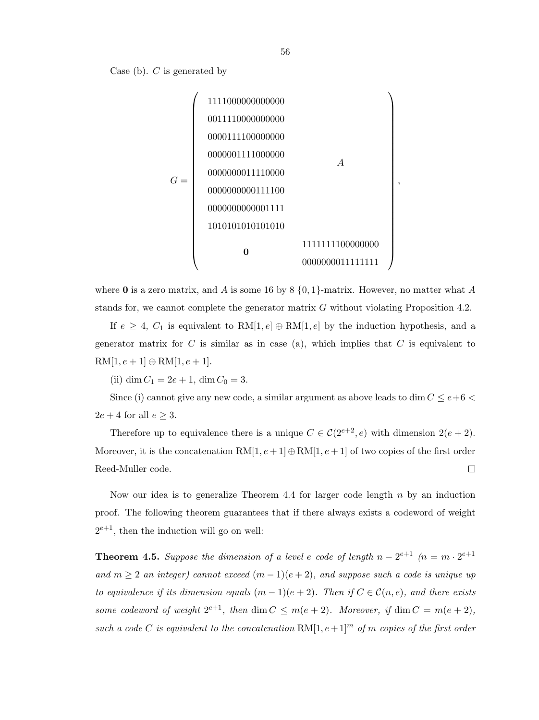



where 0 is a zero matrix, and A is some 16 by 8  $\{0,1\}$ -matrix. However, no matter what A stands for, we cannot complete the generator matrix  $G$  without violating Proposition 4.2.

If  $e \geq 4$ ,  $C_1$  is equivalent to RM[1, e]  $\oplus$  RM[1, e] by the induction hypothesis, and a generator matrix for  $C$  is similar as in case (a), which implies that  $C$  is equivalent to  $RM[1, e+1] \oplus RM[1, e+1].$ 

(ii) dim  $C_1 = 2e + 1$ , dim  $C_0 = 3$ .

Since (i) cannot give any new code, a similar argument as above leads to dim  $C \leq e+6$  $2e + 4$  for all  $e \geq 3$ .

Therefore up to equivalence there is a unique  $C \in \mathcal{C}(2^{e+2}, e)$  with dimension  $2(e+2)$ . Moreover, it is the concatenation  $RM[1, e+1] \oplus RM[1, e+1]$  of two copies of the first order  $\Box$ Reed-Muller code.

Now our idea is to generalize Theorem 4.4 for larger code length  $n$  by an induction proof. The following theorem guarantees that if there always exists a codeword of weight  $2^{e+1}$ , then the induction will go on well:

**Theorem 4.5.** Suppose the dimension of a level e code of length  $n - 2^{e+1}$   $(n = m \cdot 2^{e+1})$ and  $m \geq 2$  an integer) cannot exceed  $(m-1)(e+2)$ , and suppose such a code is unique up to equivalence if its dimension equals  $(m-1)(e+2)$ . Then if  $C \in \mathcal{C}(n,e)$ , and there exists some codeword of weight  $2^{e+1}$ , then dim  $C \leq m(e+2)$ . Moreover, if dim  $C = m(e+2)$ , such a code C is equivalent to the concatenation  $\mathrm{RM}[1, e+1]^m$  of m copies of the first order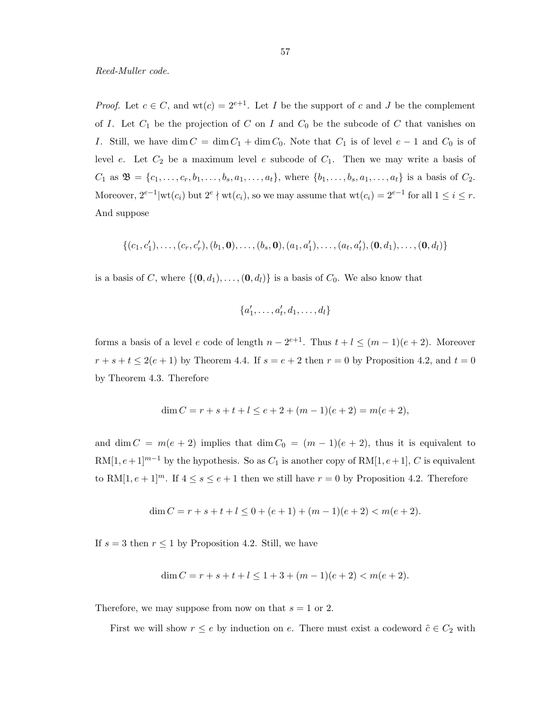*Proof.* Let  $c \in C$ , and  $wt(c) = 2^{e+1}$ . Let I be the support of c and J be the complement of I. Let  $C_1$  be the projection of C on I and  $C_0$  be the subcode of C that vanishes on I. Still, we have dim  $C = \dim C_1 + \dim C_0$ . Note that  $C_1$  is of level  $e - 1$  and  $C_0$  is of level e. Let  $C_2$  be a maximum level e subcode of  $C_1$ . Then we may write a basis of  $C_1$  as  $\mathfrak{B} = \{c_1, \ldots, c_r, b_1, \ldots, b_s, a_1, \ldots, a_t\}$ , where  $\{b_1, \ldots, b_s, a_1, \ldots, a_t\}$  is a basis of  $C_2$ . Moreover,  $2^{e-1}$  |wt $(c_i)$  but  $2^e \nmid \text{wt}(c_i)$ , so we may assume that  $\text{wt}(c_i) = 2^{e-1}$  for all  $1 \leq i \leq r$ . And suppose

$$
\{(c_1, c'_1), \ldots, (c_r, c'_r), (b_1, \mathbf{0}), \ldots, (b_s, \mathbf{0}), (a_1, a'_1), \ldots, (a_t, a'_t), (\mathbf{0}, d_1), \ldots, (\mathbf{0}, d_l)\}
$$

is a basis of C, where  $\{(\mathbf{0}, d_1), \ldots, (\mathbf{0}, d_l)\}\$ is a basis of  $C_0$ . We also know that

$$
\{a'_1,\ldots,a'_t,d_1,\ldots,d_l\}
$$

forms a basis of a level e code of length  $n - 2^{e+1}$ . Thus  $t + l \leq (m - 1)(e + 2)$ . Moreover  $r + s + t \le 2(e + 1)$  by Theorem 4.4. If  $s = e + 2$  then  $r = 0$  by Proposition 4.2, and  $t = 0$ by Theorem 4.3. Therefore

$$
\dim C = r + s + t + l \le e + 2 + (m - 1)(e + 2) = m(e + 2),
$$

and dim  $C = m(e + 2)$  implies that dim  $C_0 = (m - 1)(e + 2)$ , thus it is equivalent to  $RM[1, e+1]^{m-1}$  by the hypothesis. So as  $C_1$  is another copy of  $RM[1, e+1]$ , C is equivalent to RM[1,  $e + 1$ ]<sup>m</sup>. If  $4 \le s \le e + 1$  then we still have  $r = 0$  by Proposition 4.2. Therefore

$$
\dim C = r + s + t + l \le 0 + (e + 1) + (m - 1)(e + 2) < m(e + 2).
$$

If  $s = 3$  then  $r \le 1$  by Proposition 4.2. Still, we have

$$
\dim C = r + s + t + l \le 1 + 3 + (m - 1)(e + 2) < m(e + 2).
$$

Therefore, we may suppose from now on that  $s = 1$  or 2.

First we will show  $r \leq e$  by induction on e. There must exist a codeword  $\tilde{c} \in C_2$  with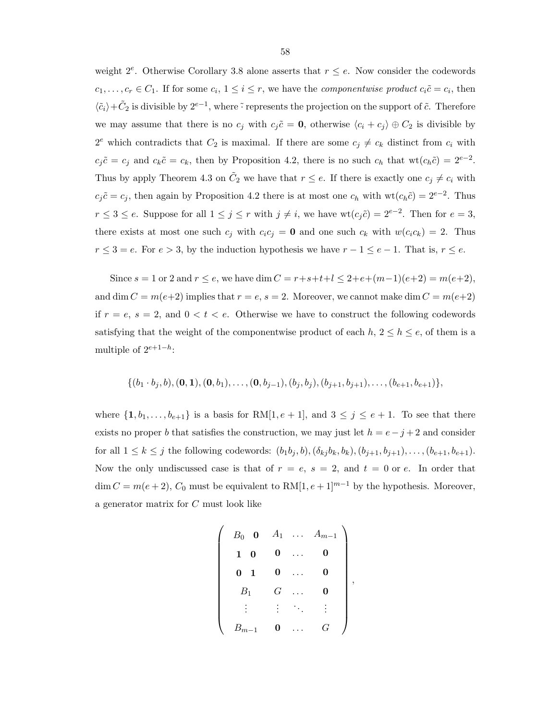weight  $2^e$ . Otherwise Corollary 3.8 alone asserts that  $r \leq e$ . Now consider the codewords  $c_1, \ldots, c_r \in C_1$ . If for some  $c_i, 1 \leq i \leq r$ , we have the *componentwise product*  $c_i \tilde{c} = c_i$ , then  $\langle \tilde{c}_i \rangle + \tilde{C}_2$  is divisible by  $2^{e-1}$ , where  $\tilde{\cdot}$  represents the projection on the support of  $\tilde{c}$ . Therefore we may assume that there is no  $c_j$  with  $c_j \tilde{c} = 0$ , otherwise  $\langle c_i + c_j \rangle \oplus C_2$  is divisible by  $2^e$  which contradicts that  $C_2$  is maximal. If there are some  $c_j \neq c_k$  distinct from  $c_i$  with  $c_j\tilde{c} = c_j$  and  $c_k\tilde{c} = c_k$ , then by Proposition 4.2, there is no such  $c_h$  that  $\text{wt}(c_h\tilde{c}) = 2^{e-2}$ . Thus by apply Theorem 4.3 on  $\tilde{C}_2$  we have that  $r \leq e$ . If there is exactly one  $c_j \neq c_i$  with  $c_j\tilde{c} = c_j$ , then again by Proposition 4.2 there is at most one  $c_h$  with  $wt(c_h\tilde{c}) = 2^{e-2}$ . Thus  $r \leq 3 \leq e$ . Suppose for all  $1 \leq j \leq r$  with  $j \neq i$ , we have  $\text{wt}(c_j\tilde{c}) = 2^{e-2}$ . Then for  $e = 3$ , there exists at most one such  $c_i$  with  $c_i c_j = 0$  and one such  $c_k$  with  $w(c_i c_k) = 2$ . Thus  $r \leq 3 = e$ . For  $e > 3$ , by the induction hypothesis we have  $r - 1 \leq e - 1$ . That is,  $r \leq e$ .

Since  $s = 1$  or 2 and  $r \le e$ , we have dim  $C = r + s + t + l \le 2 + e + (m-1)(e+2) = m(e+2)$ , and dim  $C = m(e+2)$  implies that  $r = e$ ,  $s = 2$ . Moreover, we cannot make dim  $C = m(e+2)$ if  $r = e$ ,  $s = 2$ , and  $0 < t < e$ . Otherwise we have to construct the following codewords satisfying that the weight of the componentwise product of each  $h, 2 \leq h \leq e$ , of them is a multiple of  $2^{e+1-h}$ :

$$
\{(b_1\cdot b_j,b),(0,1),(0,b_1),\ldots,(0,b_{j-1}),(b_j,b_j),(b_{j+1},b_{j+1}),\ldots,(b_{e+1},b_{e+1})\},\
$$

where  $\{1, b_1, \ldots, b_{e+1}\}$  is a basis for RM[1,  $e + 1$ ], and  $3 \leq j \leq e + 1$ . To see that there exists no proper b that satisfies the construction, we may just let  $h = e - j + 2$  and consider for all  $1 \le k \le j$  the following codewords:  $(b_1b_j, b), (\delta_{kj}b_k, b_k), (b_{j+1}, b_{j+1}), \ldots, (b_{e+1}, b_{e+1}).$ Now the only undiscussed case is that of  $r = e$ ,  $s = 2$ , and  $t = 0$  or e. In order that  $\dim C = m(e+2)$ , C<sub>0</sub> must be equivalent to RM[1, e + 1]<sup>m−1</sup> by the hypothesis. Moreover, a generator matrix for C must look like

$$
\left(\begin{array}{cccc}B_0 & \mathbf{0} & A_1 & \dots & A_{m-1} \\ \mathbf{1} & \mathbf{0} & \mathbf{0} & \dots & \mathbf{0} \\ \mathbf{0} & \mathbf{1} & \mathbf{0} & \dots & \mathbf{0} \\ B_1 & G & \dots & \mathbf{0} \\ \vdots & \vdots & \ddots & \vdots \\ B_{m-1} & \mathbf{0} & \dots & G\end{array}\right)
$$

,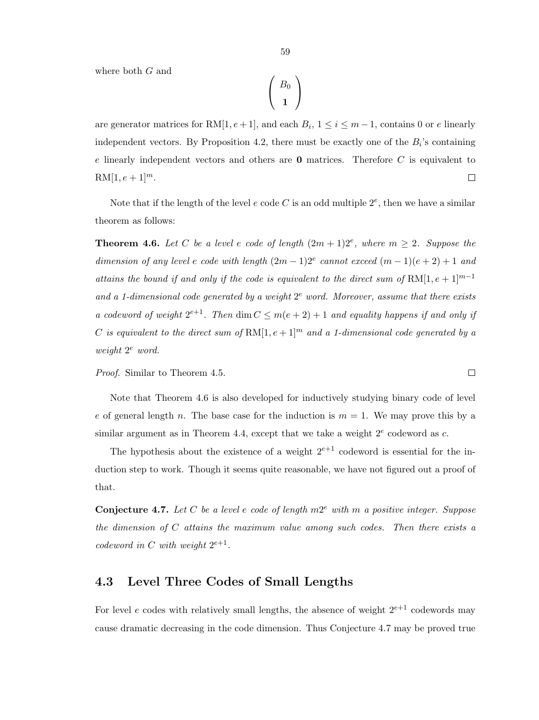where both G and

$$
\left(\begin{array}{c} B_0 \\[1mm] {\bf 1} \end{array}\right)
$$

are generator matrices for RM $[1, e+1]$ , and each  $B_i$ ,  $1 \le i \le m-1$ , contains 0 or e linearly independent vectors. By Proposition 4.2, there must be exactly one of the  $B_i$ 's containing  $e$  linearly independent vectors and others are  $0$  matrices. Therefore  $C$  is equivalent to  $RM[1, e+1]^{m}$ .  $\Box$ 

Note that if the length of the level  $e$  code  $C$  is an odd multiple  $2^e$ , then we have a similar theorem as follows:

**Theorem 4.6.** Let C be a level e code of length  $(2m + 1)2^e$ , where  $m \geq 2$ . Suppose the dimension of any level e code with length  $(2m-1)2^e$  cannot exceed  $(m-1)(e+2)+1$  and attains the bound if and only if the code is equivalent to the direct sum of RM[1,  $e + 1$ ]<sup>m-1</sup> and a 1-dimensional code generated by a weight  $2^e$  word. Moreover, assume that there exists a codeword of weight  $2^{e+1}$ . Then dim  $C \leq m(e+2)+1$  and equality happens if and only if C is equivalent to the direct sum of  $\text{RM}[1, e+1]^m$  and a 1-dimensional code generated by a  $weight\ 2^e\ word.$ 

Proof. Similar to Theorem 4.5.

Note that Theorem 4.6 is also developed for inductively studying binary code of level e of general length n. The base case for the induction is  $m = 1$ . We may prove this by a similar argument as in Theorem 4.4, except that we take a weight  $2^e$  codeword as c.

The hypothesis about the existence of a weight  $2^{e+1}$  codeword is essential for the induction step to work. Though it seems quite reasonable, we have not figured out a proof of that.

**Conjecture 4.7.** Let C be a level e code of length  $m2^e$  with m a positive integer. Suppose the dimension of C attains the maximum value among such codes. Then there exists a codeword in C with weight  $2^{e+1}$ .

### 4.3 Level Three Codes of Small Lengths

For level e codes with relatively small lengths, the absence of weight  $2^{e+1}$  codewords may cause dramatic decreasing in the code dimension. Thus Conjecture 4.7 may be proved true

 $\Box$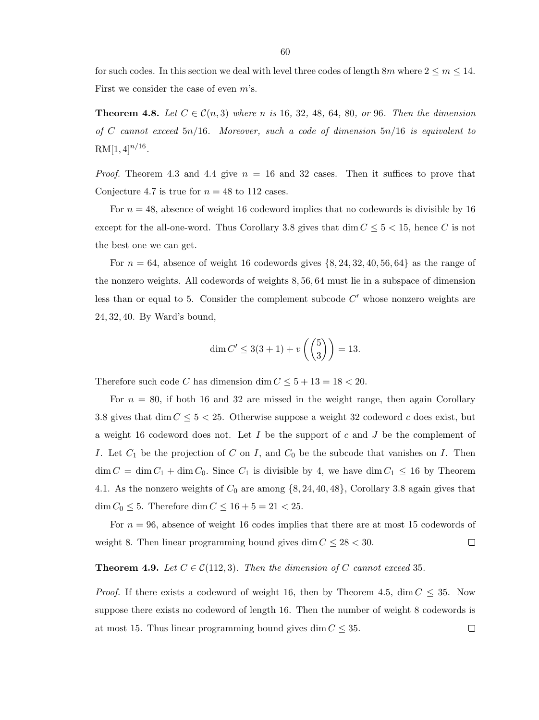for such codes. In this section we deal with level three codes of length  $8m$  where  $2 \le m \le 14$ . First we consider the case of even m's.

**Theorem 4.8.** Let  $C \in \mathcal{C}(n, 3)$  where n is 16, 32, 48, 64, 80, or 96. Then the dimension of C cannot exceed  $5n/16$ . Moreover, such a code of dimension  $5n/16$  is equivalent to  $RM[1,4]^{n/16}.$ 

*Proof.* Theorem 4.3 and 4.4 give  $n = 16$  and 32 cases. Then it suffices to prove that Conjecture 4.7 is true for  $n = 48$  to 112 cases.

For  $n = 48$ , absence of weight 16 codeword implies that no codewords is divisible by 16 except for the all-one-word. Thus Corollary 3.8 gives that dim  $C \leq 5 < 15$ , hence C is not the best one we can get.

For  $n = 64$ , absence of weight 16 codewords gives  $\{8, 24, 32, 40, 56, 64\}$  as the range of the nonzero weights. All codewords of weights 8, 56, 64 must lie in a subspace of dimension less than or equal to 5. Consider the complement subcode  $C'$  whose nonzero weights are 24, 32, 40. By Ward's bound,

$$
\dim C' \le 3(3+1) + v\left(\binom{5}{3}\right) = 13.
$$

Therefore such code C has dimension dim  $C \leq 5 + 13 = 18 < 20$ .

For  $n = 80$ , if both 16 and 32 are missed in the weight range, then again Corollary 3.8 gives that dim  $C \leq 5 < 25$ . Otherwise suppose a weight 32 codeword c does exist, but a weight 16 codeword does not. Let  $I$  be the support of  $c$  and  $J$  be the complement of I. Let  $C_1$  be the projection of C on I, and  $C_0$  be the subcode that vanishes on I. Then  $\dim C = \dim C_1 + \dim C_0$ . Since  $C_1$  is divisible by 4, we have  $\dim C_1 \leq 16$  by Theorem 4.1. As the nonzero weights of  $C_0$  are among  $\{8, 24, 40, 48\}$ , Corollary 3.8 again gives that  $\dim C_0 \leq 5$ . Therefore  $\dim C \leq 16 + 5 = 21 < 25$ .

For  $n = 96$ , absence of weight 16 codes implies that there are at most 15 codewords of weight 8. Then linear programming bound gives dim  $C \leq 28 < 30$ .  $\Box$ 

#### **Theorem 4.9.** Let  $C \in \mathcal{C}(112,3)$ . Then the dimension of C cannot exceed 35.

*Proof.* If there exists a codeword of weight 16, then by Theorem 4.5, dim  $C \leq 35$ . Now suppose there exists no codeword of length 16. Then the number of weight 8 codewords is at most 15. Thus linear programming bound gives dim  $C \leq 35$ .  $\Box$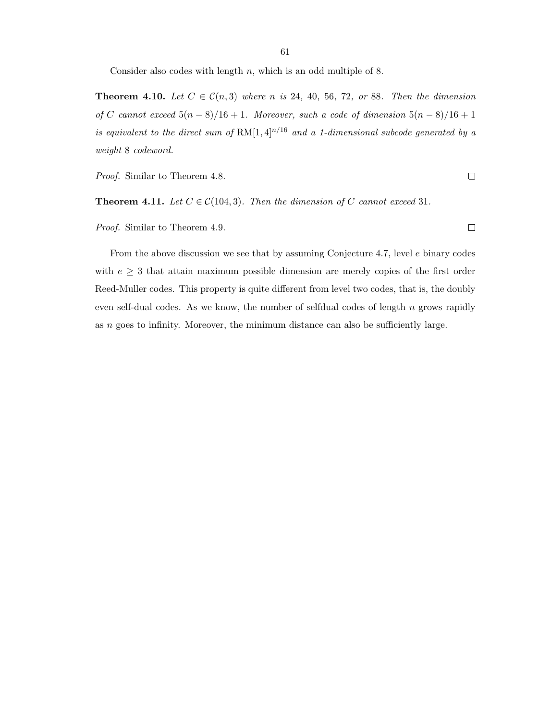Consider also codes with length  $n$ , which is an odd multiple of 8.

**Theorem 4.10.** Let  $C \in \mathcal{C}(n,3)$  where n is 24, 40, 56, 72, or 88. Then the dimension of C cannot exceed  $5(n-8)/16 + 1$ . Moreover, such a code of dimension  $5(n-8)/16 + 1$ is equivalent to the direct sum of  $RM[1, 4]^{n/16}$  and a 1-dimensional subcode generated by a weight 8 codeword.

Proof. Similar to Theorem 4.8.

**Theorem 4.11.** Let  $C \in \mathcal{C}(104, 3)$ . Then the dimension of C cannot exceed 31.

Proof. Similar to Theorem 4.9.

From the above discussion we see that by assuming Conjecture 4.7, level e binary codes with  $e \geq 3$  that attain maximum possible dimension are merely copies of the first order Reed-Muller codes. This property is quite different from level two codes, that is, the doubly even self-dual codes. As we know, the number of selfdual codes of length  $n$  grows rapidly as n goes to infinity. Moreover, the minimum distance can also be sufficiently large.

 $\Box$ 

 $\Box$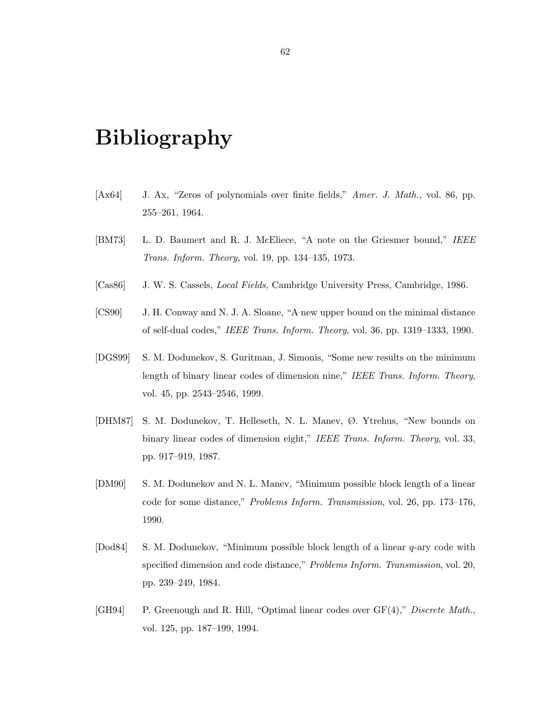## Bibliography

- [Ax64] J. Ax, "Zeros of polynomials over finite fields," Amer. J. Math., vol. 86, pp. 255–261, 1964.
- [BM73] L. D. Baumert and R. J. McEliece, "A note on the Griesmer bound," IEEE Trans. Inform. Theory, vol. 19, pp. 134–135, 1973.
- [Cas86] J. W. S. Cassels, *Local Fields*, Cambridge University Press, Cambridge, 1986.
- [CS90] J. H. Conway and N. J. A. Sloane, "A new upper bound on the minimal distance of self-dual codes," IEEE Trans. Inform. Theory, vol. 36, pp. 1319–1333, 1990.
- [DGS99] S. M. Dodunekov, S. Guritman, J. Simonis, "Some new results on the minimum length of binary linear codes of dimension nine," IEEE Trans. Inform. Theory, vol. 45, pp. 2543–2546, 1999.
- [DHM87] S. M. Dodunekov, T. Helleseth, N. L. Manev, Ø. Ytrehus, "New bounds on binary linear codes of dimension eight," IEEE Trans. Inform. Theory, vol. 33, pp. 917–919, 1987.
- [DM90] S. M. Dodunekov and N. L. Manev, "Minimum possible block length of a linear code for some distance," Problems Inform. Transmission, vol. 26, pp. 173–176, 1990.
- [Dod84] S. M. Dodunekov, "Minimum possible block length of a linear q-ary code with specified dimension and code distance," Problems Inform. Transmission, vol. 20, pp. 239–249, 1984.
- [GH94] P. Greenough and R. Hill, "Optimal linear codes over GF(4)," Discrete Math., vol. 125, pp. 187–199, 1994.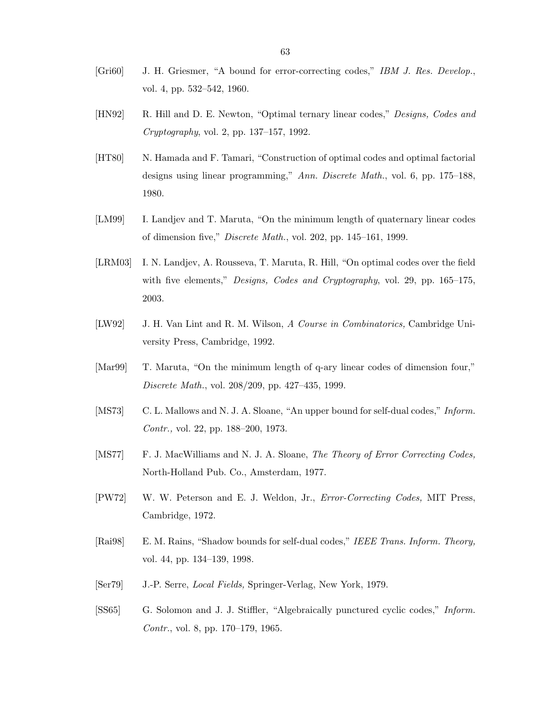- [Gri60] J. H. Griesmer, "A bound for error-correcting codes," IBM J. Res. Develop., vol. 4, pp. 532–542, 1960.
- [HN92] R. Hill and D. E. Newton, "Optimal ternary linear codes," Designs, Codes and Cryptography, vol. 2, pp. 137–157, 1992.
- [HT80] N. Hamada and F. Tamari, "Construction of optimal codes and optimal factorial designs using linear programming," Ann. Discrete Math., vol. 6, pp. 175–188, 1980.
- [LM99] I. Landjev and T. Maruta, "On the minimum length of quaternary linear codes of dimension five," Discrete Math., vol. 202, pp. 145–161, 1999.
- [LRM03] I. N. Landjev, A. Rousseva, T. Maruta, R. Hill, "On optimal codes over the field with five elements," *Designs, Codes and Cryptography*, vol. 29, pp. 165–175, 2003.
- [LW92] J. H. Van Lint and R. M. Wilson, A Course in Combinatorics, Cambridge University Press, Cambridge, 1992.
- [Mar99] T. Maruta, "On the minimum length of q-ary linear codes of dimension four," Discrete Math., vol. 208/209, pp. 427–435, 1999.
- [MS73] C. L. Mallows and N. J. A. Sloane, "An upper bound for self-dual codes," *Inform.* Contr., vol. 22, pp. 188–200, 1973.
- [MS77] F. J. MacWilliams and N. J. A. Sloane, The Theory of Error Correcting Codes, North-Holland Pub. Co., Amsterdam, 1977.
- [PW72] W. W. Peterson and E. J. Weldon, Jr., Error-Correcting Codes, MIT Press, Cambridge, 1972.
- [Rai98] E. M. Rains, "Shadow bounds for self-dual codes," IEEE Trans. Inform. Theory, vol. 44, pp. 134–139, 1998.
- [Ser79] J.-P. Serre, Local Fields, Springer-Verlag, New York, 1979.
- [SS65] G. Solomon and J. J. Stiffler, "Algebraically punctured cyclic codes," Inform. Contr., vol. 8, pp. 170–179, 1965.